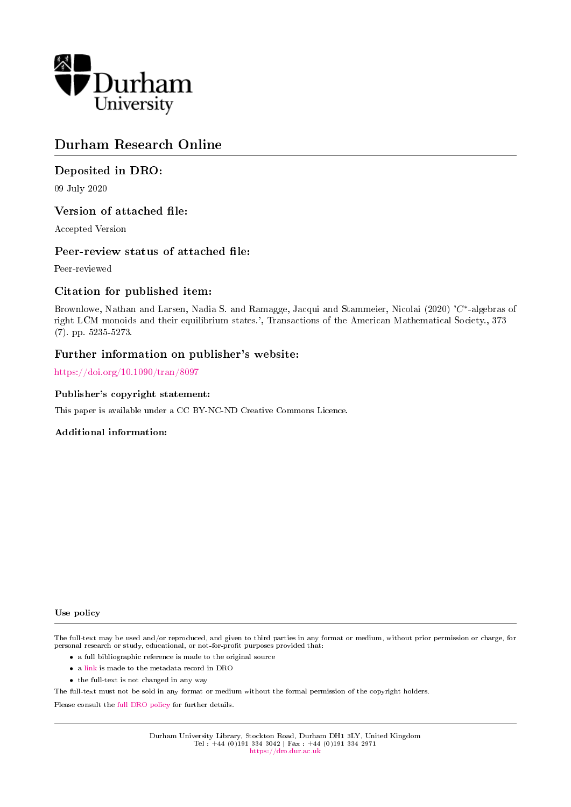

# Durham Research Online

# Deposited in DRO:

09 July 2020

# Version of attached file:

Accepted Version

# Peer-review status of attached file:

Peer-reviewed

# Citation for published item:

Brownlowe, Nathan and Larsen, Nadia S. and Ramagge, Jacqui and Stammeier, Nicolai (2020) 'C<sup>∗</sup>-algebras of right LCM monoids and their equilibrium states.', Transactions of the American Mathematical Society., 373 (7). pp. 5235-5273.

### Further information on publisher's website:

<https://doi.org/10.1090/tran/8097>

### Publisher's copyright statement:

This paper is available under a CC BY-NC-ND Creative Commons Licence.

### Additional information:

Use policy

The full-text may be used and/or reproduced, and given to third parties in any format or medium, without prior permission or charge, for personal research or study, educational, or not-for-profit purposes provided that:

- a full bibliographic reference is made to the original source
- a [link](http://dro.dur.ac.uk/31252/) is made to the metadata record in DRO
- the full-text is not changed in any way

The full-text must not be sold in any format or medium without the formal permission of the copyright holders.

Please consult the [full DRO policy](https://dro.dur.ac.uk/policies/usepolicy.pdf) for further details.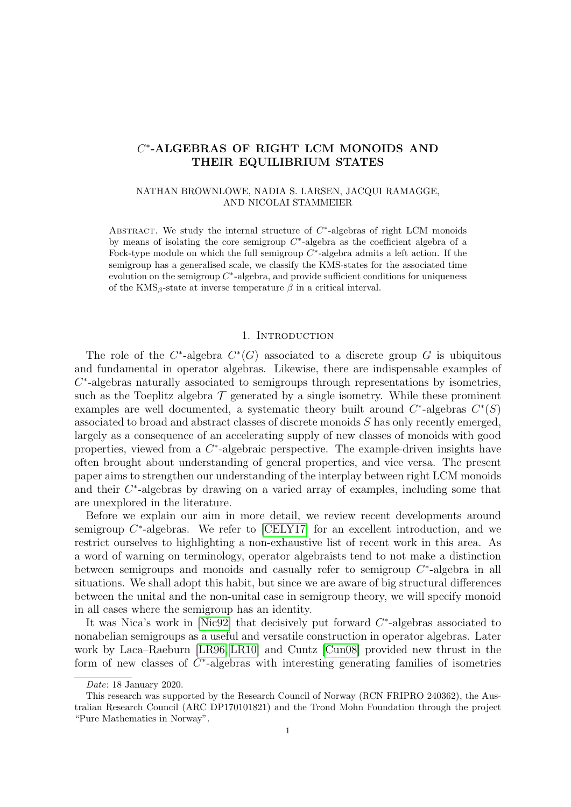# C ∗ -ALGEBRAS OF RIGHT LCM MONOIDS AND THEIR EQUILIBRIUM STATES

### NATHAN BROWNLOWE, NADIA S. LARSEN, JACQUI RAMAGGE, AND NICOLAI STAMMEIER

ABSTRACT. We study the internal structure of  $C^*$ -algebras of right LCM monoids by means of isolating the core semigroup  $C^*$ -algebra as the coefficient algebra of a Fock-type module on which the full semigroup  $C^*$ -algebra admits a left action. If the semigroup has a generalised scale, we classify the KMS-states for the associated time evolution on the semigroup  $C^*$ -algebra, and provide sufficient conditions for uniqueness of the  $KMS_{\beta}$ -state at inverse temperature  $\beta$  in a critical interval.

### 1. INTRODUCTION

The role of the  $C^*$ -algebra  $C^*(G)$  associated to a discrete group G is ubiquitous and fundamental in operator algebras. Likewise, there are indispensable examples of  $C^*$ -algebras naturally associated to semigroups through representations by isometries, such as the Toeplitz algebra  $\mathcal T$  generated by a single isometry. While these prominent examples are well documented, a systematic theory built around  $C^*$ -algebras  $C^*(S)$ associated to broad and abstract classes of discrete monoids S has only recently emerged, largely as a consequence of an accelerating supply of new classes of monoids with good properties, viewed from a  $C^*$ -algebraic perspective. The example-driven insights have often brought about understanding of general properties, and vice versa. The present paper aims to strengthen our understanding of the interplay between right LCM monoids and their  $C^*$ -algebras by drawing on a varied array of examples, including some that are unexplored in the literature.

Before we explain our aim in more detail, we review recent developments around semigroup  $C^*$ -algebras. We refer to [\[CELY17\]](#page-37-0) for an excellent introduction, and we restrict ourselves to highlighting a non-exhaustive list of recent work in this area. As a word of warning on terminology, operator algebraists tend to not make a distinction between semigroups and monoids and casually refer to semigroup  $C^*$ -algebra in all situations. We shall adopt this habit, but since we are aware of big structural differences between the unital and the non-unital case in semigroup theory, we will specify monoid in all cases where the semigroup has an identity.

It was Nica's work in [\[Nic92\]](#page-38-0) that decisively put forward  $C^*$ -algebras associated to nonabelian semigroups as a useful and versatile construction in operator algebras. Later work by Laca–Raeburn [\[LR96,](#page-38-1) [LR10\]](#page-38-2) and Cuntz [\[Cun08\]](#page-37-1) provided new thrust in the form of new classes of  $C^*$ -algebras with interesting generating families of isometries

Date: 18 January 2020.

This research was supported by the Research Council of Norway (RCN FRIPRO 240362), the Australian Research Council (ARC DP170101821) and the Trond Mohn Foundation through the project "Pure Mathematics in Norway".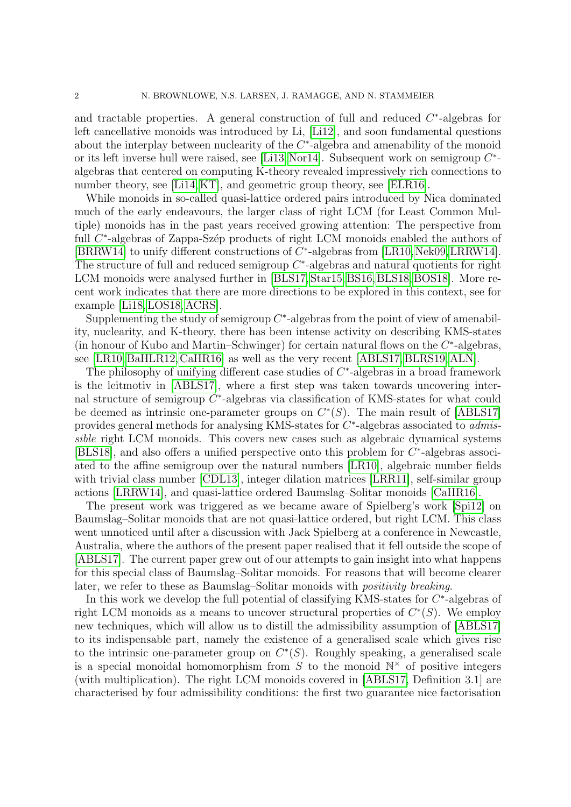and tractable properties. A general construction of full and reduced  $C^*$ -algebras for left cancellative monoids was introduced by Li, [\[Li12\]](#page-38-3), and soon fundamental questions about the interplay between nuclearity of the  $C^*$ -algebra and amenability of the monoid or its left inverse hull were raised, see [\[Li13,](#page-38-4) [Nor14\]](#page-38-5). Subsequent work on semigroup  $C^*$ algebras that centered on computing K-theory revealed impressively rich connections to number theory, see [\[Li14,](#page-38-6) [KT\]](#page-37-2), and geometric group theory, see [\[ELR16\]](#page-37-3).

While monoids in so-called quasi-lattice ordered pairs introduced by Nica dominated much of the early endeavours, the larger class of right LCM (for Least Common Multiple) monoids has in the past years received growing attention: The perspective from full  $C^*$ -algebras of Zappa-Szép products of right LCM monoids enabled the authors of [\[BRRW14\]](#page-37-4) to unify different constructions of  $C^*$ -algebras from [\[LR10,](#page-38-2) [Nek09,](#page-38-7) [LRRW14\]](#page-38-8). The structure of full and reduced semigroup  $C^*$ -algebras and natural quotients for right LCM monoids were analysed further in [\[BLS17,](#page-37-5) [Star15,](#page-38-9) [BS16,](#page-37-6) [BLS18,](#page-37-7) [BOS18\]](#page-37-8). More recent work indicates that there are more directions to be explored in this context, see for example [\[Li18,](#page-38-10) [LOS18,](#page-38-11) [ACRS\]](#page-36-0).

Supplementing the study of semigroup  $C^*$ -algebras from the point of view of amenability, nuclearity, and K-theory, there has been intense activity on describing KMS-states (in honour of Kubo and Martin–Schwinger) for certain natural flows on the  $C^*$ -algebras, see [\[LR10,](#page-38-2) [BaHLR12,](#page-37-9) [CaHR16\]](#page-37-10) as well as the very recent [\[ABLS17,](#page-36-1) [BLRS19,](#page-37-11) [ALN\]](#page-36-2).

The philosophy of unifying different case studies of  $C^*$ -algebras in a broad framework is the leitmotiv in [\[ABLS17\]](#page-36-1), where a first step was taken towards uncovering internal structure of semigroup  $C^*$ -algebras via classification of KMS-states for what could be deemed as intrinsic one-parameter groups on  $C^*(S)$ . The main result of [\[ABLS17\]](#page-36-1) provides general methods for analysing KMS-states for  $C^*$ -algebras associated to *admis*sible right LCM monoids. This covers new cases such as algebraic dynamical systems [\[BLS18\]](#page-37-7), and also offers a unified perspective onto this problem for  $C^*$ -algebras associated to the affine semigroup over the natural numbers [\[LR10\]](#page-38-2), algebraic number fields with trivial class number [\[CDL13\]](#page-37-12), integer dilation matrices [\[LRR11\]](#page-38-12), self-similar group actions [\[LRRW14\]](#page-38-8), and quasi-lattice ordered Baumslag–Solitar monoids [\[CaHR16\]](#page-37-10).

The present work was triggered as we became aware of Spielberg's work [\[Spi12\]](#page-38-13) on Baumslag–Solitar monoids that are not quasi-lattice ordered, but right LCM. This class went unnoticed until after a discussion with Jack Spielberg at a conference in Newcastle, Australia, where the authors of the present paper realised that it fell outside the scope of [\[ABLS17\]](#page-36-1). The current paper grew out of our attempts to gain insight into what happens for this special class of Baumslag–Solitar monoids. For reasons that will become clearer later, we refer to these as Baumslag–Solitar monoids with *positivity breaking*.

In this work we develop the full potential of classifying KMS-states for  $C^*$ -algebras of right LCM monoids as a means to uncover structural properties of  $C^*(S)$ . We employ new techniques, which will allow us to distill the admissibility assumption of [\[ABLS17\]](#page-36-1) to its indispensable part, namely the existence of a generalised scale which gives rise to the intrinsic one-parameter group on  $C^*(S)$ . Roughly speaking, a generalised scale is a special monoidal homomorphism from  $S$  to the monoid  $\mathbb{N}^{\times}$  of positive integers (with multiplication). The right LCM monoids covered in [\[ABLS17,](#page-36-1) Definition 3.1] are characterised by four admissibility conditions: the first two guarantee nice factorisation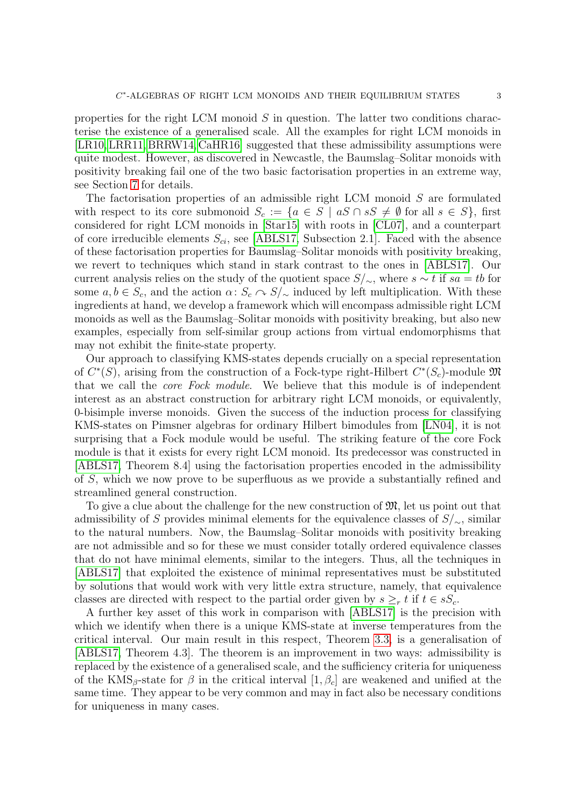properties for the right LCM monoid  $S$  in question. The latter two conditions characterise the existence of a generalised scale. All the examples for right LCM monoids in [\[LR10,](#page-38-2)[LRR11,](#page-38-12)[BRRW14,](#page-37-4) [CaHR16\]](#page-37-10) suggested that these admissibility assumptions were quite modest. However, as discovered in Newcastle, the Baumslag–Solitar monoids with positivity breaking fail one of the two basic factorisation properties in an extreme way, see Section [7](#page-25-0) for details.

The factorisation properties of an admissible right LCM monoid S are formulated with respect to its core submonoid  $S_c := \{a \in S \mid aS \cap sS \neq \emptyset \text{ for all } s \in S\},\$ first considered for right LCM monoids in [\[Star15\]](#page-38-9) with roots in [\[CL07\]](#page-37-13), and a counterpart of core irreducible elements  $S_{ci}$ , see [\[ABLS17,](#page-36-1) Subsection 2.1]. Faced with the absence of these factorisation properties for Baumslag–Solitar monoids with positivity breaking, we revert to techniques which stand in stark contrast to the ones in [\[ABLS17\]](#page-36-1). Our current analysis relies on the study of the quotient space  $S/\sim$ , where  $s \sim t$  if  $sa = tb$  for some  $a, b \in S_c$ , and the action  $\alpha: S_c \cap S/\sim \alpha$  induced by left multiplication. With these ingredients at hand, we develop a framework which will encompass admissible right LCM monoids as well as the Baumslag–Solitar monoids with positivity breaking, but also new examples, especially from self-similar group actions from virtual endomorphisms that may not exhibit the finite-state property.

Our approach to classifying KMS-states depends crucially on a special representation of  $C^*(S)$ , arising from the construction of a Fock-type right-Hilbert  $C^*(S_c)$ -module  $\mathfrak{M}$ that we call the core Fock module. We believe that this module is of independent interest as an abstract construction for arbitrary right LCM monoids, or equivalently, 0-bisimple inverse monoids. Given the success of the induction process for classifying KMS-states on Pimsner algebras for ordinary Hilbert bimodules from [\[LN04\]](#page-38-14), it is not surprising that a Fock module would be useful. The striking feature of the core Fock module is that it exists for every right LCM monoid. Its predecessor was constructed in [\[ABLS17,](#page-36-1) Theorem 8.4] using the factorisation properties encoded in the admissibility of S, which we now prove to be superfluous as we provide a substantially refined and streamlined general construction.

To give a clue about the challenge for the new construction of  $\mathfrak{M}$ , let us point out that admissibility of S provides minimal elements for the equivalence classes of  $S/\sim$ , similar to the natural numbers. Now, the Baumslag–Solitar monoids with positivity breaking are not admissible and so for these we must consider totally ordered equivalence classes that do not have minimal elements, similar to the integers. Thus, all the techniques in [\[ABLS17\]](#page-36-1) that exploited the existence of minimal representatives must be substituted by solutions that would work with very little extra structure, namely, that equivalence classes are directed with respect to the partial order given by  $s \geq_r t$  if  $t \in sS_c$ .

A further key asset of this work in comparison with [\[ABLS17\]](#page-36-1) is the precision with which we identify when there is a unique KMS-state at inverse temperatures from the critical interval. Our main result in this respect, Theorem [3.3,](#page-9-0) is a generalisation of [\[ABLS17,](#page-36-1) Theorem 4.3]. The theorem is an improvement in two ways: admissibility is replaced by the existence of a generalised scale, and the sufficiency criteria for uniqueness of the KMS<sub>β</sub>-state for  $\beta$  in the critical interval  $[1, \beta_c]$  are weakened and unified at the same time. They appear to be very common and may in fact also be necessary conditions for uniqueness in many cases.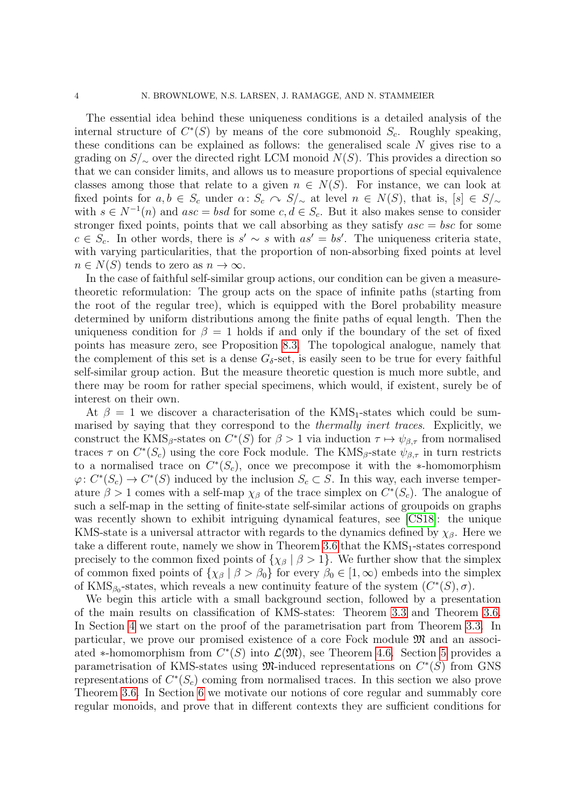The essential idea behind these uniqueness conditions is a detailed analysis of the internal structure of  $C^*(S)$  by means of the core submonoid  $S_c$ . Roughly speaking, these conditions can be explained as follows: the generalised scale N gives rise to a grading on  $S/\sim$  over the directed right LCM monoid  $N(S)$ . This provides a direction so that we can consider limits, and allows us to measure proportions of special equivalence classes among those that relate to a given  $n \in N(S)$ . For instance, we can look at fixed points for  $a, b \in S_c$  under  $\alpha: S_c \cap S/\sim s$  at level  $n \in N(S)$ , that is,  $[s] \in S/\sim s$ with  $s \in N^{-1}(n)$  and  $asc = bsd$  for some  $c, d \in S_c$ . But it also makes sense to consider stronger fixed points, points that we call absorbing as they satisfy  $asc = bsc$  for some  $c \in S_c$ . In other words, there is  $s' \sim s$  with  $as' = bs'$ . The uniqueness criteria state, with varying particularities, that the proportion of non-absorbing fixed points at level  $n \in N(S)$  tends to zero as  $n \to \infty$ .

In the case of faithful self-similar group actions, our condition can be given a measuretheoretic reformulation: The group acts on the space of infinite paths (starting from the root of the regular tree), which is equipped with the Borel probability measure determined by uniform distributions among the finite paths of equal length. Then the uniqueness condition for  $\beta = 1$  holds if and only if the boundary of the set of fixed points has measure zero, see Proposition [8.3.](#page-31-0) The topological analogue, namely that the complement of this set is a dense  $G_{\delta}$ -set, is easily seen to be true for every faithful self-similar group action. But the measure theoretic question is much more subtle, and there may be room for rather special specimens, which would, if existent, surely be of interest on their own.

At  $\beta = 1$  we discover a characterisation of the KMS<sub>1</sub>-states which could be summarised by saying that they correspond to the thermally inert traces. Explicitly, we construct the KMS<sub>β</sub>-states on  $C^*(S)$  for  $\beta > 1$  via induction  $\tau \mapsto \psi_{\beta,\tau}$  from normalised traces  $\tau$  on  $C^*(S_c)$  using the core Fock module. The KMS<sub>β</sub>-state  $\psi_{\beta,\tau}$  in turn restricts to a normalised trace on  $C^*(S_c)$ , once we precompose it with the \*-homomorphism  $\varphi: C^*(S_c) \to C^*(S)$  induced by the inclusion  $S_c \subset S$ . In this way, each inverse temperature  $\beta > 1$  comes with a self-map  $\chi_{\beta}$  of the trace simplex on  $C^*(S_c)$ . The analogue of such a self-map in the setting of finite-state self-similar actions of groupoids on graphs was recently shown to exhibit intriguing dynamical features, see [\[CS18\]](#page-37-14): the unique KMS-state is a universal attractor with regards to the dynamics defined by  $\chi_{\beta}$ . Here we take a different route, namely we show in Theorem  $3.6$  that the  $KMS_1$ -states correspond precisely to the common fixed points of  $\{\chi_\beta \mid \beta > 1\}$ . We further show that the simplex of common fixed points of  $\{\chi_\beta \mid \beta > \beta_0\}$  for every  $\beta_0 \in [1,\infty)$  embeds into the simplex of KMS<sub> $\beta_0$ </sub>-states, which reveals a new continuity feature of the system  $(C^*(S), \sigma)$ .

We begin this article with a small background section, followed by a presentation of the main results on classification of KMS-states: Theorem [3.3](#page-9-0) and Theorem [3.6.](#page-10-0) In Section [4](#page-10-1) we start on the proof of the parametrisation part from Theorem [3.3.](#page-9-0) In particular, we prove our promised existence of a core Fock module M and an associated \*-homomorphism from  $C^*(S)$  into  $\mathcal{L}(\mathfrak{M})$ , see Theorem [4.6.](#page-14-0) Section [5](#page-17-0) provides a parametrisation of KMS-states using  $\mathfrak{M}$ -induced representations on  $C^*(S)$  from GNS representations of  $C^*(S_c)$  coming from normalised traces. In this section we also prove Theorem [3.6.](#page-10-0) In Section [6](#page-21-0) we motivate our notions of core regular and summably core regular monoids, and prove that in different contexts they are sufficient conditions for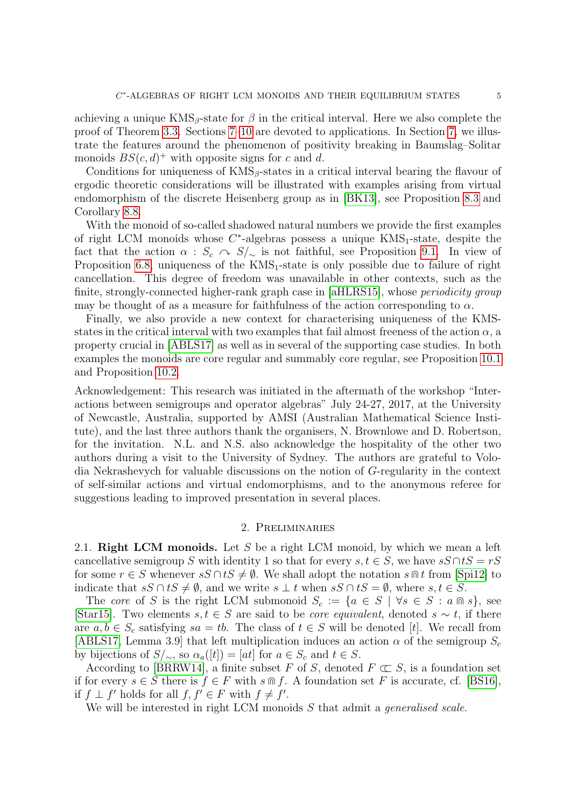achieving a unique  $KMS_\beta$ -state for  $\beta$  in the critical interval. Here we also complete the proof of Theorem [3.3.](#page-9-0) Sections [7–](#page-25-0)[10](#page-35-0) are devoted to applications. In Section [7,](#page-25-0) we illustrate the features around the phenomenon of positivity breaking in Baumslag–Solitar monoids  $BS(c, d)^+$  with opposite signs for c and d.

Conditions for uniqueness of  $KMS<sub>β</sub>$ -states in a critical interval bearing the flavour of ergodic theoretic considerations will be illustrated with examples arising from virtual endomorphism of the discrete Heisenberg group as in [\[BK13\]](#page-37-15), see Proposition [8.3](#page-31-0) and Corollary [8.8.](#page-33-0)

With the monoid of so-called shadowed natural numbers we provide the first examples of right LCM monoids whose  $C^*$ -algebras possess a unique  $KMS_1$ -state, despite the fact that the action  $\alpha$  :  $S_c \sim S/\sim$  is not faithful, see Proposition [9.1.](#page-34-0) In view of Proposition [6.8,](#page-24-0) uniqueness of the  $KMS_1$ -state is only possible due to failure of right cancellation. This degree of freedom was unavailable in other contexts, such as the finite, strongly-connected higher-rank graph case in [\[aHLRS15\]](#page-37-16), whose *periodicity group* may be thought of as a measure for faithfulness of the action corresponding to  $\alpha$ .

Finally, we also provide a new context for characterising uniqueness of the KMSstates in the critical interval with two examples that fail almost freeness of the action  $\alpha$ , a property crucial in [\[ABLS17\]](#page-36-1) as well as in several of the supporting case studies. In both examples the monoids are core regular and summably core regular, see Proposition [10.1](#page-35-1) and Proposition [10.2.](#page-36-3)

Acknowledgement: This research was initiated in the aftermath of the workshop "Interactions between semigroups and operator algebras" July 24-27, 2017, at the University of Newcastle, Australia, supported by AMSI (Australian Mathematical Science Institute), and the last three authors thank the organisers, N. Brownlowe and D. Robertson, for the invitation. N.L. and N.S. also acknowledge the hospitality of the other two authors during a visit to the University of Sydney. The authors are grateful to Volodia Nekrashevych for valuable discussions on the notion of G-regularity in the context of self-similar actions and virtual endomorphisms, and to the anonymous referee for suggestions leading to improved presentation in several places.

### 2. Preliminaries

2.1. Right LCM monoids. Let S be a right LCM monoid, by which we mean a left cancellative semigroup S with identity 1 so that for every  $s, t \in S$ , we have  $sS \cap tS = rS$ for some  $r \in S$  whenever  $sS \cap tS \neq \emptyset$ . We shall adopt the notation  $s \cap t$  from [\[Spi12\]](#page-38-13) to indicate that  $sS \cap tS \neq \emptyset$ , and we write  $s \perp t$  when  $sS \cap tS = \emptyset$ , where  $s, t \in S$ .

The core of S is the right LCM submonoid  $S_c := \{a \in S \mid \forall s \in S : a \cap s\}$ , see [\[Star15\]](#page-38-9). Two elements  $s, t \in S$  are said to be *core equivalent*, denoted  $s \sim t$ , if there are  $a, b \in S_c$  satisfying  $sa = tb$ . The class of  $t \in S$  will be denoted [t]. We recall from [\[ABLS17,](#page-36-1) Lemma 3.9] that left multiplication induces an action  $\alpha$  of the semigroup  $S_c$ by bijections of  $S/\sim$ , so  $\alpha_a([t]) = [at]$  for  $a \in S_c$  and  $t \in S$ .

According to [\[BRRW14\]](#page-37-4), a finite subset F of S, denoted  $F \subset S$ , is a foundation set if for every  $s \in S$  there is  $f \in F$  with  $s \cap f$ . A foundation set F is accurate, cf. [\[BS16\]](#page-37-6), if  $f \perp f'$  holds for all  $f, f' \in F$  with  $f \neq f'$ .

We will be interested in right LCM monoids S that admit a *generalised scale*.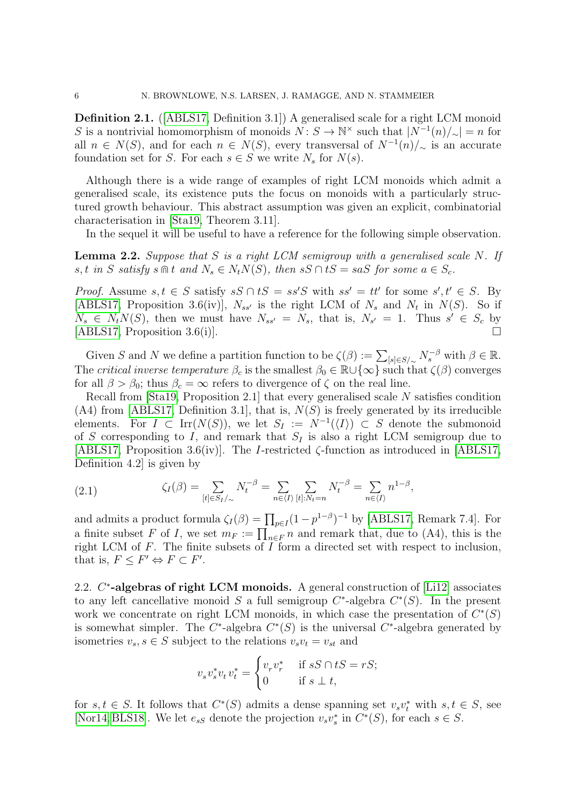Definition 2.1. ([\[ABLS17,](#page-36-1) Definition 3.1]) A generalised scale for a right LCM monoid S is a nontrivial homomorphism of monoids  $N: S \to \mathbb{N}^\times$  such that  $|N^{-1}(n)/\sim| = n$  for all  $n \in N(S)$ , and for each  $n \in N(S)$ , every transversal of  $N^{-1}(n)/_{\sim}$  is an accurate foundation set for S. For each  $s \in S$  we write  $N_s$  for  $N(s)$ .

Although there is a wide range of examples of right LCM monoids which admit a generalised scale, its existence puts the focus on monoids with a particularly structured growth behaviour. This abstract assumption was given an explicit, combinatorial characterisation in [\[Sta19,](#page-38-15) Theorem 3.11].

In the sequel it will be useful to have a reference for the following simple observation.

<span id="page-6-0"></span>**Lemma 2.2.** Suppose that S is a right LCM semigroup with a generalised scale N. If s, t in S satisfy s  $\mathbb{R}$  t and  $N_s \in N_tN(S)$ , then  $sS \cap tS = saS$  for some  $a \in S_c$ .

*Proof.* Assume  $s, t \in S$  satisfy  $sS \cap tS = ss'S$  with  $ss' = tt'$  for some  $s', t' \in S$ . By [\[ABLS17,](#page-36-1) Proposition 3.6(iv)],  $N_{ss'}$  is the right LCM of  $N_s$  and  $N_t$  in  $N(S)$ . So if  $N_s \in N_t N(S)$ , then we must have  $N_{ss'} = N_s$ , that is,  $N_{s'} = 1$ . Thus  $s' \in S_c$  by [\[ABLS17,](#page-36-1) Proposition 3.6(i)].

Given S and N we define a partition function to be  $\zeta(\beta) := \sum_{[s] \in S/\sim} N_s^{-\beta}$  with  $\beta \in \mathbb{R}$ . The critical inverse temperature  $\beta_c$  is the smallest  $\beta_0 \in \mathbb{R} \cup \{\infty\}$  such that  $\zeta(\beta)$  converges for all  $\beta > \beta_0$ ; thus  $\beta_c = \infty$  refers to divergence of  $\zeta$  on the real line.

Recall from [\[Sta19,](#page-38-15) Proposition 2.1] that every generalised scale N satisfies condition  $(A4)$  from [\[ABLS17,](#page-36-1) Definition 3.1], that is,  $N(S)$  is freely generated by its irreducible elements. For  $I \subset \text{Irr}(N(S))$ , we let  $S_I := N^{-1}(\langle I \rangle) \subset S$  denote the submonoid of S corresponding to I, and remark that  $S_I$  is also a right LCM semigroup due to [\[ABLS17,](#page-36-1) Proposition 3.6(iv)]. The *I*-restricted  $\zeta$ -function as introduced in [\[ABLS17,](#page-36-1) Definition 4.2] is given by

<span id="page-6-1"></span>(2.1) 
$$
\zeta_I(\beta) = \sum_{[t] \in S_I/\sim} N_t^{-\beta} = \sum_{n \in \langle I \rangle} \sum_{[t]: N_t = n} N_t^{-\beta} = \sum_{n \in \langle I \rangle} n^{1-\beta},
$$

and admits a product formula  $\zeta_I(\beta) = \prod_{p \in I} (1 - p^{1-\beta})^{-1}$  by [\[ABLS17,](#page-36-1) Remark 7.4]. For a finite subset F of I, we set  $m_F := \prod_{n \in F} n$  and remark that, due to (A4), this is the right LCM of  $F$ . The finite subsets of  $\overline{I}$  form a directed set with respect to inclusion, that is,  $F \leq F' \Leftrightarrow F \subset F'$ .

2.2. C<sup>\*</sup>-algebras of right LCM monoids. A general construction of [\[Li12\]](#page-38-3) associates to any left cancellative monoid S a full semigroup  $C^*$ -algebra  $C^*(S)$ . In the present work we concentrate on right LCM monoids, in which case the presentation of  $C^*(S)$ is somewhat simpler. The  $C^*$ -algebra  $C^*(S)$  is the universal  $C^*$ -algebra generated by isometries  $v_s, s \in S$  subject to the relations  $v_s v_t = v_{st}$  and

$$
v_s v_s^* v_t v_t^* = \begin{cases} v_r v_r^* & \text{if } sS \cap tS = rS; \\ 0 & \text{if } s \perp t, \end{cases}
$$

for  $s, t \in S$ . It follows that  $C^*(S)$  admits a dense spanning set  $v_s v_t^*$  with  $s, t \in S$ , see [\[Nor14,](#page-38-5) [BLS18\]](#page-37-7). We let  $e_{sS}$  denote the projection  $v_s v_s^*$  in  $C^*(S)$ , for each  $s \in S$ .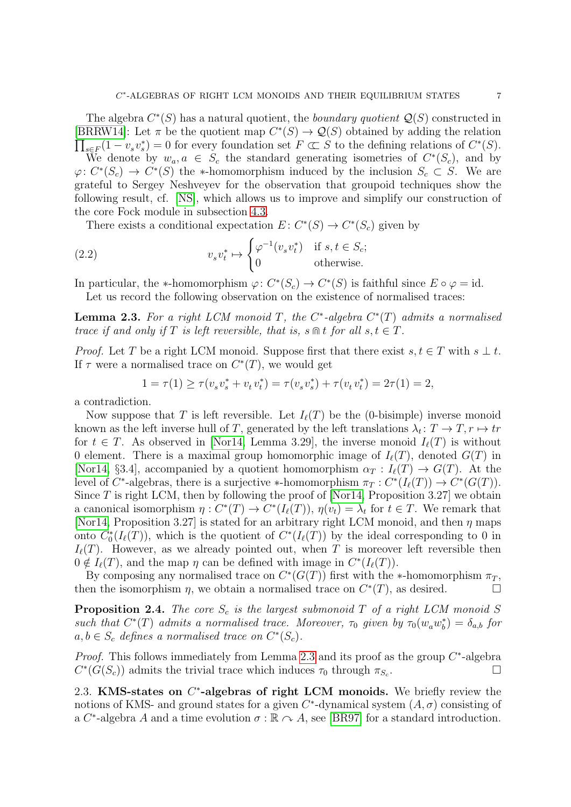The algebra  $C^*(S)$  has a natural quotient, the *boundary quotient*  $\mathcal{Q}(S)$  constructed in [\[BRRW14\]](#page-37-4): Let  $\pi$  be the quotient map  $C^*(S) \to \mathcal{Q}(S)$  obtained by adding the relation  $\prod_{s\in F}(1-v_s v_s^*)=0$  for every foundation set  $F\subset S$  to the defining relations of  $C^*(S)$ .

We denote by  $w_a, a \in S_c$  the standard generating isometries of  $C^*(S_c)$ , and by  $\varphi: C^*(S_c) \to C^*(S)$  the \*-homomorphism induced by the inclusion  $S_c \subset S$ . We are grateful to Sergey Neshveyev for the observation that groupoid techniques show the following result, cf. [\[NS\]](#page-38-16), which allows us to improve and simplify our construction of the core Fock module in subsection [4.3.](#page-14-1)

<span id="page-7-1"></span>There exists a conditional expectation  $E: C^*(S) \to C^*(S_c)$  given by

(2.2) 
$$
v_s v_t^* \mapsto \begin{cases} \varphi^{-1}(v_s v_t^*) & \text{if } s, t \in S_c; \\ 0 & \text{otherwise.} \end{cases}
$$

In particular, the \*-homomorphism  $\varphi: C^*(S_c) \to C^*(S)$  is faithful since  $E \circ \varphi = id$ . Let us record the following observation on the existence of normalised traces:

<span id="page-7-0"></span>**Lemma 2.3.** For a right LCM monoid T, the  $C^*$ -algebra  $C^*(T)$  admits a normalised trace if and only if T is left reversible, that is, s  $\mathbb{R}$  t for all  $s, t \in T$ .

*Proof.* Let T be a right LCM monoid. Suppose first that there exist  $s, t \in T$  with  $s \perp t$ . If  $\tau$  were a normalised trace on  $C^*(T)$ , we would get

$$
1 = \tau(1) \ge \tau(v_s v_s^* + v_t v_t^*) = \tau(v_s v_s^*) + \tau(v_t v_t^*) = 2\tau(1) = 2,
$$

a contradiction.

Now suppose that T is left reversible. Let  $I_{\ell}(T)$  be the (0-bisimple) inverse monoid known as the left inverse hull of T, generated by the left translations  $\lambda_t: T \to T, r \mapsto tr$ for  $t \in T$ . As observed in [\[Nor14,](#page-38-5) Lemma 3.29], the inverse monoid  $I_{\ell}(T)$  is without 0 element. There is a maximal group homomorphic image of  $I_{\ell}(T)$ , denoted  $G(T)$  in [\[Nor14,](#page-38-5) §3.4], accompanied by a quotient homomorphism  $\alpha_T : I_{\ell}(T) \to G(T)$ . At the level of  $C^*$ -algebras, there is a surjective \*-homomorphism  $\pi_T : C^*(I_\ell(T)) \to C^*(G(T))$ . Since  $T$  is right LCM, then by following the proof of [\[Nor14,](#page-38-5) Proposition 3.27] we obtain a canonical isomorphism  $\eta: C^*(T) \to C^*(I_\ell(T))$ ,  $\eta(v_t) = \lambda_t$  for  $t \in T$ . We remark that [\[Nor14,](#page-38-5) Proposition 3.27] is stated for an arbitrary right LCM monoid, and then  $\eta$  maps onto  $C_0^*(I_\ell(T))$ , which is the quotient of  $C^*(I_\ell(T))$  by the ideal corresponding to 0 in  $I_{\ell}(T)$ . However, as we already pointed out, when T is moreover left reversible then  $0 \notin I_{\ell}(T)$ , and the map  $\eta$  can be defined with image in  $C^*(I_{\ell}(T))$ .

By composing any normalised trace on  $C^*(G(T))$  first with the ∗-homomorphism  $\pi_T$ , then the isomorphism  $\eta$ , we obtain a normalised trace on  $C^*(T)$ , as desired.

<span id="page-7-2"></span>**Proposition 2.4.** The core  $S_c$  is the largest submonoid T of a right LCM monoid S such that  $C^*(T)$  admits a normalised trace. Moreover,  $\tau_0$  given by  $\tau_0(w_a w_b^*) = \delta_{a,b}$  for  $a, b \in S_c$  defines a normalised trace on  $C^*(S_c)$ .

*Proof.* This follows immediately from Lemma [2.3](#page-7-0) and its proof as the group  $C^*$ -algebra  $C^*(G(S_c))$  admits the trivial trace which induces  $\tau_0$  through  $\pi_{S_c}$ .

2.3. KMS-states on  $C^*$ -algebras of right LCM monoids. We briefly review the notions of KMS- and ground states for a given  $C^*$ -dynamical system  $(A, \sigma)$  consisting of a C<sup>\*</sup>-algebra A and a time evolution  $\sigma : \mathbb{R} \cap A$ , see [\[BR97\]](#page-37-17) for a standard introduction.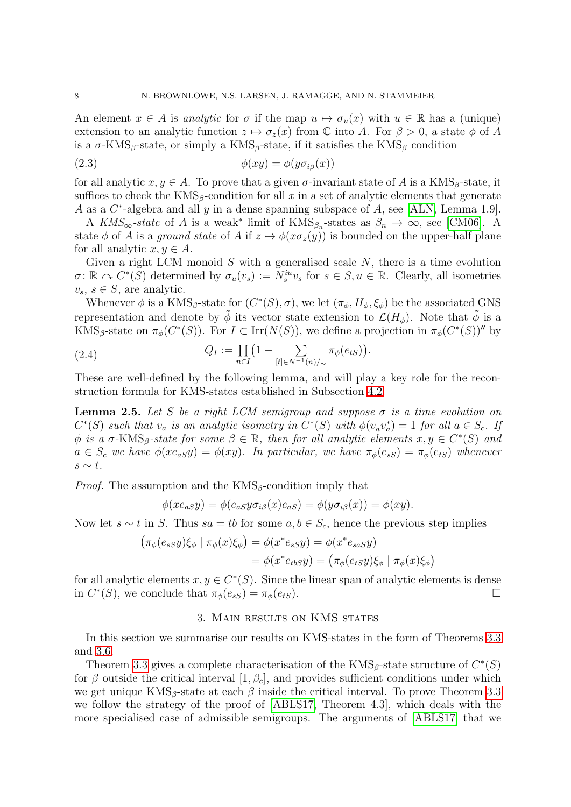An element  $x \in A$  is analytic for  $\sigma$  if the map  $u \mapsto \sigma_u(x)$  with  $u \in \mathbb{R}$  has a (unique) extension to an analytic function  $z \mapsto \sigma_z(x)$  from C into A. For  $\beta > 0$ , a state  $\phi$  of A is a  $\sigma$ -KMS<sub>β</sub>-state, or simply a KMS<sub>β</sub>-state, if it satisfies the KMS<sub>β</sub> condition

(2.3) 
$$
\phi(xy) = \phi(y\sigma_{i\beta}(x))
$$

for all analytic  $x, y \in A$ . To prove that a given  $\sigma$ -invariant state of A is a KMS<sub>β</sub>-state, it suffices to check the  $KMS_{\beta}$ -condition for all x in a set of analytic elements that generate A as a  $C^*$ -algebra and all y in a dense spanning subspace of A, see [\[ALN,](#page-36-2) Lemma 1.9].

A  $KMS_{\infty}$ -state of A is a weak<sup>\*</sup> limit of  $KMS_{\beta_n}$ -states as  $\beta_n \to \infty$ , see [\[CM06\]](#page-37-18). A state  $\phi$  of A is a ground state of A if  $z \mapsto \phi(x\sigma_z(y))$  is bounded on the upper-half plane for all analytic  $x, y \in A$ .

Given a right LCM monoid S with a generalised scale  $N$ , there is a time evolution  $\sigma \colon \mathbb{R} \to C^*(\tilde{S})$  determined by  $\sigma_u(v_s) := N_s^{iu}v_s$  for  $s \in S, u \in \mathbb{R}$ . Clearly, all isometries  $v_s, s \in S$ , are analytic.

Whenever  $\phi$  is a KMS<sub>β</sub>-state for  $(C^*(S), \sigma)$ , we let  $(\pi_{\phi}, H_{\phi}, \xi_{\phi})$  be the associated GNS representation and denote by  $\phi$  its vector state extension to  $\mathcal{L}(H_{\phi})$ . Note that  $\phi$  is a KMS<sub>β</sub>-state on  $\pi_{\phi}(C^*(S))$ . For  $I \subset \text{Irr}(N(S))$ , we define a projection in  $\pi_{\phi}(C^*(S))^{\prime\prime}$  by

<span id="page-8-1"></span>(2.4) 
$$
Q_I := \prod_{n \in I} \left(1 - \sum_{[t] \in N^{-1}(n)/\sim} \pi_{\phi}(e_{tS})\right).
$$

These are well-defined by the following lemma, and will play a key role for the reconstruction formula for KMS-states established in Subsection [4.2.](#page-12-0)

<span id="page-8-0"></span>**Lemma 2.5.** Let S be a right LCM semigroup and suppose  $\sigma$  is a time evolution on  $C^*(S)$  such that  $v_a$  is an analytic isometry in  $C^*(S)$  with  $\phi(v_a v_a^*) = 1$  for all  $a \in S_c$ . If  $\phi$  is a  $\sigma$ -KMS<sub>β</sub>-state for some  $\beta \in \mathbb{R}$ , then for all analytic elements  $x, y \in C^*(S)$  and  $a \in S_c$  we have  $\phi(xe_{aS}y) = \phi(xy)$ . In particular, we have  $\pi_{\phi}(e_{sS}) = \pi_{\phi}(e_{tS})$  whenever  $s \sim t$ .

*Proof.* The assumption and the  $KMS_{\beta}$ -condition imply that

$$
\phi(xe_{aS}y) = \phi(e_{aS}y\sigma_{i\beta}(x)e_{aS}) = \phi(y\sigma_{i\beta}(x)) = \phi(xy).
$$

Now let  $s \sim t$  in S. Thus  $sa = tb$  for some  $a, b \in S_c$ , hence the previous step implies

$$
\begin{aligned} \left(\pi_{\phi}(e_{sS}y)\xi_{\phi} \mid \pi_{\phi}(x)\xi_{\phi}\right) &= \phi(x^*e_{sS}y) = \phi(x^*e_{sas}y) \\ &= \phi(x^*e_{tbS}y) = \left(\pi_{\phi}(e_{tS}y)\xi_{\phi} \mid \pi_{\phi}(x)\xi_{\phi}\right) \end{aligned}
$$

for all analytic elements  $x, y \in C^*(S)$ . Since the linear span of analytic elements is dense in  $C^*(S)$ , we conclude that  $\pi_{\phi}(e_{sS}) = \pi_{\phi}(e_{tS})$ .

#### 3. Main results on KMS states

In this section we summarise our results on KMS-states in the form of Theorems [3.3](#page-9-0) and [3.6.](#page-10-0)

Theorem [3.3](#page-9-0) gives a complete characterisation of the  $KMS_{\beta}$ -state structure of  $C^*(S)$ for  $\beta$  outside the critical interval  $[1, \beta_c]$ , and provides sufficient conditions under which we get unique  $KMS_{\beta}$ -state at each  $\beta$  inside the critical interval. To prove Theorem [3.3](#page-9-0) we follow the strategy of the proof of [\[ABLS17,](#page-36-1) Theorem 4.3], which deals with the more specialised case of admissible semigroups. The arguments of [\[ABLS17\]](#page-36-1) that we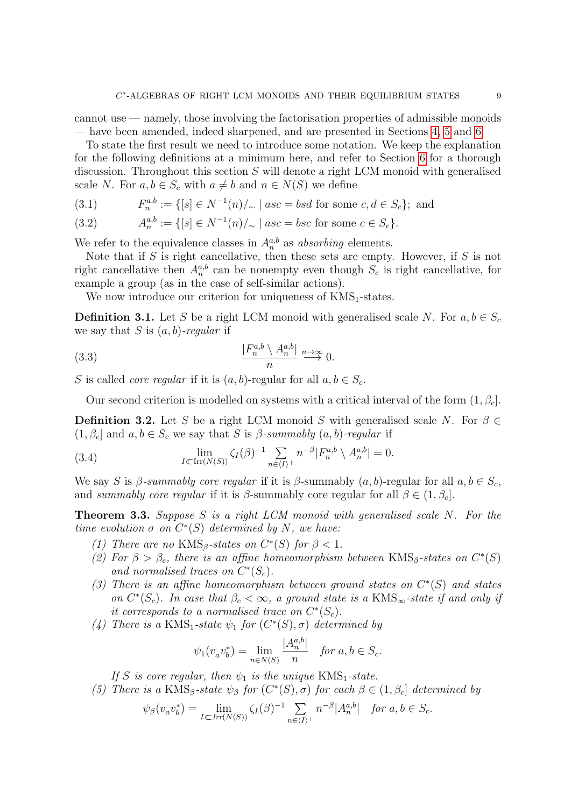cannot use — namely, those involving the factorisation properties of admissible monoids — have been amended, indeed sharpened, and are presented in Sections [4,](#page-10-1) [5](#page-17-0) and [6.](#page-21-0)

To state the first result we need to introduce some notation. We keep the explanation for the following definitions at a minimum here, and refer to Section [6](#page-21-0) for a thorough discussion. Throughout this section  $S$  will denote a right LCM monoid with generalised scale N. For  $a, b \in S_c$  with  $a \neq b$  and  $n \in N(S)$  we define

(3.1) 
$$
F_n^{a,b} := \{ [s] \in N^{-1}(n) /_{\sim} \mid asc = bsd \text{ for some } c, d \in S_c \}; \text{ and}
$$

(3.2) 
$$
A_n^{a,b} := \{ [s] \in N^{-1}(n) /_{\sim} \mid asc = bsc \text{ for some } c \in S_c \}.
$$

We refer to the equivalence classes in  $A_n^{a,b}$  as absorbing elements.

Note that if  $S$  is right cancellative, then these sets are empty. However, if  $S$  is not right cancellative then  $A_n^{a,b}$  can be nonempty even though  $S_c$  is right cancellative, for example a group (as in the case of self-similar actions).

We now introduce our criterion for uniqueness of  $KMS_1$ -states.

<span id="page-9-1"></span>**Definition 3.1.** Let S be a right LCM monoid with generalised scale N. For  $a, b \in S_c$ we say that S is  $(a, b)$ -regular if

(3.3) 
$$
\frac{|F_n^{a,b} \setminus A_n^{a,b}|}{n} \xrightarrow{n \to \infty} 0.
$$

S is called *core regular* if it is  $(a, b)$ -regular for all  $a, b \in S_c$ .

Our second criterion is modelled on systems with a critical interval of the form  $(1, \beta_c)$ .

<span id="page-9-2"></span>**Definition 3.2.** Let S be a right LCM monoid S with generalised scale N. For  $\beta \in$  $(1, \beta_c]$  and  $a, b \in S_c$  we say that S is  $\beta$ -summably  $(a, b)$ -regular if

<span id="page-9-3"></span>(3.4) 
$$
\lim_{I \subset \text{Irr}(N(S))} \zeta_I(\beta)^{-1} \sum_{n \in \langle I \rangle^+} n^{-\beta} |F_n^{a,b} \setminus A_n^{a,b}| = 0.
$$

We say S is  $\beta$ -summably core regular if it is  $\beta$ -summably  $(a, b)$ -regular for all  $a, b \in S_c$ , and summably core regular if it is  $\beta$ -summably core regular for all  $\beta \in (1, \beta_c]$ .

<span id="page-9-0"></span>**Theorem 3.3.** Suppose S is a right LCM monoid with generalised scale N. For the time evolution  $\sigma$  on  $C^*(S)$  determined by N, we have:

- (1) There are no KMS<sub>β</sub>-states on  $C^*(S)$  for  $\beta < 1$ .
- (2) For  $\beta > \beta_c$ , there is an affine homeomorphism between KMS<sub>β</sub>-states on  $C^*(S)$ and normalised traces on  $C^*(S_c)$ .
- (3) There is an affine homeomorphism between ground states on  $C^*(S)$  and states on  $C^*(S_c)$ . In case that  $\beta_c < \infty$ , a ground state is a KMS<sub>∞</sub>-state if and only if it corresponds to a normalised trace on  $C^*(S_c)$ .
- (4) There is a KMS<sub>1</sub>-state  $\psi_1$  for  $(C^*(S), \sigma)$  determined by

$$
\psi_1(v_a v_b^*) = \lim_{n \in N(S)} \frac{|A_n^{a,b}|}{n} \quad \text{for } a, b \in S_c.
$$

If S is core regular, then  $\psi_1$  is the unique KMS<sub>1</sub>-state.

(5) There is a KMS<sub>β</sub>-state  $\psi_{\beta}$  for  $(C^*(S), \sigma)$  for each  $\beta \in (1, \beta_c]$  determined by

$$
\psi_{\beta}(v_a v_b^*) = \lim_{I \subset \text{Irr}(N(S))} \zeta_I(\beta)^{-1} \sum_{n \in \langle I \rangle^+} n^{-\beta} |A_n^{a,b}| \quad \text{for } a, b \in S_c.
$$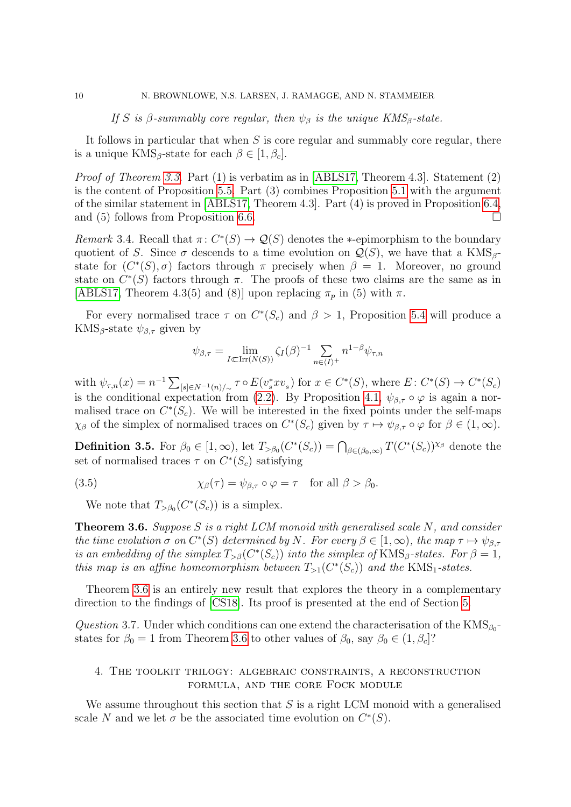If S is  $\beta$ -summably core regular, then  $\psi_{\beta}$  is the unique KMS<sub>β</sub>-state.

It follows in particular that when  $S$  is core regular and summably core regular, there is a unique  $KMS_{\beta}$ -state for each  $\beta \in [1, \beta_c]$ .

Proof of Theorem [3.3.](#page-9-0) Part (1) is verbatim as in [\[ABLS17,](#page-36-1) Theorem 4.3]. Statement (2) is the content of Proposition [5.5.](#page-19-0) Part (3) combines Proposition [5.1](#page-17-1) with the argument of the similar statement in [\[ABLS17,](#page-36-1) Theorem 4.3]. Part (4) is proved in Proposition [6.4,](#page-22-0) and (5) follows from Proposition [6.6.](#page-23-0)

Remark 3.4. Recall that  $\pi: C^*(S) \to \mathcal{Q}(S)$  denotes the \*-epimorphism to the boundary quotient of S. Since  $\sigma$  descends to a time evolution on  $\mathcal{Q}(S)$ , we have that a KMS<sub>β</sub>state for  $(C^*(S), \sigma)$  factors through  $\pi$  precisely when  $\beta = 1$ . Moreover, no ground state on  $C^*(S)$  factors through  $\pi$ . The proofs of these two claims are the same as in [\[ABLS17,](#page-36-1) Theorem 4.3(5) and (8)] upon replacing  $\pi_p$  in (5) with  $\pi$ .

For every normalised trace  $\tau$  on  $C^*(S_c)$  and  $\beta > 1$ , Proposition [5.4](#page-18-0) will produce a KMS<sub>β</sub>-state  $\psi_{\beta,\tau}$  given by

$$
\psi_{\beta,\tau} = \lim_{I \subset \text{Irr}(N(S))} \zeta_I(\beta)^{-1} \sum_{n \in \langle I \rangle^+} n^{1-\beta} \psi_{\tau,n}
$$

with  $\psi_{\tau,n}(x) = n^{-1} \sum_{[s] \in N^{-1}(n)/\sim} \tau \circ E(v_s^* x v_s)$  for  $x \in C^*(S)$ , where  $E: C^*(S) \to C^*(S_c)$ is the conditional expectation from [\(2.2\)](#page-7-1). By Proposition [4.1,](#page-11-0)  $\psi_{\beta,\tau} \circ \varphi$  is again a normalised trace on  $C^*(S_c)$ . We will be interested in the fixed points under the self-maps  $\chi_{\beta}$  of the simplex of normalised traces on  $C^*(S_c)$  given by  $\tau \mapsto \psi_{\beta,\tau} \circ \varphi$  for  $\beta \in (1,\infty)$ .

**Definition 3.5.** For  $\beta_0 \in [1, \infty)$ , let  $T_{>\beta_0}(C^*(S_c)) = \bigcap_{\beta \in (\beta_0, \infty)} T(C^*(S_c))^{X\beta}$  denote the set of normalised traces  $\tau$  on  $C^*(S_c)$  satisfying

(3.5) 
$$
\chi_{\beta}(\tau) = \psi_{\beta,\tau} \circ \varphi = \tau \quad \text{for all } \beta > \beta_0.
$$

<span id="page-10-2"></span>We note that  $T_{>\beta_0}(C^*(S_c))$  is a simplex.

<span id="page-10-0"></span>**Theorem 3.6.** Suppose S is a right LCM monoid with generalised scale N, and consider the time evolution  $\sigma$  on  $C^*(S)$  determined by N. For every  $\beta \in [1,\infty)$ , the map  $\tau \mapsto \psi_{\beta,\tau}$ is an embedding of the simplex  $T_{\geq \beta}(C^*(S_c))$  into the simplex of KMS<sub>β</sub>-states. For  $\beta = 1$ , this map is an affine homeomorphism between  $T_{>1}(C^*(S_c))$  and the KMS<sub>1</sub>-states.

Theorem [3.6](#page-10-0) is an entirely new result that explores the theory in a complementary direction to the findings of [\[CS18\]](#page-37-14). Its proof is presented at the end of Section [5.](#page-17-0)

Question 3.7. Under which conditions can one extend the characterisation of the  $KMS_{\beta_0}$ states for  $\beta_0 = 1$  from Theorem [3.6](#page-10-0) to other values of  $\beta_0$ , say  $\beta_0 \in (1, \beta_c]$ ?

### <span id="page-10-1"></span>4. The toolkit trilogy: algebraic constraints, a reconstruction formula, and the core Fock module

We assume throughout this section that  $S$  is a right LCM monoid with a generalised scale N and we let  $\sigma$  be the associated time evolution on  $C^*(S)$ .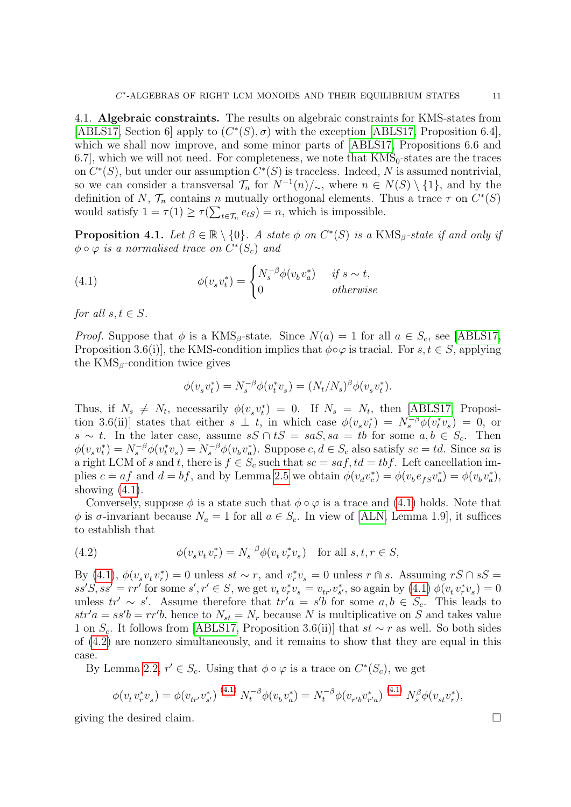4.1. Algebraic constraints. The results on algebraic constraints for KMS-states from [\[ABLS17,](#page-36-1) Section 6] apply to  $(C^*(S), \sigma)$  with the exception [\[ABLS17,](#page-36-1) Proposition 6.4], which we shall now improve, and some minor parts of [\[ABLS17,](#page-36-1) Propositions 6.6 and 6.7, which we will not need. For completeness, we note that  $KMS_0$ -states are the traces on  $C^*(S)$ , but under our assumption  $C^*(S)$  is traceless. Indeed, N is assumed nontrivial, so we can consider a transversal  $\mathcal{T}_n$  for  $N^{-1}(n)/\sim$ , where  $n \in N(S) \setminus \{1\}$ , and by the definition of N,  $\mathcal{T}_n$  contains n mutually orthogonal elements. Thus a trace  $\tau$  on  $C^*(S)$ would satisfy  $1 = \tau(1) \ge \tau(\sum_{t \in \mathcal{T}_n} e_{tS}) = n$ , which is impossible.

<span id="page-11-0"></span>**Proposition 4.1.** Let  $\beta \in \mathbb{R} \setminus \{0\}$ . A state  $\phi$  on  $C^*(S)$  is a KMS<sub> $\beta$ </sub>-state if and only if  $\phi \circ \varphi$  is a normalised trace on  $C^*(S_c)$  and

(4.1) 
$$
\phi(v_s v_t^*) = \begin{cases} N_s^{-\beta} \phi(v_b v_a^*) & \text{if } s \sim t, \\ 0 & \text{otherwise} \end{cases}
$$

for all  $s, t \in S$ .

*Proof.* Suppose that  $\phi$  is a KMS<sub>β</sub>-state. Since  $N(a) = 1$  for all  $a \in S_c$ , see [\[ABLS17,](#page-36-1) Proposition 3.6(i)], the KMS-condition implies that  $\phi \circ \varphi$  is tracial. For  $s, t \in S$ , applying the  $KMS_{\beta}$ -condition twice gives

<span id="page-11-1"></span>
$$
\phi(v_s v_t^*) = N_s^{-\beta} \phi(v_t^* v_s) = (N_t/N_s)^{\beta} \phi(v_s v_t^*).
$$

Thus, if  $N_s \neq N_t$ , necessarily  $\phi(v_s v_t^*) = 0$ . If  $N_s = N_t$ , then [\[ABLS17,](#page-36-1) Proposition 3.6(ii)] states that either  $s \perp t$ , in which case  $\phi(v_s v_t^*) = N_s^{-\beta} \phi(v_t^* v_s) = 0$ , or s ∼ t. In the later case, assume  $sS \cap tS = saS$ ,  $sa = tb$  for some  $a, b \in S_c$ . Then  $\phi(v_sv_t^*)=N_s^{-\beta}\phi(v_t^*v_s)=N_s^{-\beta}\phi(v_bv_a^*)$ . Suppose  $c, d \in S_c$  also satisfy  $sc = td$ . Since sa is a right LCM of s and t, there is  $f \in S_c$  such that  $sc = sa f, td = tbf$ . Left cancellation implies  $c = af$  and  $d = bf$ , and by Lemma [2.5](#page-8-0) we obtain  $\phi(v_d v_c^*) = \phi(v_b e_{fS} v_a^*) = \phi(v_b v_a^*),$ showing  $(4.1)$ .

Conversely, suppose  $\phi$  is a state such that  $\phi \circ \varphi$  is a trace and [\(4.1\)](#page-11-1) holds. Note that  $\phi$  is  $\sigma$ -invariant because  $N_a = 1$  for all  $a \in S_c$ . In view of [\[ALN,](#page-36-2) Lemma 1.9], it suffices to establish that

<span id="page-11-2"></span>(4.2) 
$$
\phi(v_s v_t v_r^*) = N_s^{-\beta} \phi(v_t v_r^* v_s) \text{ for all } s, t, r \in S,
$$

By [\(4.1\)](#page-11-1),  $\phi(v_s v_t v_r^*) = 0$  unless  $st \sim r$ , and  $v_r^* v_s = 0$  unless  $r \text{ s}$ . Assuming  $rS \cap sS =$  $ss'S, ss' = rr'$  for some  $s', r' \in S$ , we get  $v_t v_r^* v_s = v_{tr'} v_{s'}^*$ , so again by  $(4.1) \phi(v_t v_r^* v_s) = 0$ unless  $tr' \sim s'$ . Assume therefore that  $tr'a = s'b$  for some  $a, b \in S_c$ . This leads to  $str'a = ss'b = rr'b$ , hence to  $N_{st} = N_r$  because N is multiplicative on S and takes value 1 on  $S_c$ . It follows from [\[ABLS17,](#page-36-1) Proposition 3.6(ii)] that  $st \sim r$  as well. So both sides of [\(4.2\)](#page-11-2) are nonzero simultaneously, and it remains to show that they are equal in this case.

By Lemma [2.2,](#page-6-0)  $r' \in S_c$ . Using that  $\phi \circ \varphi$  is a trace on  $C^*(S_c)$ , we get

$$
\phi(v_t v_r^* v_s) = \phi(v_{tr'} v_{s'}^*) \stackrel{(4.1)}{=} N_t^{-\beta} \phi(v_b v_a^*) = N_t^{-\beta} \phi(v_{r'b} v_{r'a}^*) \stackrel{(4.1)}{=} N_s^{\beta} \phi(v_{st} v_r^*),
$$

giving the desired claim.  $\Box$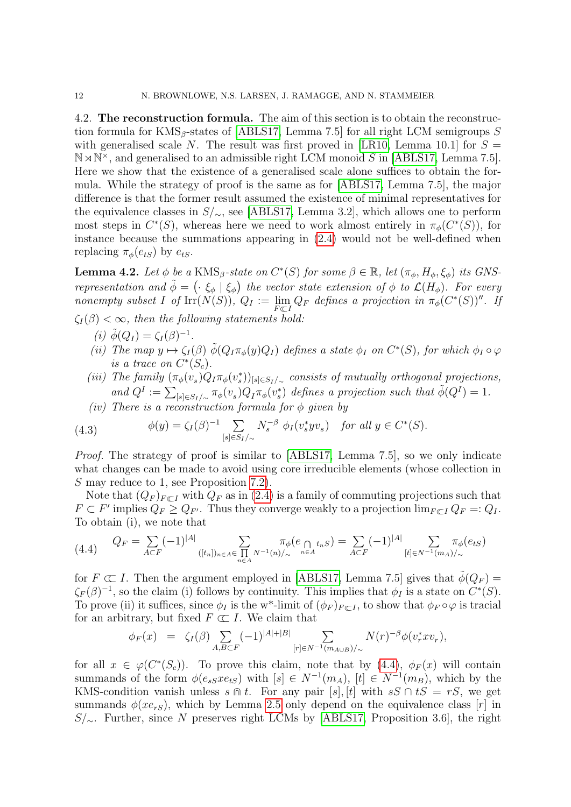<span id="page-12-0"></span>4.2. The reconstruction formula. The aim of this section is to obtain the reconstruction formula for  $KMS_{\beta}$ -states of [\[ABLS17,](#page-36-1) Lemma 7.5] for all right LCM semigroups S with generalised scale N. The result was first proved in [\[LR10,](#page-38-2) Lemma 10.1] for  $S =$  $N \times N^*$ , and generalised to an admissible right LCM monoid S in [\[ABLS17,](#page-36-1) Lemma 7.5]. Here we show that the existence of a generalised scale alone suffices to obtain the formula. While the strategy of proof is the same as for [\[ABLS17,](#page-36-1) Lemma 7.5], the major difference is that the former result assumed the existence of minimal representatives for the equivalence classes in S/∼, see [\[ABLS17,](#page-36-1) Lemma 3.2], which allows one to perform most steps in  $C^*(S)$ , whereas here we need to work almost entirely in  $\pi_\phi(C^*(S))$ , for instance because the summations appearing in [\(2.4\)](#page-8-1) would not be well-defined when replacing  $\pi_{\phi}(e_{tS})$  by  $e_{tS}$ .

<span id="page-12-2"></span>**Lemma 4.2.** Let  $\phi$  be a KMS<sub>β</sub>-state on  $C^*(S)$  for some  $\beta \in \mathbb{R}$ , let  $(\pi_{\phi}, H_{\phi}, \xi_{\phi})$  its GNSrepresentation and  $\tilde{\phi} = (\cdot \xi_{\phi} | \xi_{\phi})$  the vector state extension of  $\phi$  to  $\mathcal{L}(H_{\phi})$ . For every nonempty subset I of  $\mathrm{Irr}(N(S)), Q_I := \lim_{F \subset I} Q_F$  defines a projection in  $\pi_{\phi}(C^*(S))^{\prime\prime}$ . If

 $\zeta_I(\beta) < \infty$ , then the following statements hold:

- (i)  $\tilde{\phi}(Q_I) = \zeta_I(\beta)^{-1}$ .
- (ii) The map  $y \mapsto \zeta_I(\beta) \tilde{\phi}(Q_I \pi_{\phi}(y)Q_I)$  defines a state  $\phi_I$  on  $C^*(S)$ , for which  $\phi_I \circ \varphi$ is a trace on  $C^*(S_c)$ .
- (iii) The family  $(\pi_{\phi}(v_s)Q_I\pi_{\phi}(v_s))_{[s]\in S_I/\sim}$  consists of mutually orthogonal projections, and  $Q^I := \sum_{[s] \in S_I/\sim} \pi_\phi(v_s) Q_I \pi_\phi(v_s^*)$  defines a projection such that  $\tilde{\phi}(Q^I) = 1$ .
- (iv) There is a reconstruction formula for  $\phi$  given by

(4.3) 
$$
\phi(y) = \zeta_I(\beta)^{-1} \sum_{[s] \in S_I/\sim} N_s^{-\beta} \phi_I(v_s^* y v_s) \text{ for all } y \in C^*(S).
$$

Proof. The strategy of proof is similar to [\[ABLS17,](#page-36-1) Lemma 7.5], so we only indicate what changes can be made to avoid using core irreducible elements (whose collection in S may reduce to 1, see Proposition [7.2\)](#page-26-0).

Note that  $(Q_F)_{F\subset I}$  with  $Q_F$  as in [\(2.4\)](#page-8-1) is a family of commuting projections such that  $F \subset F'$  implies  $Q_F \geq Q_{F'}$ . Thus they converge weakly to a projection  $\lim_{F \subset I} Q_F =: Q_I$ . To obtain (i), we note that

<span id="page-12-1"></span>
$$
(4.4) \qquad Q_F = \sum_{A \subset F} (-1)^{|A|} \sum_{([t_n])_{n \in A} \in \prod_{n \in A} N^{-1}(n)/\sim} \pi_{\phi}(e_{\bigcap_{n \in A} t_n S}) = \sum_{A \subset F} (-1)^{|A|} \sum_{[t] \in N^{-1}(m_A)/\sim} \pi_{\phi}(e_{tS})
$$

for  $F \subset I$ . Then the argument employed in [\[ABLS17,](#page-36-1) Lemma 7.5] gives that  $\tilde{\phi}(Q_F)$  =  $\zeta_F(\beta)^{-1}$ , so the claim (i) follows by continuity. This implies that  $\phi_I$  is a state on  $C^*(S)$ . To prove (ii) it suffices, since  $\phi_I$  is the w<sup>\*</sup>-limit of  $(\phi_F)_{F \subset I}$ , to show that  $\phi_F \circ \varphi$  is tracial for an arbitrary, but fixed  $F \subset I$ . We claim that

$$
\phi_F(x) = \zeta_I(\beta) \sum_{A, B \subset F} (-1)^{|A|+|B|} \sum_{[r] \in N^{-1}(m_{A \cup B})/\sim} N(r)^{-\beta} \phi(v_r^* x v_r),
$$

for all  $x \in \varphi(C^*(S_c))$ . To prove this claim, note that by [\(4.4\)](#page-12-1),  $\phi_F(x)$  will contain summands of the form  $\phi(e_{sS}xe_{tS})$  with  $[s] \in N^{-1}(m_A)$ ,  $[t] \in N^{-1}(m_B)$ , which by the KMS-condition vanish unless s  $\mathbb R$  t. For any pair  $[s], [t]$  with  $sS \cap tS = rS$ , we get summands  $\phi(xe_{rs})$ , which by Lemma [2.5](#page-8-0) only depend on the equivalence class [r] in S/∼. Further, since N preserves right LCMs by [\[ABLS17,](#page-36-1) Proposition 3.6], the right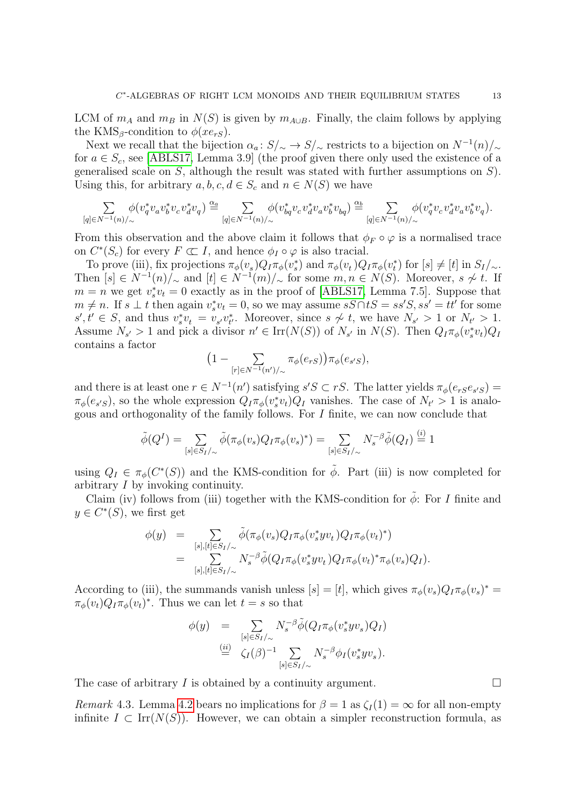LCM of  $m_A$  and  $m_B$  in  $N(S)$  is given by  $m_{A\cup B}$ . Finally, the claim follows by applying the KMS<sub>β</sub>-condition to  $\phi(xe_{rs})$ .

Next we recall that the bijection  $\alpha_a: S/\sim S/\sim$  restricts to a bijection on  $N^{-1}(n)/\sim$ for  $a \in S_c$ , see [\[ABLS17,](#page-36-1) Lemma 3.9] (the proof given there only used the existence of a generalised scale on  $S$ , although the result was stated with further assumptions on  $S$ ). Using this, for arbitrary  $a, b, c, d \in S_c$  and  $n \in N(S)$  we have

$$
\sum_{[q]\in N^{-1}(n)/\sim}\phi(v_q^*v_av_b^*v_cv_d^*v_q)\stackrel{\alpha_a}{=}\sum_{[q]\in N^{-1}(n)/\sim}\phi(v_{bq}^*v_cv_d^*v_av_b^*v_{bq})\stackrel{\alpha_b}{=}\sum_{[q]\in N^{-1}(n)/\sim}\phi(v_q^*v_cv_d^*v_av_b^*v_q).
$$

From this observation and the above claim it follows that  $\phi_F \circ \varphi$  is a normalised trace on  $C^*(S_c)$  for every  $F \subset I$ , and hence  $\phi_I \circ \varphi$  is also tracial.

To prove (iii), fix projections  $\pi_{\phi}(v_s)Q_I\pi_{\phi}(v_s^*)$  and  $\pi_{\phi}(v_t)Q_I\pi_{\phi}(v_t^*)$  for  $[s] \neq [t]$  in  $S_I/\sim$ . Then  $[s] \in N^{-1}(n)/_{\sim}$  and  $[t] \in N^{-1}(m)/_{\sim}$  for some  $m, n \in N(S)$ . Moreover,  $s \not\sim t$ . If  $m = n$  we get  $v_s^* v_t = 0$  exactly as in the proof of [\[ABLS17,](#page-36-1) Lemma 7.5]. Suppose that  $m \neq n$ . If  $s \perp t$  then again  $v_s^* v_t = 0$ , so we may assume  $sS \cap tS = ss'S$ ,  $ss' = tt'$  for some  $s', t' \in S$ , and thus  $v_s^* v_t = v_{s'} v_{t'}^*$ . Moreover, since  $s \nsim t$ , we have  $N_{s'} > 1$  or  $N_{t'} > 1$ . Assume  $N_{s'} > 1$  and pick a divisor  $n' \in \text{Irr}(N(S))$  of  $N_{s'}$  in  $N(S)$ . Then  $Q_I \pi_{\phi}(v_s^* v_t) Q_I$ contains a factor

$$
\left(1-\sum_{[r]\in N^{-1}(n')/\sim}\pi_{\phi}(e_{rS})\right)\pi_{\phi}(e_{s'S}),
$$

and there is at least one  $r \in N^{-1}(n')$  satisfying  $s'S \subset rS$ . The latter yields  $\pi_{\phi}(e_r s e_{s'S}) =$  $\pi_{\phi}(e_{s'S})$ , so the whole expression  $Q_I \pi_{\phi}(v_s^* v_t) Q_I$  vanishes. The case of  $N_{t'} > 1$  is analogous and orthogonality of the family follows. For I finite, we can now conclude that

$$
\tilde{\phi}(Q^I) = \sum_{[s] \in S_I/\sim} \tilde{\phi}(\pi_{\phi}(v_s) Q_I \pi_{\phi}(v_s)^*) = \sum_{[s] \in S_I/\sim} N_s^{-\beta} \tilde{\phi}(Q_I) \stackrel{(i)}{=} 1
$$

using  $Q_I \in \pi_\phi(C^*(S))$  and the KMS-condition for  $\tilde{\phi}$ . Part (iii) is now completed for arbitrary I by invoking continuity.

Claim (iv) follows from (iii) together with the KMS-condition for  $\tilde{\phi}$ : For I finite and  $y \in C^*(S)$ , we first get

$$
\begin{array}{rcl}\n\phi(y) & = & \sum\limits_{[s],[t]\in S_I/\sim} \tilde{\phi}(\pi_{\phi}(v_s)Q_I\pi_{\phi}(v_s^*yv_t)Q_I\pi_{\phi}(v_t)^*) \\
& = & \sum\limits_{[s],[t]\in S_I/\sim} N_s^{-\beta} \tilde{\phi}(Q_I\pi_{\phi}(v_s^*yv_t)Q_I\pi_{\phi}(v_t)^*\pi_{\phi}(v_s)Q_I).\n\end{array}
$$

According to (iii), the summands vanish unless  $[s] = [t]$ , which gives  $\pi_{\phi}(v_s)Q_I\pi_{\phi}(v_s)^* =$  $\pi_{\phi}(v_t)Q_I\pi_{\phi}(v_t)^*$ . Thus we can let  $t=s$  so that

$$
\begin{array}{rcl}\n\phi(y) & = & \sum\limits_{[s]\in S_I/\sim} N_s^{-\beta} \tilde{\phi}(Q_I \pi_\phi(v_s^* y v_s) Q_I) \\
& \stackrel{(ii)}{=} & \zeta_I(\beta)^{-1} \sum\limits_{[s]\in S_I/\sim} N_s^{-\beta} \phi_I(v_s^* y v_s).\n\end{array}
$$

The case of arbitrary I is obtained by a continuity argument.  $\Box$ 

<span id="page-13-0"></span>Remark 4.3. Lemma [4.2](#page-12-2) bears no implications for  $\beta = 1$  as  $\zeta_I(1) = \infty$  for all non-empty infinite  $I \subset \text{Irr}(N(S))$ . However, we can obtain a simpler reconstruction formula, as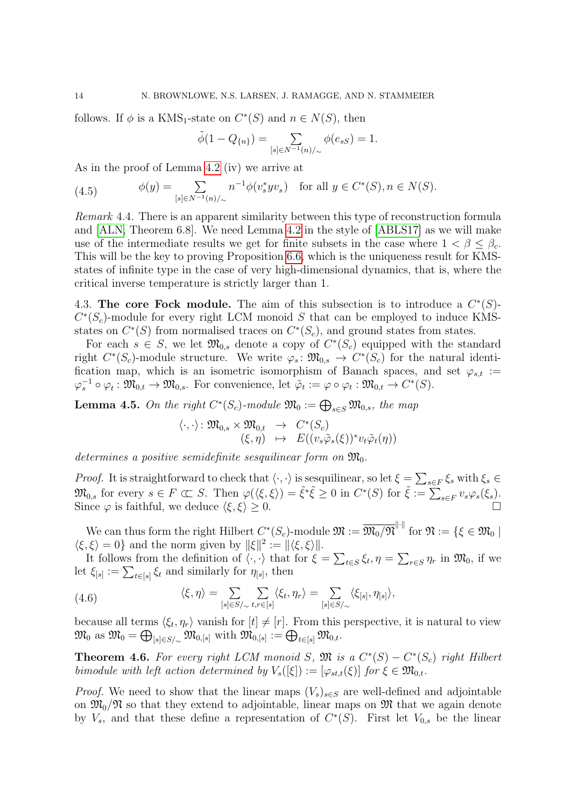follows. If  $\phi$  is a KMS<sub>1</sub>-state on  $C^*(S)$  and  $n \in N(S)$ , then

$$
\tilde{\phi}(1-Q_{\{n\}})=\sum_{[s]\in N^{-1}(n)/{\sim}}\phi(e_{sS})=1.
$$

As in the proof of Lemma [4.2](#page-12-2) (iv) we arrive at

<span id="page-14-3"></span>(4.5) 
$$
\phi(y) = \sum_{[s] \in N^{-1}(n)/\sim} n^{-1} \phi(v_s^* y v_s) \text{ for all } y \in C^*(S), n \in N(S).
$$

Remark 4.4. There is an apparent similarity between this type of reconstruction formula and [\[ALN,](#page-36-2) Theorem 6.8]. We need Lemma [4.2](#page-12-2) in the style of [\[ABLS17\]](#page-36-1) as we will make use of the intermediate results we get for finite subsets in the case where  $1 < \beta \leq \beta_c$ . This will be the key to proving Proposition [6.6,](#page-23-0) which is the uniqueness result for KMSstates of infinite type in the case of very high-dimensional dynamics, that is, where the critical inverse temperature is strictly larger than 1.

<span id="page-14-1"></span>4.3. The core Fock module. The aim of this subsection is to introduce a  $C^*(S)$ - $C^*(S_c)$ -module for every right LCM monoid S that can be employed to induce KMSstates on  $C^*(S)$  from normalised traces on  $C^*(S_c)$ , and ground states from states.

For each  $s \in S$ , we let  $\mathfrak{M}_{0,s}$  denote a copy of  $C^*(S_c)$  equipped with the standard right  $C^*(S_c)$ -module structure. We write  $\varphi_s \colon \mathfrak{M}_{0,s} \to C^*(S_c)$  for the natural identification map, which is an isometric isomorphism of Banach spaces, and set  $\varphi_{s,t}$  :=  $\varphi_s^{-1} \circ \varphi_t : \mathfrak{M}_{0,t} \to \mathfrak{M}_{0,s}$ . For convenience, let  $\tilde{\varphi}_t := \varphi \circ \varphi_t : \mathfrak{M}_{0,t} \to C^*(S)$ .

**Lemma 4.5.** On the right  $C^*(S_c)$ -module  $\mathfrak{M}_0 := \bigoplus_{s \in S} \mathfrak{M}_{0,s}$ , the map

$$
\langle \cdot, \cdot \rangle \colon \mathfrak{M}_{0,s} \times \mathfrak{M}_{0,t} \rightarrow C^*(S_c) (\xi, \eta) \mapsto E((v_s \tilde{\varphi}_s(\xi))^* v_t \tilde{\varphi}_t(\eta))
$$

determines a positive semidefinite sesquilinear form on  $\mathfrak{M}_{0}$ .

*Proof.* It is straightforward to check that  $\langle \cdot, \cdot \rangle$  is sesquilinear, so let  $\xi = \sum_{s \in F} \xi_s$  with  $\xi_s \in$  $\mathfrak{M}_{0,s}$  for every  $s \in F \subset S$ . Then  $\varphi(\langle \xi, \xi \rangle) = \tilde{\xi}^* \tilde{\xi} \geq 0$  in  $C^*(S)$  for  $\tilde{\xi} := \sum_{s \in F} v_s \varphi_s(\xi_s)$ . Since  $\varphi$  is faithful, we deduce  $\langle \xi, \xi \rangle \geq 0$ .

We can thus form the right Hilbert  $C^*(S_c)$ -module  $\mathfrak{M} := \overline{\mathfrak{M}_0/\mathfrak{N}}^{\|\cdot\|}$  for  $\mathfrak{N} := \{\xi \in \mathfrak{M}_0 \mid \xi \in \mathfrak{M}_0\}$  $\langle \xi, \xi \rangle = 0$ } and the norm given by  $\|\xi\|^2 := \|\langle \xi, \xi \rangle\|$ .

It follows from the definition of  $\langle \cdot, \cdot \rangle$  that for  $\xi = \sum_{t \in S} \xi_t$ ,  $\eta = \sum_{r \in S} \eta_r$  in  $\mathfrak{M}_0$ , if we let  $\xi_{[s]} := \sum_{t \in [s]} \xi_t$  and similarly for  $\eta_{[s]}$ , then

<span id="page-14-2"></span>(4.6) 
$$
\langle \xi, \eta \rangle = \sum_{[s] \in S/\sim} \sum_{t, r \in [s]} \langle \xi_t, \eta_r \rangle = \sum_{[s] \in S/\sim} \langle \xi_{[s]}, \eta_{[s]} \rangle,
$$

because all terms  $\langle \xi_t, \eta_r \rangle$  vanish for  $[t] \neq [r]$ . From this perspective, it is natural to view  $\mathfrak{M}_0 \ \text{as} \ \mathfrak{M}_0 = \bigoplus_{[s] \in S/\sim} \mathfrak{M}_{0,[s]} \ \text{with} \ \mathfrak{M}_{0,[s]} := \bigoplus_{t \in [s]} \mathfrak{M}_{0,t}.$ 

<span id="page-14-0"></span>**Theorem 4.6.** For every right LCM monoid S,  $\mathfrak{M}$  is a  $C^*(S) - C^*(S_c)$  right Hilbert bimodule with left action determined by  $V_s([\xi]) := [\varphi_{st,t}(\xi)]$  for  $\xi \in \mathfrak{M}_{0,t}$ .

*Proof.* We need to show that the linear maps  $(V_s)_{s\in S}$  are well-defined and adjointable on  $\mathfrak{M}_{0}/\mathfrak{N}$  so that they extend to adjointable, linear maps on  $\mathfrak{M}$  that we again denote by  $V_s$ , and that these define a representation of  $C^*(S)$ . First let  $V_{0,s}$  be the linear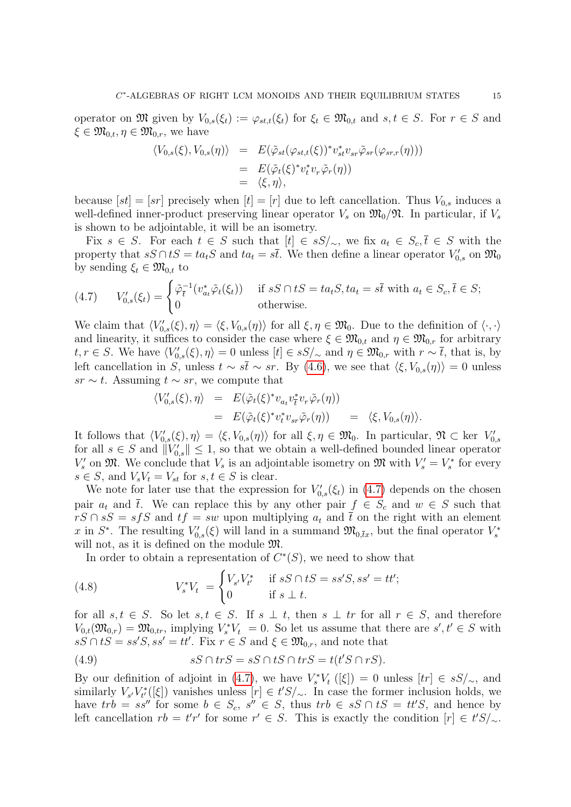operator on  $\mathfrak{M}$  given by  $V_{0,s}(\xi_t) := \varphi_{st,t}(\xi_t)$  for  $\xi_t \in \mathfrak{M}_{0,t}$  and  $s, t \in S$ . For  $r \in S$  and  $\xi \in \mathfrak{M}_{0,t}, \eta \in \mathfrak{M}_{0,r}$ , we have

$$
\langle V_{0,s}(\xi), V_{0,s}(\eta) \rangle = E(\tilde{\varphi}_{st}(\varphi_{st,t}(\xi))^* v_{st}^* v_{sr} \tilde{\varphi}_{sr}(\varphi_{sr,r}(\eta)))
$$
  
=  $E(\tilde{\varphi}_t(\xi)^* v_t^* v_r \tilde{\varphi}_r(\eta))$   
=  $\langle \xi, \eta \rangle$ ,

because  $[st] = [sr]$  precisely when  $[t] = [r]$  due to left cancellation. Thus  $V_{0,s}$  induces a well-defined inner-product preserving linear operator  $V_s$  on  $\mathfrak{M}_0/\mathfrak{N}$ . In particular, if  $V_s$ is shown to be adjointable, it will be an isometry.

Fix  $s \in S$ . For each  $t \in S$  such that  $[t] \in sS/\sim$ , we fix  $a_t \in S_c$ ,  $\overline{t} \in S$  with the property that  $sS \cap tS = ta_tS$  and  $ta_t = s\overline{t}$ . We then define a linear operator  $V'_{0,s}$  on  $\mathfrak{M}_0$ by sending  $\xi_t \in \mathfrak{M}_{0,t}$  to

<span id="page-15-0"></span>(4.7) 
$$
V'_{0,s}(\xi_t) = \begin{cases} \tilde{\varphi}_{\bar{t}}^{-1}(v_{a_t}^* \tilde{\varphi}_t(\xi_t)) & \text{if } sS \cap tS = ta_tS, ta_t = s\bar{t} \text{ with } a_t \in S_c, \bar{t} \in S; \\ 0 & \text{otherwise.} \end{cases}
$$

We claim that  $\langle V'_{0,s}(\xi), \eta \rangle = \langle \xi, V_{0,s}(\eta) \rangle$  for all  $\xi, \eta \in \mathfrak{M}_0$ . Due to the definition of  $\langle \cdot, \cdot \rangle$ and linearity, it suffices to consider the case where  $\xi \in \mathfrak{M}_{0,t}$  and  $\eta \in \mathfrak{M}_{0,r}$  for arbitrary  $t, r \in S$ . We have  $\langle V'_{0,s}(\xi), \eta \rangle = 0$  unless  $[t] \in sS/\sim$  and  $\eta \in \mathfrak{M}_{0,r}$  with  $r \sim \overline{t}$ , that is, by left cancellation in S, unless  $t \sim s\bar{t} \sim sr$ . By [\(4.6\)](#page-14-2), we see that  $\langle \xi, V_{0,s}(\eta) \rangle = 0$  unless  $sr \sim t$ . Assuming  $t \sim sr$ , we compute that

$$
\langle V'_{0,s}(\xi),\eta\rangle = E(\tilde{\varphi}_t(\xi)^* v_{a_t} v_t^* v_r \tilde{\varphi}_r(\eta))
$$
  
=  $E(\tilde{\varphi}_t(\xi)^* v_t^* v_{sr} \tilde{\varphi}_r(\eta)) = \langle \xi, V_{0,s}(\eta) \rangle.$ 

It follows that  $\langle V'_{0,s}(\xi), \eta \rangle = \langle \xi, V_{0,s}(\eta) \rangle$  for all  $\xi, \eta \in \mathfrak{M}_0$ . In particular,  $\mathfrak{N} \subset \text{ker } V'_{0,s}$ for all  $s \in S$  and  $||V'_{0,s}|| \leq 1$ , so that we obtain a well-defined bounded linear operator  $V'_s$  on  $\mathfrak{M}$ . We conclude that  $V_s$  is an adjointable isometry on  $\mathfrak{M}$  with  $V'_s = V_s^*$  for every  $s \in S$ , and  $V_s V_t = V_{st}$  for  $s, t \in S$  is clear.

We note for later use that the expression for  $V'_{0,s}(\xi_t)$  in [\(4.7\)](#page-15-0) depends on the chosen pair  $a_t$  and  $\overline{t}$ . We can replace this by any other pair  $f \in S_c$  and  $w \in S$  such that  $rS \cap sS = s \cdot fS$  and  $tf = sw$  upon multiplying  $a_t$  and  $\bar{t}$  on the right with an element x in  $S^*$ . The resulting  $V'_{0,s}(\xi)$  will land in a summand  $\mathfrak{M}_{0,\bar{t}x}$ , but the final operator  $V^*_s$ will not, as it is defined on the module  $\mathfrak{M}$ .

<span id="page-15-2"></span>In order to obtain a representation of  $C<sup>*</sup>(S)$ , we need to show that

(4.8) 
$$
V_s^* V_t = \begin{cases} V_{s'} V_{t'}^* & \text{if } sS \cap tS = ss'S, ss' = tt';\\ 0 & \text{if } s \perp t. \end{cases}
$$

for all  $s, t \in S$ . So let  $s, t \in S$ . If  $s \perp t$ , then  $s \perp tr$  for all  $r \in S$ , and therefore  $V_{0,t}(\mathfrak{M}_{0,r}) = \mathfrak{M}_{0,tr}$ , implying  $V_s^* V_t = 0$ . So let us assume that there are  $s', t' \in S$  with  $sS \cap tS = ss'S, ss' = tt'.$  Fix  $r \in S$  and  $\xi \in \mathfrak{M}_{0,r}$ , and note that

<span id="page-15-1"></span>(4.9) 
$$
sS \cap trS = sS \cap tS \cap trS = t(t'S \cap rS).
$$

By our definition of adjoint in [\(4.7\)](#page-15-0), we have  $V_s^*V_t$  ([ξ]) = 0 unless  $[tr] \in sS/\sim$ , and similarly  $V_{s'}V_{t'}^{*}([\xi])$  vanishes unless  $[r] \in t'S/\sim$ . In case the former inclusion holds, we have  $trb = ss''$  for some  $b \in S_c$ ,  $s'' \in S$ , thus  $trb \in sS \cap tS = tt'S$ , and hence by left cancellation  $rb = t'r'$  for some  $r' \in S$ . This is exactly the condition  $[r] \in t'S/\sim$ .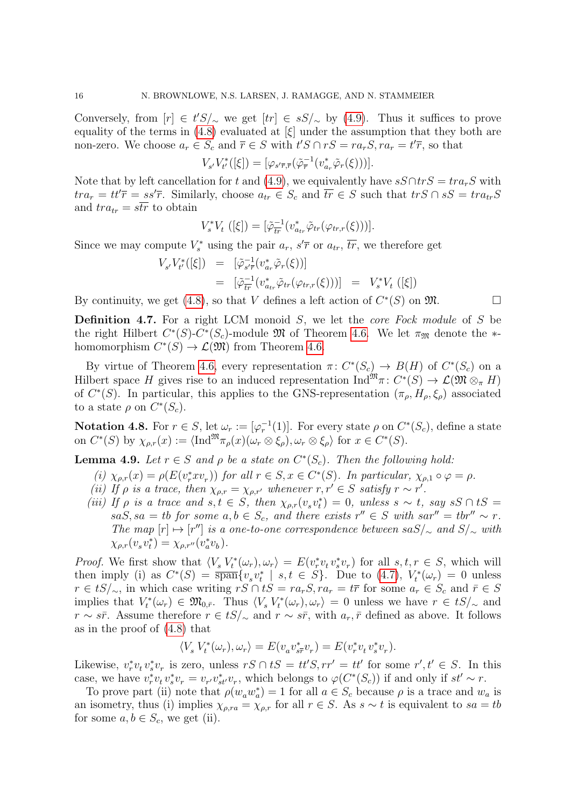Conversely, from  $[r] \in t'S'_{\sim}$  we get  $[tr] \in sS'_{\sim}$  by [\(4.9\)](#page-15-1). Thus it suffices to prove equality of the terms in [\(4.8\)](#page-15-2) evaluated at  $[\xi]$  under the assumption that they both are non-zero. We choose  $a_r \in S_c$  and  $\overline{r} \in S$  with  $t'S \cap rS = ra_rS, ra_r = t'\overline{r}$ , so that

$$
V_{s'}V_{t'}^*([\xi]) = [\varphi_{s'\overline{r},\overline{r}}(\tilde{\varphi}_{\overline{r}}^{-1}(v_{a_r}^*\tilde{\varphi}_r(\xi)))].
$$

Note that by left cancellation for t and [\(4.9\)](#page-15-1), we equivalently have  $sS \cap trS = tr a_rS$  with  $tra_r = tt'\overline{r} = ss'\overline{r}$ . Similarly, choose  $a_{tr} \in S_c$  and  $\overline{tr} \in S$  such that  $trS \cap sS = tra_{tr}S$ and  $tra_{tr} = s\overline{tr}$  to obtain

$$
V_{s}^{*}V_{t} ([\xi]) = [\tilde{\varphi}_{tr}^{-1}(v_{a_{tr}}^{*}\tilde{\varphi}_{tr}(\varphi_{tr,r}(\xi)))].
$$

Since we may compute  $V_s^*$  using the pair  $a_r$ ,  $s' \overline{r}$  or  $a_{tr}$ ,  $\overline{tr}$ , we therefore get

$$
V_{s'}V_{t'}^{*}([\xi]) = [\tilde{\varphi}_{s'\bar{r}}^{-1}(v_{a_{r}}^{*}\tilde{\varphi}_{r}(\xi))]
$$
  
=  $[\tilde{\varphi}_{tr}^{-1}(v_{a_{tr}}^{*}\tilde{\varphi}_{tr}(\varphi_{tr,r}(\xi)))] = V_{s}^{*}V_{t}([\xi])$ 

By continuity, we get [\(4.8\)](#page-15-2), so that V defines a left action of  $C^*(S)$  on  $\mathfrak{M}$ .

**Definition 4.7.** For a right LCM monoid  $S$ , we let the *core Fock module* of  $S$  be the right Hilbert  $C^*(S)$ - $C^*(S_c)$ -module  $\mathfrak M$  of Theorem [4.6.](#page-14-0) We let  $\pi_{\mathfrak M}$  denote the  $*$ homomorphism  $C^*(S) \to \mathcal{L}(\mathfrak{M})$  from Theorem [4.6.](#page-14-0)

By virtue of Theorem [4.6,](#page-14-0) every representation  $\pi: C^*(S_c) \to B(H)$  of  $C^*(S_c)$  on a Hilbert space H gives rise to an induced representation  $\text{Ind}^{\mathfrak{M}} \pi \colon C^*(S) \to \mathcal{L}(\mathfrak{M} \otimes_{\pi} H)$ of  $C^*(S)$ . In particular, this applies to the GNS-representation  $(\pi_{\rho}, H_{\rho}, \xi_{\rho})$  associated to a state  $\rho$  on  $C^*(S_c)$ .

**Notation 4.8.** For  $r \in S$ , let  $\omega_r := [\varphi_r^{-1}(1)]$ . For every state  $\rho$  on  $C^*(S_c)$ , define a state on  $C^*(S)$  by  $\chi_{\rho,r}(x) := \langle \text{Ind}^{\mathfrak{M}} \pi_{\rho}(x) (\omega_r \otimes \xi_{\rho}), \omega_r \otimes \xi_{\rho} \rangle$  for  $x \in C^*(S)$ .

<span id="page-16-0"></span>**Lemma 4.9.** Let  $r \in S$  and  $\rho$  be a state on  $C^*(S_c)$ . Then the following hold:

- (i)  $\chi_{\rho,r}(x) = \rho(E(v_r^* x v_r))$  for all  $r \in S, x \in C^*(S)$ . In particular,  $\chi_{\rho,1} \circ \varphi = \rho$ .
- (ii) If  $\rho$  is a trace, then  $\chi_{\rho,r} = \chi_{\rho,r'}$  whenever  $r, r' \in S$  satisfy  $r \sim r'$ .
- (iii) If  $\rho$  is a trace and  $s, t \in S$ , then  $\chi_{\rho,r}(v_s v_t^*) = 0$ , unless  $s \sim t$ , say  $sS \cap tS =$  $saS, sa = tb$  for some  $a, b \in S_c$ , and there exists  $r'' \in S$  with  $sar'' = tbr'' \sim r$ . The map  $[r] \mapsto [r'']$  is a one-to-one correspondence between sa $S/\sim$  and  $S/\sim$  with  $\chi_{\rho,r}(v_s v_t^*) = \chi_{\rho,r''}(v_a^* v_b).$

*Proof.* We first show that  $\langle V_s V_t^*(\omega_r), \omega_r \rangle = E(v_r^* v_t v_s^* v_r)$  for all  $s, t, r \in S$ , which will then imply (i) as  $C^*(S) = \overline{\text{span}}\{v_s v_t^* \mid s,t \in S\}$ . Due to [\(4.7\)](#page-15-0),  $V_t^*(\omega_r) = 0$  unless  $r \in tS/\sim$ , in which case writing  $rS \cap tS = ra_rS$ ,  $ra_r = t\bar{r}$  for some  $a_r \in S_c$  and  $\bar{r} \in S$ implies that  $V_t^*(\omega_r) \in \mathfrak{M}_{0,\bar{r}}$ . Thus  $\langle V_s V_t^*(\omega_r), \omega_r \rangle = 0$  unless we have  $r \in tS/\sim$  and  $r \sim s\bar{r}$ . Assume therefore  $r \in tS/\sim$  and  $r \sim s\bar{r}$ , with  $a_r, \bar{r}$  defined as above. It follows as in the proof of [\(4.8\)](#page-15-2) that

$$
\langle V_s V_t^*(\omega_r), \omega_r \rangle = E(v_a v_{s\overline{r}}^* v_r) = E(v_r^* v_t v_s^* v_r).
$$

Likewise,  $v_r^* v_t v_s^* v_r$  is zero, unless  $rS \cap tS = tt'S, rr' = tt'$  for some  $r', t' \in S$ . In this case, we have  $v_r^* v_t v_s^* v_r = v_{r'} v_{st'}^* v_r$ , which belongs to  $\varphi(C^*(S_c))$  if and only if  $st' \sim r$ .

To prove part (ii) note that  $\rho(w_a w_a^*) = 1$  for all  $a \in S_c$  because  $\rho$  is a trace and  $w_a$  is an isometry, thus (i) implies  $\chi_{\rho,ra} = \chi_{\rho,r}$  for all  $r \in S$ . As  $s \sim t$  is equivalent to  $sa = tb$ for some  $a, b \in S_c$ , we get (ii).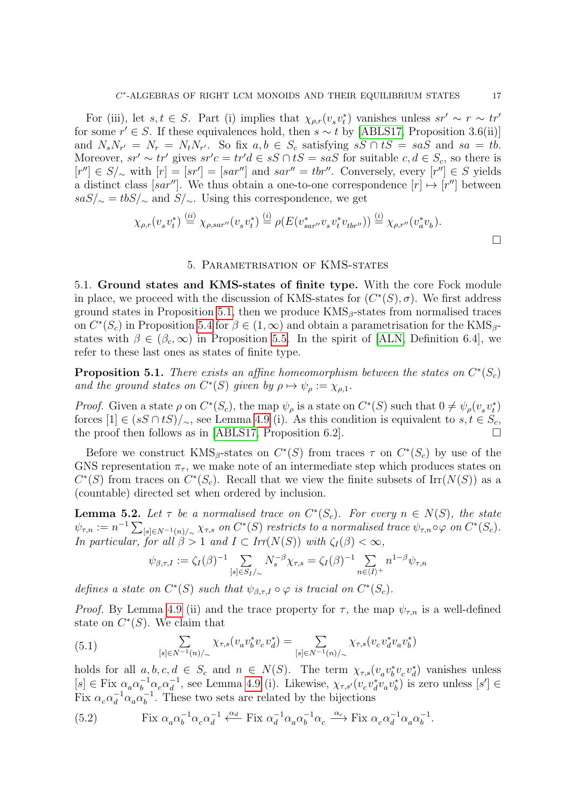For (iii), let  $s, t \in S$ . Part (i) implies that  $\chi_{\rho,r}(v_s v_t^*)$  vanishes unless  $sr' \sim r \sim tr'$ for some  $r' \in S$ . If these equivalences hold, then  $s \sim t$  by [\[ABLS17,](#page-36-1) Proposition 3.6(ii)] and  $N_s N_{r'} = N_r = N_t N_{r'}$ . So fix  $a, b \in S_c$  satisfying  $sS \cap tS = s aS$  and  $sa = tb$ . Moreover,  $sr' \sim tr'$  gives  $sr'c = tr'd \in sS \cap tS = saS$  for suitable  $c, d \in S_c$ , so there is  $[r''] \in S/\sim$  with  $[r] = [sr'] = [sar'']$  and  $sar'' = thr''$ . Conversely, every  $[r''] \in S$  yields a distinct class [sar'']. We thus obtain a one-to-one correspondence  $[r] \mapsto [r'']$  between  $sas/\sim = tbs/\sim$  and  $S/\sim$ . Using this correspondence, we get

$$
\chi_{\rho,r}(v_s v_t^*) \stackrel{(ii)}{=} \chi_{\rho,sar''}(v_s v_t^*) \stackrel{(i)}{=} \rho(E(v_{sar''}^* v_s v_t^* v_{tbr''})) \stackrel{(i)}{=} \chi_{\rho,r''}(v_a^* v_b).
$$

#### 5. Parametrisation of KMS-states

<span id="page-17-0"></span>5.1. Ground states and KMS-states of finite type. With the core Fock module in place, we proceed with the discussion of KMS-states for  $(C^*(S), \sigma)$ . We first address ground states in Proposition [5.1,](#page-17-1) then we produce  $KMS_\beta$ -states from normalised traces on  $C^*(S_c)$  in Proposition [5.4](#page-18-0) for  $\beta \in (1,\infty)$  and obtain a parametrisation for the KMS<sub>β</sub>states with  $\beta \in (\beta_c, \infty)$  in Proposition [5.5.](#page-19-0) In the spirit of [\[ALN,](#page-36-2) Definition 6.4], we refer to these last ones as states of finite type.

<span id="page-17-1"></span>**Proposition 5.1.** There exists an affine homeomorphism between the states on  $C^*(S_c)$ and the ground states on  $C^*(S)$  given by  $\rho \mapsto \psi_\rho := \chi_{\rho,1}$ .

*Proof.* Given a state  $\rho$  on  $C^*(S_c)$ , the map  $\psi_\rho$  is a state on  $C^*(S)$  such that  $0 \neq \psi_\rho(v_sv_t^*)$ forces  $[1] \in (sS \cap tS)/\sim$ , see Lemma [4.9](#page-16-0) (i). As this condition is equivalent to  $s, t \in S_c$ , the proof then follows as in [\[ABLS17,](#page-36-1) Proposition 6.2].  $\Box$ 

Before we construct  $KMS_\beta$ -states on  $C^*(S)$  from traces  $\tau$  on  $C^*(S_c)$  by use of the GNS representation  $\pi_{\tau}$ , we make note of an intermediate step which produces states on  $C^*(S)$  from traces on  $C^*(S_c)$ . Recall that we view the finite subsets of Irr( $N(S)$ ) as a (countable) directed set when ordered by inclusion.

<span id="page-17-4"></span>**Lemma 5.2.** Let  $\tau$  be a normalised trace on  $C^*(S_c)$ . For every  $n \in N(S)$ , the state  $\psi_{\tau,n} := n^{-1} \sum_{[s] \in N^{-1}(n)/\sim} \chi_{\tau,s}$  on  $C^*(S)$  restricts to a normalised trace  $\psi_{\tau,n} \circ \varphi$  on  $C^*(S_c)$ . In particular, for all  $\beta > 1$  and  $I \subset Irr(N(S))$  with  $\zeta_I(\beta) < \infty$ ,

$$
\psi_{\beta,\tau,I}:=\zeta_I(\beta)^{-1}\sum_{[s]\in S_I/\sim}N_s^{-\beta}\chi_{\tau,s}=\zeta_I(\beta)^{-1}\sum_{n\in\langle I\rangle^+}n^{1-\beta}\psi_{\tau,n}
$$

defines a state on  $C^*(S)$  such that  $\psi_{\beta,\tau,I} \circ \varphi$  is tracial on  $C^*(S_c)$ .

*Proof.* By Lemma [4.9](#page-16-0) (ii) and the trace property for  $\tau$ , the map  $\psi_{\tau,n}$  is a well-defined state on  $C^*(S)$ . We claim that

<span id="page-17-3"></span>(5.1) 
$$
\sum_{[s] \in N^{-1}(n)/\sim} \chi_{\tau,s}(v_a v_b^* v_c v_d^*) = \sum_{[s] \in N^{-1}(n)/\sim} \chi_{\tau,s}(v_c v_d^* v_a v_b^*)
$$

holds for all  $a, b, c, d \in S_c$  and  $n \in N(S)$ . The term  $\chi_{\tau,s}(v_a v_b^* v_c v_d^*)$  vanishes unless  $[s] \in \text{Fix } \alpha_a \alpha_b^{-1} \alpha_c \alpha_d^{-1}$  $\frac{1}{d}$ , see Lemma [4.9](#page-16-0) (i). Likewise,  $\chi_{\tau,s'}(v_c v_d^* v_a v_b^*)$  is zero unless  $[s'] \in$ Fix  $\alpha_c \alpha_d^{-1} \alpha_a \alpha_b^{-1}$  $b^{-1}$ . These two sets are related by the bijections

<span id="page-17-2"></span>(5.2) Fix 
$$
\alpha_a \alpha_b^{-1} \alpha_c \alpha_d^{-1} \stackrel{\alpha_d}{\longleftarrow}
$$
 Fix  $\alpha_d^{-1} \alpha_a \alpha_b^{-1} \alpha_c \stackrel{\alpha_c}{\longrightarrow}$  Fix  $\alpha_c \alpha_d^{-1} \alpha_a \alpha_b^{-1}$ .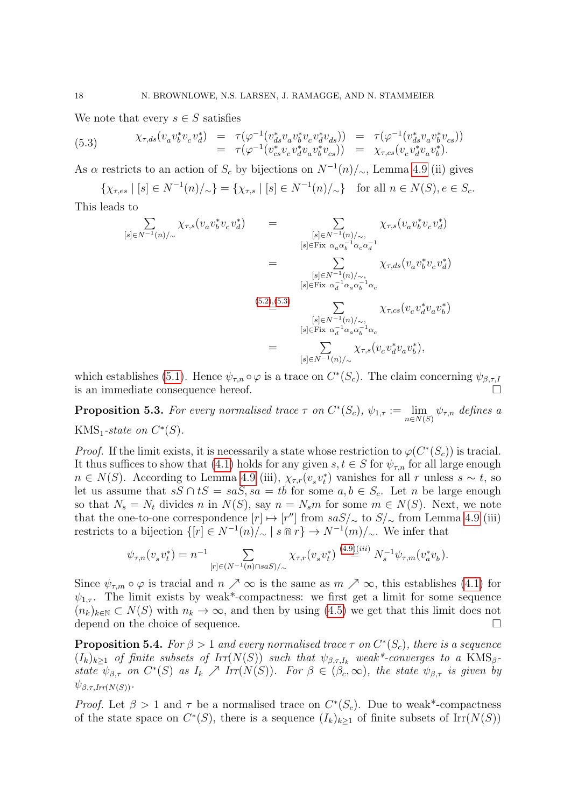We note that every  $s \in S$  satisfies

<span id="page-18-1"></span>(5.3) 
$$
\chi_{\tau,ds}(v_a v_b^* v_c v_d^*) = \tau(\varphi^{-1}(v_{ds}^* v_a v_b^* v_c v_d^* v_{ds})) = \tau(\varphi^{-1}(v_{ds}^* v_a v_b^* v_{cs})) = \tau(\varphi^{-1}(v_{cs}^* v_c v_d^* v_a v_b^* v_{cs})) = \chi_{\tau,cs}(v_c v_d^* v_a v_b^*).
$$

As  $\alpha$  restricts to an action of  $S_c$  by bijections on  $N^{-1}(n)/\sim$ , Lemma [4.9](#page-16-0) (ii) gives

 $\{\chi_{\tau,es} \mid [s] \in N^{-1}(n)/_{\sim}\} = \{\chi_{\tau,s} \mid [s] \in N^{-1}(n)/_{\sim}\}\$ for all  $n \in N(S), e \in S_c$ .

This leads to

$$
\sum_{[s]\in N^{-1}(n)/\sim} \chi_{\tau,s}(v_a v_b^* v_c v_d^*) = \sum_{\substack{[s]\in N^{-1}(n)/\sim, \\ [s]\in \text{Fix } \alpha_a \alpha_b^{-1} \alpha_c \alpha_d^{-1} \\ [s]\in N^{-1}(n)/\sim, \\ [s]\in \text{Fix } \alpha_d^{-1} \alpha_a \alpha_b^{-1} \alpha_c \\ \cdots \\ [s]\in N^{-1}(n)/\sim, \\ [s]\in \text{Fix } \alpha_d^{-1} \alpha_a \alpha_b^{-1} \alpha_c \\ \vdots \\ [s]\in N^{-1}(n)/\sim, \\ [s]\in \text{Fix } \alpha_d^{-1} \alpha_a \alpha_b^{-1} \alpha_c \\ \vdots \\ [s]\in N^{-1}(n)/\sim, \\ \chi_{\tau,s}(v_c v_d^* v_a v_b^*),
$$

which establishes [\(5.1\)](#page-17-3). Hence  $\psi_{\tau,n} \circ \varphi$  is a trace on  $C^*(S_c)$ . The claim concerning  $\psi_{\beta,\tau,l}$ is an immediate consequence hereof.

<span id="page-18-2"></span>**Proposition 5.3.** For every normalised trace  $\tau$  on  $C^*(S_c)$ ,  $\psi_{1,\tau} := \lim_{n \in N(S)} \psi_{\tau,n}$  defines a KMS<sub>1</sub>-state on  $C^*(S)$ .

*Proof.* If the limit exists, it is necessarily a state whose restriction to  $\varphi(C^*(S_c))$  is tracial. It thus suffices to show that [\(4.1\)](#page-11-1) holds for any given  $s, t \in S$  for  $\psi_{\tau,n}$  for all large enough  $n \in N(S)$ . According to Lemma [4.9](#page-16-0) (iii),  $\chi_{\tau,r}(v_s v_t^*)$  vanishes for all r unless  $s \sim t$ , so let us assume that  $sS \cap tS = saS$ ,  $sa = tb$  for some  $a, b \in S_c$ . Let n be large enough so that  $N_s = N_t$  divides n in  $N(S)$ , say  $n = N_s m$  for some  $m \in N(S)$ . Next, we note that the one-to-one correspondence  $[r] \mapsto [r'']$  from  $saS/\sim$  to  $S/\sim$  from Lemma [4.9](#page-16-0) (iii) restricts to a bijection  $\{ [r] \in N^{-1}(n)/\sim \mid s \cap r \} \to N^{-1}(m)/\sim$ . We infer that

$$
\psi_{\tau,n}(v_s v_t^*) = n^{-1} \sum_{[r] \in (N^{-1}(n) \cap s a S) / \sim} \chi_{\tau,r}(v_s v_t^*) \stackrel{(4.9)(iii)}{=} N_s^{-1} \psi_{\tau,m}(v_a^* v_b).
$$

Since  $\psi_{\tau,m} \circ \varphi$  is tracial and  $n \nearrow \infty$  is the same as  $m \nearrow \infty$ , this establishes [\(4.1\)](#page-11-1) for  $\psi_{1,\tau}$ . The limit exists by weak\*-compactness: we first get a limit for some sequence  $(n_k)_{k\in\mathbb{N}}\subset N(S)$  with  $n_k\to\infty$ , and then by using  $(4.5)$  we get that this limit does not depend on the choice of sequence.

<span id="page-18-0"></span>**Proposition 5.4.** For  $\beta > 1$  and every normalised trace  $\tau$  on  $C^*(S_c)$ , there is a sequence  $(I_k)_{k\geq 1}$  of finite subsets of  $Irr(N(S))$  such that  $\psi_{\beta,\tau,I_k}$  weak\*-converges to a KMS<sub>β</sub>state  $\psi_{\beta,\tau}$  on  $C^*(S)$  as  $I_k \nearrow Irr(N(S))$ . For  $\beta \in (\beta_c, \infty)$ , the state  $\psi_{\beta,\tau}$  is given by  $\psi_{\beta,\tau,Irr(N(S))}$ .

*Proof.* Let  $\beta > 1$  and  $\tau$  be a normalised trace on  $C^*(S_c)$ . Due to weak\*-compactness of the state space on  $C^*(S)$ , there is a sequence  $(I_k)_{k\geq 1}$  of finite subsets of  $\text{Irr}(N(S))$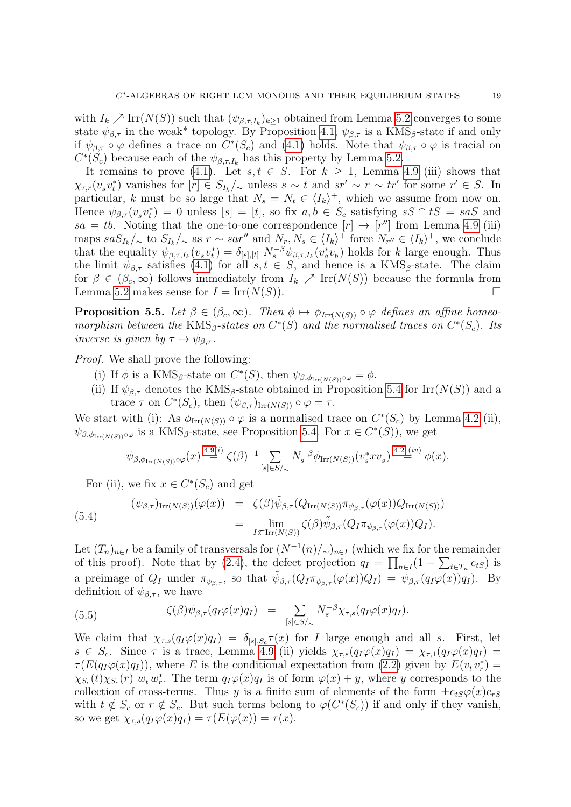with  $I_k \nearrow \text{Irr}(N(S))$  such that  $(\psi_{\beta,\tau,I_k})_{k\geq 1}$  obtained from Lemma [5.2](#page-17-4) converges to some state  $\psi_{\beta,\tau}$  in the weak\* topology. By Proposition [4.1,](#page-11-0)  $\psi_{\beta,\tau}$  is a KMS<sub>β</sub>-state if and only if  $\psi_{\beta,\tau} \circ \varphi$  defines a trace on  $C^*(S_c)$  and [\(4.1\)](#page-11-1) holds. Note that  $\psi_{\beta,\tau} \circ \varphi$  is tracial on  $C^*(S_c)$  because each of the  $\psi_{\beta,\tau,I_k}$  has this property by Lemma [5.2.](#page-17-4)

It remains to prove [\(4.1\)](#page-11-1). Let  $s, t \in S$ . For  $k \geq 1$ , Lemma [4.9](#page-16-0) (iii) shows that  $\chi_{\tau,r}(v_s v_t^*)$  vanishes for  $[r] \in S_{I_k}/\sim$  unless  $s \sim t$  and  $sr' \sim r \sim tr'$  for some  $r' \in S$ . In particular, k must be so large that  $N_s = N_t \in \langle I_k \rangle^+$ , which we assume from now on. Hence  $\psi_{\beta,\tau}(v_s v_t^*) = 0$  unless  $[s] = [t]$ , so fix  $a, b \in S_c$  satisfying  $sS \cap tS = s aS$  and  $sa = tb$ . Noting that the one-to-one correspondence  $[r] \mapsto [r'']$  from Lemma [4.9](#page-16-0) (iii) maps  $s a S_{I_k}/\sim \text{to } S_{I_k}/\sim \text{as } r \sim s a r''$  and  $N_r, N_s \in \langle I_k \rangle^+$  force  $N_{r''} \in \langle I_k \rangle^+$ , we conclude that the equality  $\psi_{\beta,\tau,I_k}(v_s v_t^*) = \delta_{[s],[t]} N_s^{-\beta} \psi_{\beta,\tau,I_k}(v_a^* v_b)$  holds for k large enough. Thus the limit  $\psi_{\beta,\tau}$  satisfies [\(4.1\)](#page-11-1) for all  $s, t \in S$ , and hence is a KMS<sub>β</sub>-state. The claim for  $\beta \in (\beta_c, \infty)$  follows immediately from  $I_k \nearrow \text{Irr}(N(S))$  because the formula from Lemma [5.2](#page-17-4) makes sense for  $I = \text{Irr}(N(S))$ .

<span id="page-19-0"></span>**Proposition 5.5.** Let  $\beta \in (\beta_c, \infty)$ . Then  $\phi \mapsto \phi_{Irr(N(S))} \circ \varphi$  defines an affine homeomorphism between the KMS<sub>β</sub>-states on  $C^*(S)$  and the normalised traces on  $C^*(S_c)$ . Its inverse is given by  $\tau \mapsto \psi_{\beta,\tau}$ .

*Proof.* We shall prove the following:

- (i) If  $\phi$  is a KMS<sub>β</sub>-state on  $C^*(S)$ , then  $\psi_{\beta, \phi_{\text{Irr}(N(S))}} \circ \varphi = \phi$ .
- (ii) If  $\psi_{\beta,\tau}$  denotes the KMS<sub>β</sub>-state obtained in Proposition [5.4](#page-18-0) for Irr( $N(S)$ ) and a trace  $\tau$  on  $C^*(S_c)$ , then  $(\psi_{\beta,\tau})_{\text{Irr}(N(S))} \circ \varphi = \tau$ .

We start with (i): As  $\phi_{\text{Irr}(N(S))} \circ \varphi$  is a normalised trace on  $C^*(S_c)$  by Lemma [4.2](#page-12-2) (ii),  $\psi_{\beta,\phi_{\text{Irr}(N(S))}\circ\varphi}$  is a KMS<sub>β</sub>-state, see Proposition [5.4.](#page-18-0) For  $x \in C^*(S)$ , we get

$$
\psi_{\beta,\phi_{\mathrm{Irr}(N(S))}\circ\varphi}(x)\stackrel{4.9(i)}{=} \zeta(\beta)^{-1}\sum_{[s]\in S/\sim}N_s^{-\beta}\phi_{\mathrm{Irr}(N(S))}(v_s^*xv_s)\stackrel{4.2(iv)}{=} \phi(x).
$$

<span id="page-19-1"></span>For (ii), we fix  $x \in C^*(S_c)$  and get

(5.4) 
$$
(\psi_{\beta,\tau})_{\mathrm{Irr}(N(S))}(\varphi(x)) = \zeta(\beta)\tilde{\psi}_{\beta,\tau}(Q_{\mathrm{Irr}(N(S))}\pi_{\psi_{\beta,\tau}}(\varphi(x))Q_{\mathrm{Irr}(N(S))})
$$

$$
= \lim_{I \subset \mathrm{Irr}(N(S))} \zeta(\beta)\tilde{\psi}_{\beta,\tau}(Q_{I}\pi_{\psi_{\beta,\tau}}(\varphi(x))Q_{I}).
$$

Let  $(T_n)_{n\in I}$  be a family of transversals for  $(N^{-1}(n)/\sim)_{n\in I}$  (which we fix for the remainder of this proof). Note that by [\(2.4\)](#page-8-1), the defect projection  $q_I = \prod_{n \in I} (1 - \sum_{t \in T_n} e_{tS})$  is a preimage of  $Q_I$  under  $\pi_{\psi_{\beta,\tau}}$ , so that  $\tilde{\psi}_{\beta,\tau}(Q_I\pi_{\psi_{\beta,\tau}}(\varphi(x))Q_I) = \psi_{\beta,\tau}(q_I\varphi(x))\tilde{q}_I$ . By definition of  $\psi_{\beta,\tau}$ , we have

(5.5) 
$$
\zeta(\beta)\psi_{\beta,\tau}(q_I\varphi(x)q_I) = \sum_{[s]\in S/\sim} N_s^{-\beta} \chi_{\tau,s}(q_I\varphi(x)q_I).
$$

We claim that  $\chi_{\tau,s}(q_I\varphi(x)q_I) = \delta_{[s],S_c}\tau(x)$  for I large enough and all s. First, let  $s \in S_c$ . Since  $\tau$  is a trace, Lemma [4.9](#page-16-0) (ii) yields  $\chi_{\tau,s}(q_I\varphi(x)q_I) = \chi_{\tau,1}(q_I\varphi(x)q_I)$  $\tau(E(q_I\varphi(x)q_I))$ , where E is the conditional expectation from [\(2.2\)](#page-7-1) given by  $E(v_tv_r^*) =$  $\chi_{S_c}(t)\chi_{S_c}(r)$   $w_t w_r^*$ . The term  $q_I\varphi(x)q_I$  is of form  $\varphi(x)+y$ , where y corresponds to the collection of cross-terms. Thus y is a finite sum of elements of the form  $\pm e_{tS}\varphi(x)e_{rs}$ with  $t \notin S_c$  or  $r \notin S_c$ . But such terms belong to  $\varphi(C^*(S_c))$  if and only if they vanish, so we get  $\chi_{\tau,s}(q_I\varphi(x)q_I) = \tau(E(\varphi(x)) = \tau(x)$ .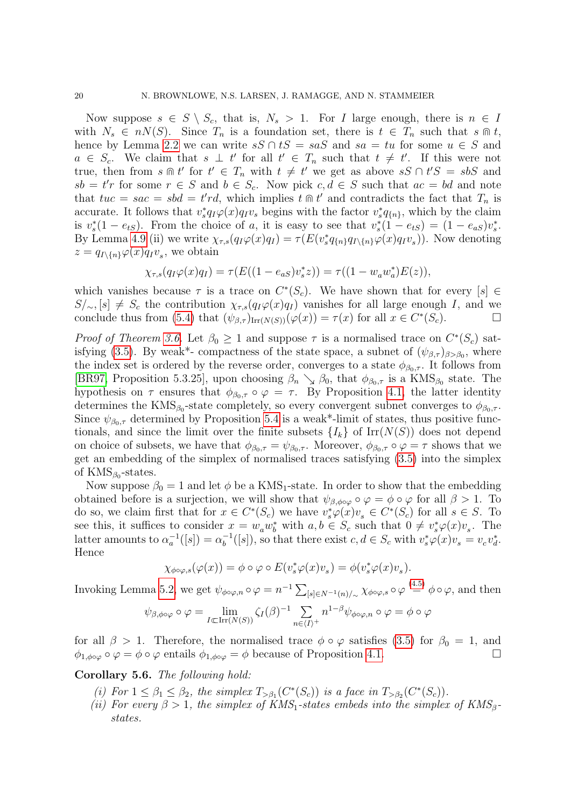Now suppose  $s \in S \setminus S_c$ , that is,  $N_s > 1$ . For I large enough, there is  $n \in I$ with  $N_s \in nN(S)$ . Since  $T_n$  is a foundation set, there is  $t \in T_n$  such that  $s \cap t$ , hence by Lemma [2.2](#page-6-0) we can write  $sS \cap tS = saS$  and  $sa = tu$  for some  $u \in S$  and  $a \in S_c$ . We claim that  $s \perp t'$  for all  $t' \in T_n$  such that  $t \neq t'$ . If this were not true, then from  $s \nightharpoonup t'$  for  $t' \in T_n$  with  $t \neq t'$  we get as above  $sS \cap t'S = sbS$  and  $sb = t'r$  for some  $r \in S$  and  $b \in S_c$ . Now pick  $c, d \in S$  such that  $ac = bd$  and note that  $tuc = sac = sbd = t'rd$ , which implies  $t \oplus t'$  and contradicts the fact that  $T_n$  is accurate. It follows that  $v_s^* q_I \varphi(x) q_I v_s$  begins with the factor  $v_s^* q_{n}$ , which by the claim is  $v_s^*(1 - e_{tS})$ . From the choice of a, it is easy to see that  $v_s^*(1 - e_{tS}) = (1 - e_{aS})v_s^*$ . By Lemma [4.9](#page-16-0) (ii) we write  $\chi_{\tau,s}(q_I\varphi(x)q_I) = \tau(E(v_s^*q_{\{n\}}q_{I\setminus\{n\}}\varphi(x)q_Iv_s)).$  Now denoting  $z = q_{I \setminus \{n\}}\varphi(x)q_Iv_s$ , we obtain

$$
\chi_{\tau,s}(q_I\varphi(x)q_I) = \tau(E((1 - e_{aS})v_s^*z)) = \tau((1 - w_a w_a^*)E(z)),
$$

which vanishes because  $\tau$  is a trace on  $C^*(S_c)$ . We have shown that for every  $[s] \in$  $S/\sim$ ,  $[s] \neq S_c$  the contribution  $\chi_{\tau,s}(q_I\varphi(x)q_I)$  vanishes for all large enough I, and we conclude thus from [\(5.4\)](#page-19-1) that  $(\psi_{\beta,\tau})_{\text{Irr}(N(S))}(\varphi(x)) = \tau(x)$  for all  $x \in C^*(S_c)$ .

*Proof of Theorem [3.6.](#page-10-0)* Let  $\beta_0 \geq 1$  and suppose  $\tau$  is a normalised trace on  $C^*(S_c)$  sat-isfying [\(3.5\)](#page-10-2). By weak<sup>\*</sup>- compactness of the state space, a subnet of  $(\psi_{\beta,\tau})_{\beta>\beta_0}$ , where the index set is ordered by the reverse order, converges to a state  $\phi_{\beta_0,\tau}$ . It follows from [\[BR97,](#page-37-17) Proposition 5.3.25], upon choosing  $\beta_n \searrow \beta_0$ , that  $\phi_{\beta_0, \tau}$  is a KMS<sub> $\beta_0$ </sub> state. The hypothesis on  $\tau$  ensures that  $\phi_{\beta_0,\tau} \circ \varphi = \tau$ . By Proposition [4.1,](#page-11-0) the latter identity determines the  $KMS_{\beta_0}$ -state completely, so every convergent subnet converges to  $\phi_{\beta_0,\tau}$ . Since  $\psi_{\beta_0,\tau}$  determined by Proposition [5.4](#page-18-0) is a weak\*-limit of states, thus positive functionals, and since the limit over the finite subsets  $\{I_k\}$  of  $\mathrm{Irr}(N(S))$  does not depend on choice of subsets, we have that  $\phi_{\beta_0,\tau} = \psi_{\beta_0,\tau}$ . Moreover,  $\phi_{\beta_0,\tau} \circ \varphi = \tau$  shows that we get an embedding of the simplex of normalised traces satisfying [\(3.5\)](#page-10-2) into the simplex of  $KMS_{\beta_0}$ -states.

Now suppose  $\beta_0 = 1$  and let  $\phi$  be a KMS<sub>1</sub>-state. In order to show that the embedding obtained before is a surjection, we will show that  $\psi_{\beta,\phi\circ\varphi}\circ\varphi=\phi\circ\varphi$  for all  $\beta>1$ . To do so, we claim first that for  $x \in C^*(S_c)$  we have  $v_s^*\varphi(x)v_s \in C^*(S_c)$  for all  $s \in S$ . To see this, it suffices to consider  $x = w_a w_b^*$  with  $a, b \in S_c$  such that  $0 \neq v_s^* \varphi(x) v_s$ . The latter amounts to  $\alpha_a^{-1}([s]) = \alpha_b^{-1}$  $b^{-1}([s]),$  so that there exist  $c, d \in S_c$  with  $v_s^* \varphi(x) v_s = v_c v_d^*$ . Hence

$$
\chi_{\phi \circ \varphi, s}(\varphi(x)) = \phi \circ \varphi \circ E(v_s^* \varphi(x)v_s) = \phi(v_s^* \varphi(x)v_s).
$$

Invoking Lemma [5.2,](#page-17-4) we get  $\psi_{\phi \circ \varphi, n} \circ \varphi = n^{-1} \sum_{[s] \in N^{-1}(n)/\sim} \chi_{\phi \circ \varphi, s} \circ \varphi \stackrel{(4.5)}{=} \phi \circ \varphi$  $\psi_{\phi \circ \varphi, n} \circ \varphi = n^{-1} \sum_{[s] \in N^{-1}(n)/\sim} \chi_{\phi \circ \varphi, s} \circ \varphi \stackrel{(4.5)}{=} \phi \circ \varphi$  $\psi_{\phi \circ \varphi, n} \circ \varphi = n^{-1} \sum_{[s] \in N^{-1}(n)/\sim} \chi_{\phi \circ \varphi, s} \circ \varphi \stackrel{(4.5)}{=} \phi \circ \varphi$ , and then

$$
\psi_{\beta,\phi\circ\varphi}\circ\varphi=\lim_{I\subset\operatorname{Irr}(N(S))}\zeta_I(\beta)^{-1}\sum_{n\in\langle I\rangle^+}n^{1-\beta}\psi_{\phi\circ\varphi,n}\circ\varphi=\phi\circ\varphi
$$

for all  $\beta > 1$ . Therefore, the normalised trace  $\phi \circ \varphi$  satisfies [\(3.5\)](#page-10-2) for  $\beta_0 = 1$ , and  $\phi_{1,\phi\circ\varphi}\circ\varphi=\phi\circ\varphi$  entails  $\phi_{1,\phi\circ\varphi}=\phi$  because of Proposition [4.1.](#page-11-0)

### Corollary 5.6. The following hold:

- (i) For  $1 \leq \beta_1 \leq \beta_2$ , the simplex  $T_{>\beta_1}(C^*(S_c))$  is a face in  $T_{>\beta_2}(C^*(S_c))$ .
- (ii) For every  $\beta > 1$ , the simplex of KMS<sub>1</sub>-states embeds into the simplex of KMS<sub>β</sub>states.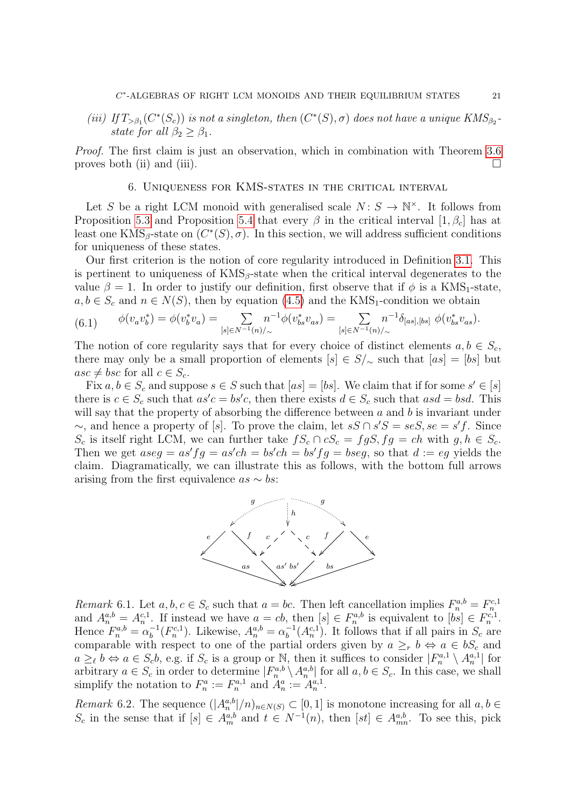(iii) If  $T_{>\beta_1}(C^*(S_c))$  is not a singleton, then  $(C^*(S), \sigma)$  does not have a unique  $KMS_{\beta_2}$ . state for all  $\beta_2 > \beta_1$ .

Proof. The first claim is just an observation, which in combination with Theorem [3.6](#page-10-0) proves both (ii) and (iii).  $\Box$ 

6. Uniqueness for KMS-states in the critical interval

<span id="page-21-0"></span>Let S be a right LCM monoid with generalised scale  $N: S \to \mathbb{N}^{\times}$ . It follows from Proposition [5.3](#page-18-2) and Proposition [5.4](#page-18-0) that every  $\beta$  in the critical interval  $[1, \beta_c]$  has at least one KMS<sub>β</sub>-state on  $(C^*(S), \sigma)$ . In this section, we will address sufficient conditions for uniqueness of these states.

Our first criterion is the notion of core regularity introduced in Definition [3.1.](#page-9-1) This is pertinent to uniqueness of  $KMS_\beta$ -state when the critical interval degenerates to the value  $\beta = 1$ . In order to justify our definition, first observe that if  $\phi$  is a KMS<sub>1</sub>-state,  $a, b \in S_c$  and  $n \in N(S)$ , then by equation [\(4.5\)](#page-14-3) and the KMS<sub>1</sub>-condition we obtain

<span id="page-21-1"></span>
$$
(6.1) \qquad \phi(v_a v_b^*) = \phi(v_b^* v_a) = \sum_{[s] \in N^{-1}(n)/\sim} n^{-1} \phi(v_{bs}^* v_{as}) = \sum_{[s] \in N^{-1}(n)/\sim} n^{-1} \delta_{[as],[bs]} \phi(v_{bs}^* v_{as}).
$$

The notion of core regularity says that for every choice of distinct elements  $a, b \in S_c$ , there may only be a small proportion of elements  $[s] \in S/\sim$  such that  $[as] = [bs]$  but  $asc \neq bsc$  for all  $c \in S_c$ .

Fix  $a, b \in S_c$  and suppose  $s \in S$  such that  $[as] = [bs]$ . We claim that if for some  $s' \in [s]$ there is  $c \in S_c$  such that  $as'c = bs'c$ , then there exists  $d \in S_c$  such that  $asd = bsd$ . This will say that the property of absorbing the difference between  $a$  and  $b$  is invariant under ∼, and hence a property of [s]. To prove the claim, let  $sS \cap s'S = seS$ ,  $se = s'f$ . Since  $S_c$  is itself right LCM, we can further take  $fS_c \cap cS_c = fgS, fg = ch$  with  $g, h \in S_c$ . Then we get  $aseg = as'fg = as'ch = bs'ch = bs'fg = bseg$ , so that  $d := eg$  yields the claim. Diagramatically, we can illustrate this as follows, with the bottom full arrows arising from the first equivalence  $as \sim bs$ :



<span id="page-21-3"></span>Remark 6.1. Let  $a, b, c \in S_c$  such that  $a = bc$ . Then left cancellation implies  $F_n^{a,b} = F_n^{c,1}$  and  $A_n^{a,b} = A_n^{c,1}$ . If instead we have  $a = cb$ , then  $[s] \in F_n^{a,b}$  is equivalent to  $[bs] \in F_n^{c,1}$ . Hence  $F_n^{a,b} = \alpha_b^{-1}$  $b^{-1}(F_n^{c,1})$ . Likewise,  $A_n^{a,b} = \alpha_b^{-1}$  $b^{-1}(A_n^{c,1})$ . It follows that if all pairs in  $S_c$  are comparable with respect to one of the partial orders given by  $a \geq r b \Leftrightarrow a \in bS_c$  and  $a \geq_{\ell} b \Leftrightarrow a \in S_c b$ , e.g. if  $S_c$  is a group or N, then it suffices to consider  $|F_n^{a,1} \setminus A_n^{a,1}|$  for arbitrary  $a \in S_c$  in order to determine  $|F_n^{a,b} \setminus A_n^{a,b}|$  for all  $a, b \in S_c$ . In this case, we shall simplify the notation to  $F_n^a := F_n^{a,1}$  and  $A_n^a := A_n^{a,1}$ .

<span id="page-21-2"></span>Remark 6.2. The sequence  $(|A_n^{a,b}|/n)_{n\in N(S)} \subset [0,1]$  is monotone increasing for all  $a, b \in$  $S_c$  in the sense that if  $[s] \in A_m^{a,b}$  and  $t \in N^{-1}(n)$ , then  $[st] \in A_{mn}^{a,b}$ . To see this, pick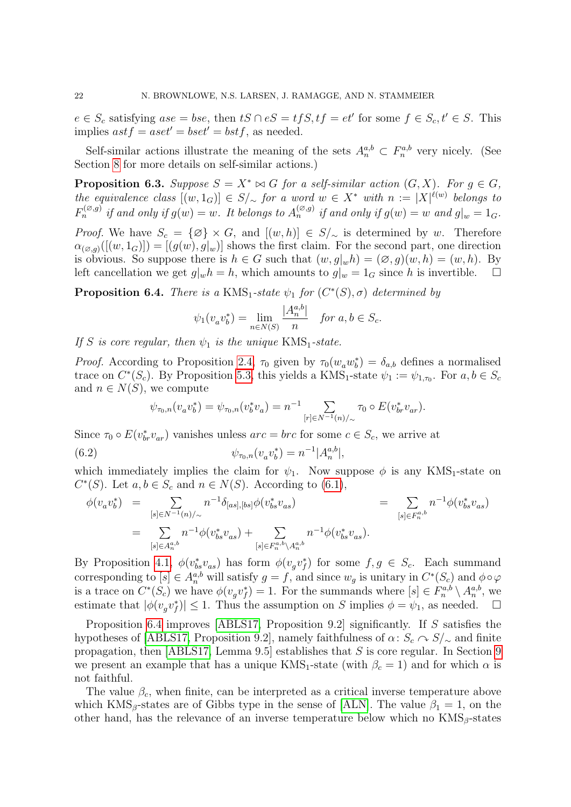$e \in S_c$  satisfying  $ase = bse$ , then  $tS \cap eS = tfS$ ,  $tf = et'$  for some  $f \in S_c$ ,  $t' \in S$ . This implies  $ast f = aset' = bset' = bst f$ , as needed.

Self-similar actions illustrate the meaning of the sets  $A_n^{a,b} \subset F_n^{a,b}$  very nicely. (See Section [8](#page-29-0) for more details on self-similar actions.)

**Proposition 6.3.** Suppose  $S = X^* \bowtie G$  for a self-similar action  $(G, X)$ . For  $g \in G$ , the equivalence class  $[(w, 1_G)] \in S/\sim$  for a word  $w \in X^*$  with  $n := |X|^{\ell(w)}$  belongs to  $F_n^{(\varnothing,g)}$  if and only if  $g(w) = w$ . It belongs to  $A_n^{(\varnothing,g)}$  if and only if  $g(w) = w$  and  $g|_w = 1_G$ .

*Proof.* We have  $S_c = \{\emptyset\} \times G$ , and  $[(w, h)] \in S/\sim$  is determined by w. Therefore  $\alpha_{(\emptyset, g)}([w, 1_G)]) = [(g(w), g]_w)]$  shows the first claim. For the second part, one direction is obvious. So suppose there is  $h \in G$  such that  $(w, g|_wh) = (\emptyset, g)(w, h) = (w, h)$ . By left cancellation we get  $g|wh = h$ , which amounts to  $g|_w = 1_G$  since h is invertible.  $\Box$ 

<span id="page-22-0"></span>**Proposition 6.4.** There is a KMS<sub>1</sub>-state  $\psi_1$  for  $(C^*(S), \sigma)$  determined by

$$
\psi_1(v_a v_b^*) = \lim_{n \in N(S)} \frac{|A_n^{a,b}|}{n} \quad \text{for } a, b \in S_c.
$$

If S is core regular, then  $\psi_1$  is the unique KMS<sub>1</sub>-state.

*Proof.* According to Proposition [2.4,](#page-7-2)  $\tau_0$  given by  $\tau_0(w_a w_b^*) = \delta_{a,b}$  defines a normalised trace on  $C^*(S_c)$ . By Proposition [5.3,](#page-18-2) this yields a KMS<sub>1</sub>-state  $\psi_1 := \psi_{1,\tau_0}$ . For  $a, b \in S_c$ and  $n \in N(S)$ , we compute

<span id="page-22-1"></span>
$$
\psi_{\tau_0,n}(v_a v_b^*) = \psi_{\tau_0,n}(v_b^* v_a) = n^{-1} \sum_{[r] \in N^{-1}(n)/{\sim}} \tau_0 \circ E(v_{br}^* v_{ar}).
$$

Since  $\tau_0 \circ E(v_{br}^* v_{ar})$  vanishes unless  $arc = brc$  for some  $c \in S_c$ , we arrive at

(6.2) 
$$
\psi_{\tau_0,n}(v_a v_b^*) = n^{-1} |A_n^{a,b}|,
$$

which immediately implies the claim for  $\psi_1$ . Now suppose  $\phi$  is any KMS<sub>1</sub>-state on  $C^*(S)$ . Let  $a, b \in S_c$  and  $n \in N(S)$ . According to [\(6.1\)](#page-21-1),

$$
\begin{array}{rcl}\n\phi(v_a v_b^*) & = & \sum_{[s] \in N^{-1}(n)/\sim} n^{-1} \delta_{[as],[bs]} \phi(v_{bs}^* v_{as}) \\
& = & \sum_{[s] \in R_n^{a,b}} n^{-1} \phi(v_{bs}^* v_{as}) + \sum_{[s] \in R_n^{a,b} \setminus A_n^{a,b}} n^{-1} \phi(v_{bs}^* v_{as}).\n\end{array}
$$

By Proposition [4.1,](#page-11-0)  $\phi(v_{bs}^*v_{as})$  has form  $\phi(v_gv_f^*)$  for some  $f, g \in S_c$ . Each summand corresponding to  $[s] \in A_n^{a,b}$  will satisfy  $g = f$ , and since  $w_g$  is unitary in  $C^*(S_c)$  and  $\phi \circ \varphi$ is a trace on  $C^*(S_c)$  we have  $\phi(v_g v_f^*) = 1$ . For the summands where  $[s] \in F_n^{a,b} \setminus A_n^{a,b}$ , we estimate that  $|\phi(v_g v_f^*)| \leq 1$ . Thus the assumption on S implies  $\phi = \psi_1$ , as needed.  $\square$ 

Proposition [6.4](#page-22-0) improves [\[ABLS17,](#page-36-1) Proposition 9.2] significantly. If S satisfies the hypotheses of [\[ABLS17,](#page-36-1) Proposition 9.2], namely faithfulness of  $\alpha: S_c \cap S/\sim$  and finite propagation, then [\[ABLS17,](#page-36-1) Lemma [9](#page-33-1).5] establishes that  $S$  is core regular. In Section 9 we present an example that has a unique  $KMS_1$ -state (with  $\beta_c = 1$ ) and for which  $\alpha$  is not faithful.

The value  $\beta_c$ , when finite, can be interpreted as a critical inverse temperature above which KMS<sub>β</sub>-states are of Gibbs type in the sense of [\[ALN\]](#page-36-2). The value  $\beta_1 = 1$ , on the other hand, has the relevance of an inverse temperature below which no  $KMS_{\beta}$ -states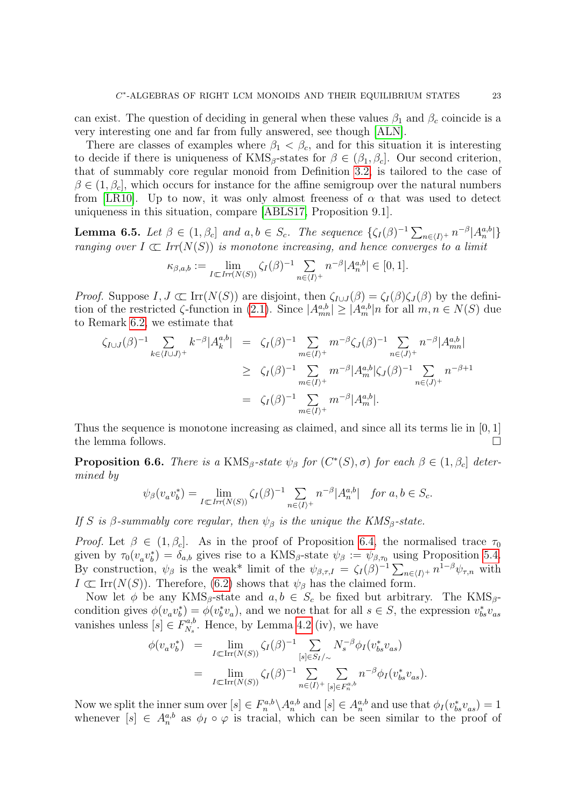can exist. The question of deciding in general when these values  $\beta_1$  and  $\beta_c$  coincide is a very interesting one and far from fully answered, see though [\[ALN\]](#page-36-2).

There are classes of examples where  $\beta_1 < \beta_c$ , and for this situation it is interesting to decide if there is uniqueness of  $KMS_\beta$ -states for  $\beta \in (\beta_1, \beta_c]$ . Our second criterion, that of summably core regular monoid from Definition [3.2,](#page-9-2) is tailored to the case of  $\beta \in (1, \beta_c]$ , which occurs for instance for the affine semigroup over the natural numbers from [\[LR10\]](#page-38-2). Up to now, it was only almost freeness of  $\alpha$  that was used to detect uniqueness in this situation, compare [\[ABLS17,](#page-36-1) Proposition 9.1].

**Lemma 6.5.** Let  $\beta \in (1, \beta_c]$  and  $a, b \in S_c$ . The sequence  $\{\zeta_I(\beta)^{-1} \sum_{n \in \langle I \rangle^+} n^{-\beta} |A_n^{a,b}|\}$ ranging over  $I \subset \text{Irr}(N(S))$  is monotone increasing, and hence converges to a limit

$$
\kappa_{\beta,a,b} := \lim_{I \subset \text{Irr}(N(S))} \zeta_I(\beta)^{-1} \sum_{n \in \langle I \rangle^+} n^{-\beta} |A_n^{a,b}| \in [0,1].
$$

*Proof.* Suppose  $I, J \subset \text{Irr}(N(S))$  are disjoint, then  $\zeta_{I \cup J}(\beta) = \zeta_I(\beta)\zeta_J(\beta)$  by the definition of the restricted  $\zeta$ -function in [\(2.1\)](#page-6-1). Since  $|A^{a,b}_{mn}| \geq |A^{a,b}_{m}| n$  for all  $m, n \in N(S)$  due to Remark [6.2,](#page-21-2) we estimate that

$$
\zeta_{I \cup J}(\beta)^{-1} \sum_{k \in \langle I \cup J \rangle^+} k^{-\beta} |A_k^{a,b}| = \zeta_I(\beta)^{-1} \sum_{m \in \langle I \rangle^+} m^{-\beta} \zeta_J(\beta)^{-1} \sum_{n \in \langle J \rangle^+} n^{-\beta} |A_{mn}^{a,b}|
$$
  
\n
$$
\geq \zeta_I(\beta)^{-1} \sum_{m \in \langle I \rangle^+} m^{-\beta} |A_m^{a,b}| \zeta_J(\beta)^{-1} \sum_{n \in \langle J \rangle^+} n^{-\beta+1}
$$
  
\n
$$
= \zeta_I(\beta)^{-1} \sum_{m \in \langle I \rangle^+} m^{-\beta} |A_m^{a,b}|.
$$

Thus the sequence is monotone increasing as claimed, and since all its terms lie in [0, 1] the lemma follows.

<span id="page-23-0"></span>**Proposition 6.6.** There is a KMS<sub>β</sub>-state  $\psi_{\beta}$  for  $(C^*(S), \sigma)$  for each  $\beta \in (1, \beta_c]$  determined by

$$
\psi_{\beta}(v_{a}v_{b}^{\ast})=\lim_{I\subset Irr(N(S))}\zeta_{I}(\beta)^{-1}\sum_{n\in\langle I\rangle^{+}}n^{-\beta}|A_{n}^{a,b}|\quad\textit{for}\;a,b\in S_{c}.
$$

If S is β-summably core regular, then  $\psi_{\beta}$  is the unique the KMS<sub>β</sub>-state.

*Proof.* Let  $\beta \in (1, \beta_c]$ . As in the proof of Proposition [6.4,](#page-22-0) the normalised trace  $\tau_0$ given by  $\tau_0(v_a v_b^*) = \delta_{a,b}$  gives rise to a  $KMS_\beta$ -state  $\psi_\beta := \psi_{\beta,\tau_0}$  using Proposition [5.4.](#page-18-0) By construction,  $\psi_{\beta}$  is the weak\* limit of the  $\psi_{\beta,\tau,I} = \zeta_I(\beta)^{-1} \sum_{n \in \langle I \rangle^+} n^{1-\beta} \psi_{\tau,n}$  with  $I \subset \text{Irr}(N(S))$ . Therefore, [\(6.2\)](#page-22-1) shows that  $\psi_{\beta}$  has the claimed form.

Now let  $\phi$  be any KMS<sub>β</sub>-state and  $a, b \in S_c$  be fixed but arbitrary. The KMS<sub>β</sub>condition gives  $\phi(v_a v_b^*) = \phi(v_b^* v_a)$ , and we note that for all  $s \in S$ , the expression  $v_{bs}^* v_{as}$ vanishes unless  $[s] \in F_{N_s}^{a,b}$  $N_s^{a,b}$ . Hence, by Lemma [4.2](#page-12-2) (iv), we have

$$
\begin{array}{rcl}\n\phi(v_a v_b^*) & = & \lim_{I \subset \text{Irr}(N(S))} \zeta_I(\beta)^{-1} \sum_{[s] \in S_I/\sim} N_s^{-\beta} \phi_I(v_{bs}^* v_{as}) \\
& = & \lim_{I \subset \text{Irr}(N(S))} \zeta_I(\beta)^{-1} \sum_{n \in \langle I \rangle^+} \sum_{[s] \in F_n^{a,b}} n^{-\beta} \phi_I(v_{bs}^* v_{as}).\n\end{array}
$$

Now we split the inner sum over  $[s] \in F_n^{a,b} \setminus A_n^{a,b}$  and  $[s] \in A_n^{a,b}$  and use that  $\phi_I(v_{bs}^* v_{as}) = 1$ whenever  $[s] \in A_n^{a,b}$  as  $\phi_I \circ \varphi$  is tracial, which can be seen similar to the proof of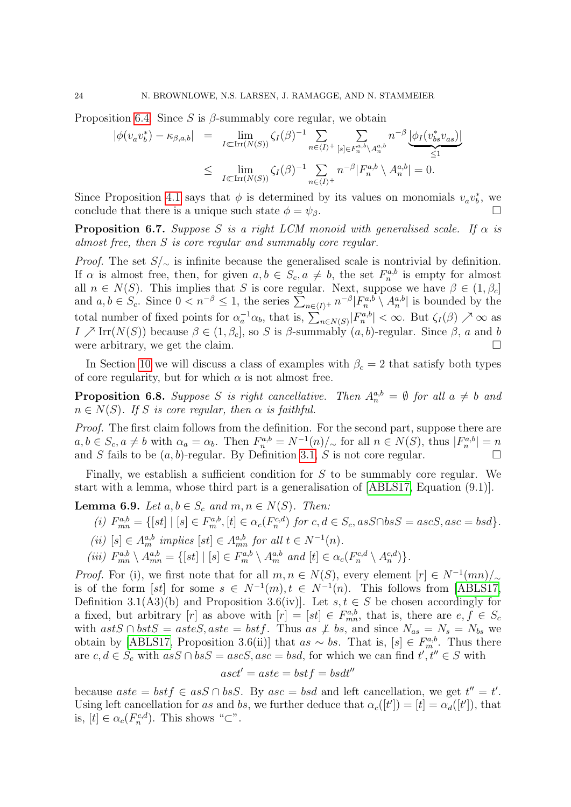Proposition [6.4.](#page-22-0) Since S is  $\beta$ -summably core regular, we obtain

$$
\begin{array}{rcl}\n|\phi(v_a v_b^*) - \kappa_{\beta, a, b}| & = & \lim_{I \subset \text{Irr}(N(S))} \zeta_I(\beta)^{-1} \sum_{n \in \langle I \rangle^+} \sum_{[s] \in F_n^{a, b} \setminus A_n^{a, b}} n^{-\beta} \underbrace{\left| \phi_I(v_{bs}^* v_{as}) \right|}_{\leq 1} \\
& \leq & \lim_{I \subset \text{Irr}(N(S))} \zeta_I(\beta)^{-1} \sum_{n \in \langle I \rangle^+} n^{-\beta} |F_n^{a, b} \setminus A_n^{a, b}| = 0.\n\end{array}
$$

Since Proposition [4.1](#page-11-0) says that  $\phi$  is determined by its values on monomials  $v_a v_b^*$ , we conclude that there is a unique such state  $\phi = \psi_{\beta}$ .

<span id="page-24-2"></span>**Proposition 6.7.** Suppose S is a right LCM monoid with generalised scale. If  $\alpha$  is almost free, then S is core regular and summably core regular.

*Proof.* The set  $S/\sim$  is infinite because the generalised scale is nontrivial by definition. If  $\alpha$  is almost free, then, for given  $a, b \in S_c$ ,  $a \neq b$ , the set  $F_n^{a,b}$  is empty for almost all  $n \in N(S)$ . This implies that S is core regular. Next, suppose we have  $\beta \in (1, \beta_c]$ and  $a, b \in S_c$ . Since  $0 < n^{-\beta} \leq 1$ , the series  $\sum_{n \in \langle I \rangle^+} n^{-\beta} |F_n^{a,b} \setminus A_n^{a,b}|$  is bounded by the total number of fixed points for  $\alpha_a^{-1}\alpha_b$ , that is,  $\sum_{n\in N(S)}|F_n^{a,b}|<\infty$ . But  $\zeta_I(\beta)\nearrow\infty$  as I  $\geq$  Irr(N(S)) because  $\beta \in (1, \beta_c]$ , so S is  $\beta$ -summably  $(a, b)$ -regular. Since  $\beta$ , a and b were arbitrary, we get the claim.  $\Box$ 

In Section [10](#page-35-0) we will discuss a class of examples with  $\beta_c = 2$  that satisfy both types of core regularity, but for which  $\alpha$  is not almost free.

<span id="page-24-0"></span>**Proposition 6.8.** Suppose S is right cancellative. Then  $A_n^{a,b} = \emptyset$  for all  $a \neq b$  and  $n \in N(S)$ . If S is core regular, then  $\alpha$  is faithful.

Proof. The first claim follows from the definition. For the second part, suppose there are  $a, b \in S_c, a \neq b$  with  $\alpha_a = \alpha_b$ . Then  $F_n^{a,b} = N^{-1}(n)/\sim$  for all  $n \in N(S)$ , thus  $|F_n^{a,b}| = n$ and S fails to be  $(a, b)$ -regular. By Definition [3.1,](#page-9-1) S is not core regular.

Finally, we establish a sufficient condition for S to be summably core regular. We start with a lemma, whose third part is a generalisation of [\[ABLS17,](#page-36-1) Equation (9.1)].

<span id="page-24-1"></span>**Lemma 6.9.** Let  $a, b \in S_c$  and  $m, n \in N(S)$ . Then:

- (i)  $F_{mn}^{a,b} = \{ [st] \mid [s] \in F_m^{a,b}, [t] \in \alpha_c(F_n^{c,d}) \text{ for } c, d \in S_c, as S \cap bs S = asc S, asc = bs d \}.$
- (ii)  $[s] \in A_m^{a,b}$  implies  $[st] \in A_{mn}^{a,b}$  for all  $t \in N^{-1}(n)$ .
- (iii)  $F_{mn}^{a,b} \setminus A_{mn}^{a,b} = \{ [st] \mid [s] \in F_m^{a,b} \setminus A_m^{a,b} \text{ and } [t] \in \alpha_c(F_n^{c,d} \setminus A_n^{c,d}) \}.$

*Proof.* For (i), we first note that for all  $m, n \in N(S)$ , every element  $[r] \in N^{-1}(mn)/_{\sim}$ is of the form [st] for some  $s \in N^{-1}(m), t \in N^{-1}(n)$ . This follows from [\[ABLS17,](#page-36-1) Definition 3.1(A3)(b) and Proposition 3.6(iv)]. Let  $s, t \in S$  be chosen accordingly for a fixed, but arbitrary [r] as above with  $[r] = [st] \in F_{mn}^{a,b}$ , that is, there are  $e, f \in S_c$ with astS ∩ bstS = asteS, aste = bstf. Thus as  $\neq$  bs, and since  $N_{as} = N_s = N_{bs}$  we obtain by [\[ABLS17,](#page-36-1) Proposition 3.6(ii)] that  $as \sim bs$ . That is,  $[s] \in F_m^{a,b}$ . Thus there are  $c, d \in S_c$  with  $asS \cap bsS = ascS, asc = bsd$ , for which we can find  $t', t'' \in S$  with

$$
asct' = aste = bstf = bsdt''
$$

because  $aste = bstf \in asS \cap bsS$ . By  $asc = bsd$  and left cancellation, we get  $t'' = t'$ . Using left cancellation for as and bs, we further deduce that  $\alpha_c([t']) = [t] = \alpha_d([t'])$ , that is,  $[t] \in \alpha_c(F_n^{c,d})$ . This shows " $\subset$ ".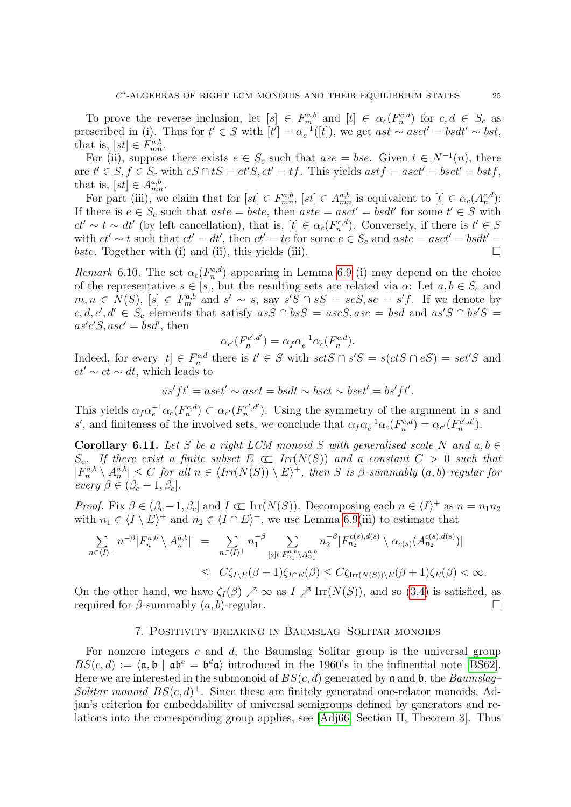To prove the reverse inclusion, let  $[s] \in F_m^{a,b}$  and  $[t] \in \alpha_c(F_n^{c,d})$  for  $c, d \in S_c$  as prescribed in (i). Thus for  $t' \in S$  with  $[t'] = \alpha_c^{-1}([t])$ , we get  $ast \sim asct' = bsdt' \sim bst$ , that is,  $[st] \in F_{mn}^{a,b}$ .

For (ii), suppose there exists  $e \in S_c$  such that  $ase = bse$ . Given  $t \in N^{-1}(n)$ , there are  $t' \in S$ ,  $f \in S_c$  with  $eS \cap tS = et'S$ ,  $et' = tf$ . This yields  $astf = aset' = bset' = bstf$ , that is,  $[st] \in A^{a,b}_{mn}$ .

For part (iii), we claim that for  $[st] \in F_{mn}^{a,b}$ ,  $[st] \in A_{mn}^{a,b}$  is equivalent to  $[t] \in \alpha_c(A_n^{c,d})$ : If there is  $e \in S_c$  such that  $aste = bste$ , then  $aste = asct' = bsdt'$  for some  $t' \in S$  with  $ct' \sim t \sim dt'$  (by left cancellation), that is,  $[t] \in \alpha_c(F_n^{c,d})$ . Conversely, if there is  $t' \in S$ with  $ct' \sim t$  such that  $ct' = dt'$ , then  $ct' = te$  for some  $e \in S_c$  and  $aste = asct' = bsdt' = 0$ bste. Together with (i) and (ii), this yields (iii).  $\square$ 

Remark 6.10. The set  $\alpha_c(F_n^{c,d})$  appearing in Lemma [6.9](#page-24-1) (i) may depend on the choice of the representative  $s \in [s]$ , but the resulting sets are related via  $\alpha$ : Let  $a, b \in S_c$  and  $m, n \in N(S)$ ,  $[s] \in F_m^{a,b}$  and  $s' \sim s$ , say  $s'S \cap sS = seS$ ,  $se = s'f$ . If we denote by  $c, d, c', d' \in S_c$  elements that satisfy  $asS \cap bsS = ascS, asc = bsd$  and  $as'S \cap bs'S$  $as'c'S, asc' = bsd'$ , then

$$
\alpha_{c'}(F_n^{c',d'}) = \alpha_f \alpha_e^{-1} \alpha_c(F_n^{c,d}).
$$

Indeed, for every  $[t] \in F_n^{c,d}$  there is  $t' \in S$  with  $sctS \cap s'S = s(ctS \cap eS) = set'S$  and  $et' \sim ct \sim dt$ , which leads to

$$
as'ft' = aset' \sim asct = bsdt \sim bsct \sim bset' = bs'ft'.
$$

This yields  $\alpha_f \alpha_e^{-1} \alpha_c(F_n^{c,d}) \subset \alpha_{c'}(F_n^{c',d'})$ . Using the symmetry of the argument in s and s', and finiteness of the involved sets, we conclude that  $\alpha_f \alpha_e^{-1} \alpha_c(F_n^{c,d}) = \alpha_{c'}(F_n^{c',d'}).$ 

<span id="page-25-1"></span>Corollary 6.11. Let S be a right LCM monoid S with generalised scale N and  $a, b \in$  $S_c$ . If there exist a finite subset  $E \subset Tr(N(S))$  and a constant  $C > 0$  such that  $|F_n^{a,b} \setminus A_n^{a,b}| \leq C$  for all  $n \in \langle Irr(N(S)) \setminus E \rangle^+$ , then S is  $\beta$ -summably  $(a, b)$ -regular for every  $\beta \in (\beta_c - 1, \beta_c]$ .

*Proof.* Fix  $\beta \in (\beta_c - 1, \beta_c]$  and  $I \subset \text{Irr}(N(S))$ . Decomposing each  $n \in \langle I \rangle^+$  as  $n = n_1 n_2$ with  $n_1 \in \langle I \setminus E \rangle^+$  and  $n_2 \in \langle I \cap E \rangle^+$ , we use Lemma [6.9\(](#page-24-1)iii) to estimate that

$$
\sum_{n\in\langle I\rangle^+} n^{-\beta} |F_n^{a,b} \setminus A_n^{a,b}| = \sum_{n\in\langle I\rangle^+} n_1^{-\beta} \sum_{[s]\in F_{n_1}^{a,b}\setminus A_{n_1}^{a,b}} n_2^{-\beta} |F_{n_2}^{c(s),d(s)} \setminus \alpha_{c(s)}(A_{n_2}^{c(s),d(s)})|
$$
  

$$
\leq C\zeta_{I\setminus E}(\beta+1)\zeta_{I\cap E}(\beta) \leq C\zeta_{\text{Irr}(N(S))\setminus E}(\beta+1)\zeta_E(\beta) < \infty.
$$

On the other hand, we have  $\zeta_I(\beta) \nearrow \infty$  as  $I \nearrow \text{Irr}(N(S))$ , and so [\(3.4\)](#page-9-3) is satisfied, as required for  $\beta$ -summably  $(a, b)$ -regular.

#### 7. Positivity breaking in Baumslag–Solitar monoids

<span id="page-25-0"></span>For nonzero integers c and  $d$ , the Baumslag–Solitar group is the universal group  $BS(c, d) := \langle \mathfrak{a}, \mathfrak{b} \mid \mathfrak{a} \mathfrak{b}^c = \mathfrak{b}^d \mathfrak{a} \rangle$  introduced in the 1960's in the influential note [\[BS62\]](#page-37-19). Here we are interested in the submonoid of  $BS(c, d)$  generated by a and b, the Baumslag– Solitar monoid  $BS(c, d)^+$ . Since these are finitely generated one-relator monoids, Adjan's criterion for embeddability of universal semigroups defined by generators and relations into the corresponding group applies, see [\[Adj66,](#page-36-4) Section II, Theorem 3]. Thus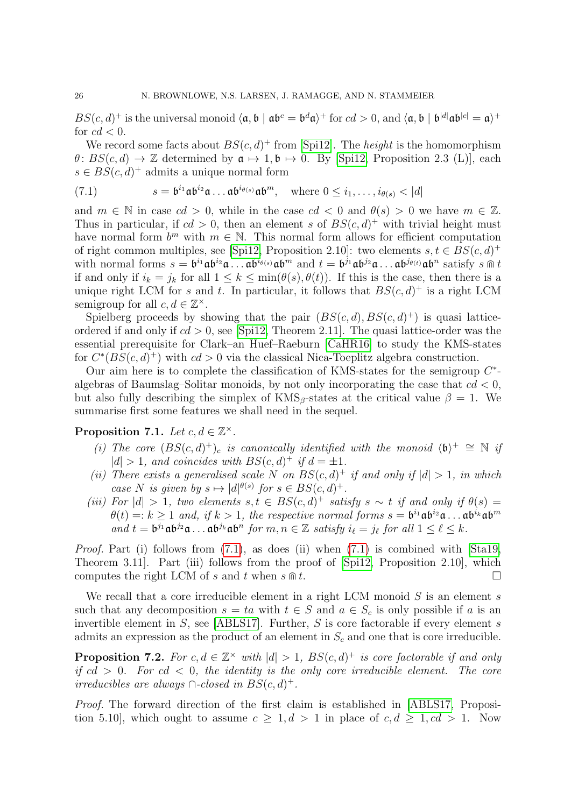$BS(c, d)^+$  is the universal monoid  $\langle \mathfrak{a}, \mathfrak{b} | \mathfrak{a} \mathfrak{b}^c = \mathfrak{b}^d \mathfrak{a} \rangle^+$  for  $cd > 0$ , and  $\langle \mathfrak{a}, \mathfrak{b} | \mathfrak{b}^{|d|} \mathfrak{a} \mathfrak{b}^{|c|} = \mathfrak{a} \rangle^+$ for  $cd < 0$ .

We record some facts about  $BS(c, d)^+$  from [\[Spi12\]](#page-38-13). The *height* is the homomorphism  $\theta$ :  $BS(c, d) \rightarrow \mathbb{Z}$  determined by  $\mathfrak{a} \mapsto 1, \mathfrak{b} \mapsto 0$ . By [\[Spi12,](#page-38-13) Proposition 2.3 (L)], each  $s \in BS(c, d)^{+}$  admits a unique normal form

<span id="page-26-1"></span>(7.1) 
$$
s = \mathfrak{b}^{i_1} \mathfrak{a} \mathfrak{b}^{i_2} \mathfrak{a} \dots \mathfrak{a} \mathfrak{b}^{i_{\theta(s)}} \mathfrak{a} \mathfrak{b}^m, \text{ where } 0 \leq i_1, \dots, i_{\theta(s)} < |d|
$$

and  $m \in \mathbb{N}$  in case  $cd > 0$ , while in the case  $cd < 0$  and  $\theta(s) > 0$  we have  $m \in \mathbb{Z}$ . Thus in particular, if  $cd > 0$ , then an element s of  $BS(c, d)^+$  with trivial height must have normal form  $b^m$  with  $m \in \mathbb{N}$ . This normal form allows for efficient computation of right common multiples, see [\[Spi12,](#page-38-13) Proposition 2.10]: two elements  $s, t \in BS(c, d)^+$ with normal forms  $s = b^{i_1} \mathfrak{a} b^{i_2} \mathfrak{a} \dots \mathfrak{a} b^{i_{\theta(s)}} \mathfrak{a} b^m$  and  $t = b^{j_1} \mathfrak{a} b^{j_2} \mathfrak{a} \dots \mathfrak{a} b^{j_{\theta(t)}} \mathfrak{a} b^n$  satisfy  $s \text{ in } t$ if and only if  $i_k = j_k$  for all  $1 \leq k \leq \min(\theta(s), \theta(t))$ . If this is the case, then there is a unique right LCM for s and t. In particular, it follows that  $BS(c, d)^+$  is a right LCM semigroup for all  $c, d \in \mathbb{Z}^{\times}$ .

Spielberg proceeds by showing that the pair  $(BS(c, d), BS(c, d)^+)$  is quasi latticeordered if and only if  $cd > 0$ , see [\[Spi12,](#page-38-13) Theorem 2.11]. The quasi lattice-order was the essential prerequisite for Clark–an Huef–Raeburn [\[CaHR16\]](#page-37-10) to study the KMS-states for  $C^*(BS(c, d)^+)$  with  $cd > 0$  via the classical Nica-Toeplitz algebra construction.

Our aim here is to complete the classification of KMS-states for the semigroup  $C^*$ algebras of Baumslag–Solitar monoids, by not only incorporating the case that  $cd < 0$ , but also fully describing the simplex of  $KMS_\beta$ -states at the critical value  $\beta = 1$ . We summarise first some features we shall need in the sequel.

<span id="page-26-2"></span>Proposition 7.1. Let  $c, d \in \mathbb{Z}^{\times}$ .

- (i) The core  $(BS(c,d)^+)$ <sub>c</sub> is canonically identified with the monoid  $\langle b \rangle^+ \cong \mathbb{N}$  if  $|d| > 1$ , and coincides with  $BS(c, d)^+$  if  $d = \pm 1$ .
- (ii) There exists a generalised scale N on  $BS(c, d)^+$  if and only if  $|d| > 1$ , in which case N is given by  $s \mapsto |d|^{\theta(s)}$  for  $s \in BS(c, d)^+$ .
- (iii) For  $|d| > 1$ , two elements  $s, t \in BS(c, d)^+$  satisfy  $s \sim t$  if and only if  $\theta(s) =$  $\theta(t) =: k \geq 1$  and, if  $k > 1$ , the respective normal forms  $s = \mathfrak{b}^{i_1} \mathfrak{a} \mathfrak{b}^{i_2} \mathfrak{a} \dots \mathfrak{a} \mathfrak{b}^{i_k} \mathfrak{a} \mathfrak{b}^m$ and  $t = \mathfrak{b}^{j_1} \mathfrak{a} \mathfrak{b}^{j_2} \mathfrak{a} \ldots \mathfrak{a} \mathfrak{b}^{j_k} \mathfrak{a} \mathfrak{b}^n$  for  $m, n \in \mathbb{Z}$  satisfy  $i_\ell = j_\ell$  for all  $1 \leq \ell \leq k$ .

*Proof.* Part (i) follows from  $(7.1)$ , as does (ii) when  $(7.1)$  is combined with  $[Sta19,$ Theorem 3.11]. Part (iii) follows from the proof of [\[Spi12,](#page-38-13) Proposition 2.10], which computes the right LCM of s and t when  $s \oplus t$ .

We recall that a core irreducible element in a right LCM monoid  $S$  is an element  $s$ such that any decomposition  $s = ta$  with  $t \in S$  and  $a \in S_c$  is only possible if a is an invertible element in  $S$ , see [\[ABLS17\]](#page-36-1). Further,  $S$  is core factorable if every element  $s$ admits an expression as the product of an element in  $S_c$  and one that is core irreducible.

<span id="page-26-0"></span>**Proposition 7.2.** For  $c, d \in \mathbb{Z}^{\times}$  with  $|d| > 1$ ,  $BS(c, d)^{+}$  is core factorable if and only if  $cd > 0$ . For  $cd < 0$ , the identity is the only core irreducible element. The core *irreducibles are always* ∩-*closed in*  $BS(c, d)$ <sup>+</sup>.

Proof. The forward direction of the first claim is established in [\[ABLS17,](#page-36-1) Proposition 5.10], which ought to assume  $c \geq 1, d > 1$  in place of  $c, d \geq 1, cd > 1$ . Now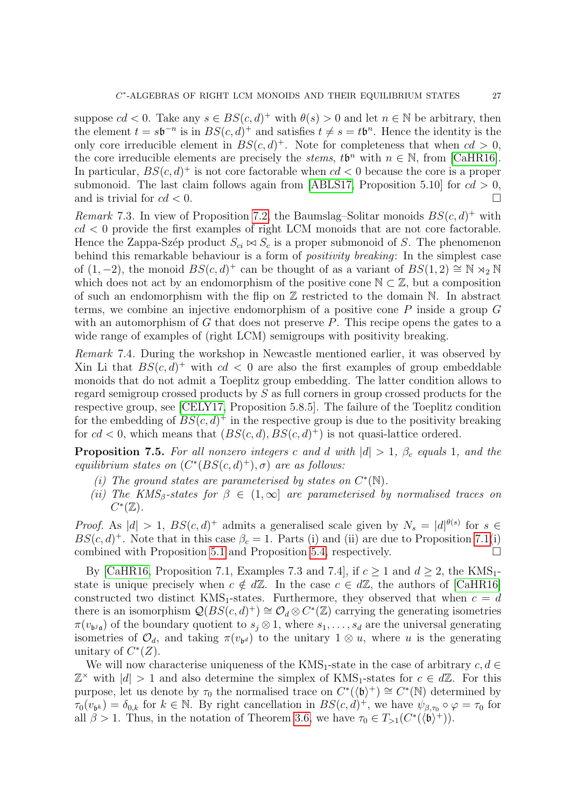suppose  $cd < 0$ . Take any  $s \in BS(c, d)^+$  with  $\theta(s) > 0$  and let  $n \in \mathbb{N}$  be arbitrary, then the element  $t = s\mathfrak{b}^{-n}$  is in  $BS(c, d)^+$  and satisfies  $t \neq s = t\mathfrak{b}^n$ . Hence the identity is the only core irreducible element in  $BS(c, d)^+$ . Note for completeness that when  $cd > 0$ , the core irreducible elements are precisely the *stems*,  $t\mathfrak{b}^n$  with  $n \in \mathbb{N}$ , from [\[CaHR16\]](#page-37-10). In particular,  $BS(c, d)^+$  is not core factorable when  $cd < 0$  because the core is a proper submonoid. The last claim follows again from [\[ABLS17,](#page-36-1) Proposition 5.10] for  $cd > 0$ , and is trivial for  $cd < 0$ .

Remark 7.3. In view of Proposition [7.2,](#page-26-0) the Baumslag-Solitar monoids  $BS(c, d)^+$  with  $cd < 0$  provide the first examples of right LCM monoids that are not core factorable. Hence the Zappa-Szép product  $S_{ci} \bowtie S_c$  is a proper submonoid of S. The phenomenon behind this remarkable behaviour is a form of *positivity breaking*: In the simplest case of  $(1, -2)$ , the monoid  $BS(c, d)^+$  can be thought of as a variant of  $BS(1, 2) \cong \mathbb{N} \rtimes_2 \mathbb{N}$ which does not act by an endomorphism of the positive cone  $\mathbb{N} \subset \mathbb{Z}$ , but a composition of such an endomorphism with the flip on  $\mathbb Z$  restricted to the domain  $\mathbb N$ . In abstract terms, we combine an injective endomorphism of a positive cone  $P$  inside a group  $G$ with an automorphism of  $G$  that does not preserve  $P$ . This recipe opens the gates to a wide range of examples of (right LCM) semigroups with positivity breaking.

Remark 7.4. During the workshop in Newcastle mentioned earlier, it was observed by Xin Li that  $BS(c, d)^+$  with  $cd < 0$  are also the first examples of group embeddable monoids that do not admit a Toeplitz group embedding. The latter condition allows to regard semigroup crossed products by S as full corners in group crossed products for the respective group, see [\[CELY17,](#page-37-0) Proposition 5.8.5]. The failure of the Toeplitz condition for the embedding of  $BS(c, d)^+$  in the respective group is due to the positivity breaking for  $cd < 0$ , which means that  $(BS(c, d), BS(c, d)^+)$  is not quasi-lattice ordered.

**Proposition 7.5.** For all nonzero integers c and d with  $|d| > 1$ ,  $\beta_c$  equals 1, and the equilibrium states on  $(C^*(BS(c, d)^+), \sigma)$  are as follows:

- (i) The ground states are parameterised by states on  $C^*(\mathbb{N})$ .
- (ii) The KMS<sub>β</sub>-states for  $\beta \in (1,\infty]$  are parameterised by normalised traces on  $C^*(\mathbb{Z})$ .

*Proof.* As  $|d| > 1$ ,  $BS(c, d)^+$  admits a generalised scale given by  $N_s = |d|^{\theta(s)}$  for  $s \in$  $BS(c, d)^{+}$ . Note that in this case  $\beta_c = 1$ . Parts (i) and (ii) are due to Proposition [7.1\(](#page-26-2)i) combined with Proposition [5.1](#page-17-1) and Proposition [5.4,](#page-18-0) respectively.

By [\[CaHR16,](#page-37-10) Proposition 7.1, Examples 7.3 and 7.4], if  $c > 1$  and  $d > 2$ , the KMS<sub>1</sub>state is unique precisely when  $c \notin d\mathbb{Z}$ . In the case  $c \in d\mathbb{Z}$ , the authors of [\[CaHR16\]](#page-37-10) constructed two distinct  $KMS_1$ -states. Furthermore, they observed that when  $c = d$ there is an isomorphism  $\mathcal{Q}(BS(c,d)^+) \cong \mathcal{O}_d \otimes C^*(\mathbb{Z})$  carrying the generating isometries  $\pi(v_{\mathfrak{b}^j\mathfrak{a}})$  of the boundary quotient to  $s_j \otimes 1$ , where  $s_1, \ldots, s_d$  are the universal generating isometries of  $\mathcal{O}_d$ , and taking  $\pi(v_{\mathfrak{b}^d})$  to the unitary  $1 \otimes u$ , where u is the generating unitary of  $C^*(Z)$ .

We will now characterise uniqueness of the KMS<sub>1</sub>-state in the case of arbitrary  $c, d \in$  $\mathbb{Z}^{\times}$  with  $|d| > 1$  and also determine the simplex of KMS<sub>1</sub>-states for  $c \in d\mathbb{Z}$ . For this purpose, let us denote by  $\tau_0$  the normalised trace on  $C^*(\langle \mathfrak{b} \rangle^+) \cong C^*(\mathbb{N})$  determined by  $\tau_0(v_{b^k}) = \delta_{0,k}$  for  $k \in \mathbb{N}$ . By right cancellation in  $BS(c, d)^+$ , we have  $\psi_{\beta,\tau_0} \circ \varphi = \tau_0$  for all  $\beta > 1$ . Thus, in the notation of Theorem [3.6,](#page-10-0) we have  $\tau_0 \in T_{>1}(C^*(\langle \mathfrak{b} \rangle^+))$ .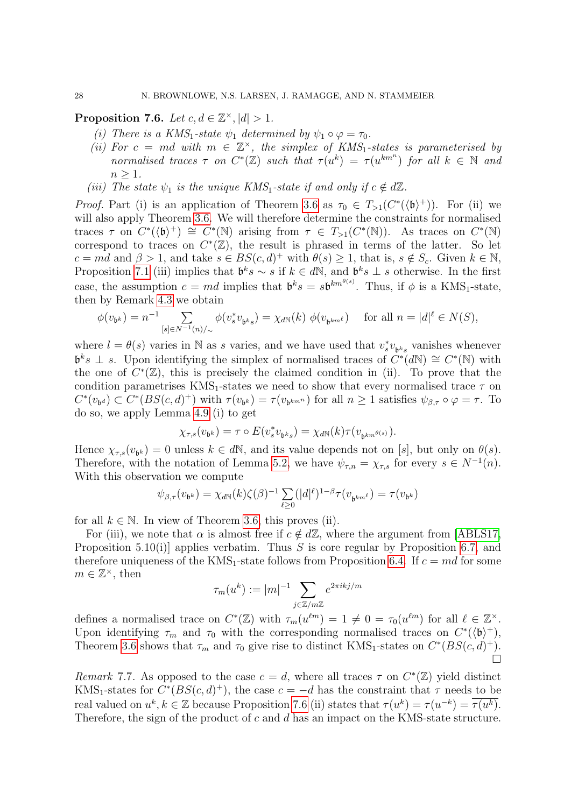<span id="page-28-0"></span>Proposition 7.6. Let  $c, d \in \mathbb{Z}^{\times}, |d| > 1$ .

- (i) There is a KMS<sub>1</sub>-state  $\psi_1$  determined by  $\psi_1 \circ \varphi = \tau_0$ .
- (ii) For  $c = md$  with  $m \in \mathbb{Z}^{\times}$ , the simplex of KMS<sub>1</sub>-states is parameterised by normalised traces  $\tau$  on  $C^*(\mathbb{Z})$  such that  $\tau(u^k) = \tau(u^{km^n})$  for all  $k \in \mathbb{N}$  and  $n > 1$ .
- (iii) The state  $\psi_1$  is the unique KMS<sub>1</sub>-state if and only if  $c \notin d\mathbb{Z}$ .

*Proof.* Part (i) is an application of Theorem [3.6](#page-10-0) as  $\tau_0 \in T_{>1}(C^*(\langle \mathfrak{b} \rangle^+))$ . For (ii) we will also apply Theorem [3.6.](#page-10-0) We will therefore determine the constraints for normalised traces  $\tau$  on  $C^*(\langle \mathfrak{b} \rangle^+) \cong C^*(\mathbb{N})$  arising from  $\tau \in T_{>1}(C^*(\mathbb{N}))$ . As traces on  $C^*(\mathbb{N})$ correspond to traces on  $C^*(\mathbb{Z})$ , the result is phrased in terms of the latter. So let  $c = md$  and  $\beta > 1$ , and take  $s \in BS(c, d)^+$  with  $\theta(s) \geq 1$ , that is,  $s \notin S_c$ . Given  $k \in \mathbb{N}$ , Proposition [7.1](#page-26-2) (iii) implies that  $\mathfrak{b}^k s \sim s$  if  $k \in d\mathbb{N}$ , and  $\mathfrak{b}^k s \perp s$  otherwise. In the first case, the assumption  $c = md$  implies that  $\mathfrak{b}^k s = s\mathfrak{b}^{km^{\theta(s)}}$ . Thus, if  $\phi$  is a KMS<sub>1</sub>-state, then by Remark [4.3](#page-13-0) we obtain

$$
\phi(v_{\mathfrak{b}^k}) = n^{-1} \sum_{[s] \in N^{-1}(n)/_{\sim}} \phi(v_s^* v_{\mathfrak{b}^k s}) = \chi_{d\mathbb{N}}(k) \ \phi(v_{\mathfrak{b}^{km}} \ell) \quad \text{ for all } n = |d|^\ell \in N(S),
$$

where  $l = \theta(s)$  varies in N as s varies, and we have used that  $v_s^* v_{b^k s}$  vanishes whenever  $\mathfrak{b}^k s \perp s$ . Upon identifying the simplex of normalised traces of  $C^*(dN) \cong C^*(N)$  with the one of  $C^*(\mathbb{Z})$ , this is precisely the claimed condition in (ii). To prove that the condition parametrises  $KMS_1$ -states we need to show that every normalised trace  $\tau$  on  $C^*(v_{\mathfrak{b}d}) \subset C^*(BS(c,d)^+)$  with  $\tau(v_{\mathfrak{b}k}) = \tau(v_{\mathfrak{b}k^{mn}})$  for all  $n \geq 1$  satisfies  $\psi_{\beta,\tau} \circ \varphi = \tau$ . To do so, we apply Lemma [4.9](#page-16-0) (i) to get

$$
\chi_{\tau,s}(v_{\mathfrak{b}^k})=\tau\circ E(v_s^*v_{\mathfrak{b}^ks})=\chi_{d\mathbb{N}}(k)\tau(v_{\mathfrak{b}^{km}}e_{\mathfrak{s}^k}).
$$

Hence  $\chi_{\tau,s}(v_{b^k}) = 0$  unless  $k \in d\mathbb{N}$ , and its value depends not on [s], but only on  $\theta(s)$ . Therefore, with the notation of Lemma [5.2,](#page-17-4) we have  $\psi_{\tau,n} = \chi_{\tau,s}$  for every  $s \in N^{-1}(n)$ . With this observation we compute

$$
\psi_{\beta,\tau}(v_{\mathfrak{b}^k}) = \chi_{dN}(k)\zeta(\beta)^{-1}\sum_{\ell \geq 0} (|d|^{\ell})^{1-\beta} \tau(v_{\mathfrak{b}^{km}}\ell) = \tau(v_{\mathfrak{b}^k})
$$

for all  $k \in \mathbb{N}$ . In view of Theorem [3.6,](#page-10-0) this proves (ii).

For (iii), we note that  $\alpha$  is almost free if  $c \notin d\mathbb{Z}$ , where the argument from [\[ABLS17,](#page-36-1) Proposition 5.10(i)] applies verbatim. Thus S is core regular by Proposition [6.7,](#page-24-2) and therefore uniqueness of the KMS<sub>1</sub>-state follows from Proposition [6.4.](#page-22-0) If  $c = md$  for some  $m \in \mathbb{Z}^{\times}$ , then

$$
\tau_m(u^k) := |m|^{-1} \sum_{j \in \mathbb{Z}/m\mathbb{Z}} e^{2\pi i k j/m}
$$

defines a normalised trace on  $C^*(\mathbb{Z})$  with  $\tau_m(u^{\ell m}) = 1 \neq 0 = \tau_0(u^{\ell m})$  for all  $\ell \in \mathbb{Z}^\times$ . Upon identifying  $\tau_m$  and  $\tau_0$  with the corresponding normalised traces on  $C^*(\langle \mathfrak{b} \rangle^+),$ Theorem [3.6](#page-10-0) shows that  $\tau_m$  and  $\tau_0$  give rise to distinct KMS<sub>1</sub>-states on  $C^*(BS(c, d)^+)$ .  $\sum_{i=1}^{n}$ 

Remark 7.7. As opposed to the case  $c = d$ , where all traces  $\tau$  on  $C^*(\mathbb{Z})$  yield distinct KMS<sub>1</sub>-states for  $C^*(BS(c, d)^+)$ , the case  $c = -d$  has the constraint that  $\tau$  needs to be real valued on  $u^k, k \in \mathbb{Z}$  because Proposition [7.6](#page-28-0) (ii) states that  $\tau(u^k) = \tau(u^{-k}) = \overline{\tau(u^k)}$ . Therefore, the sign of the product of c and d has an impact on the KMS-state structure.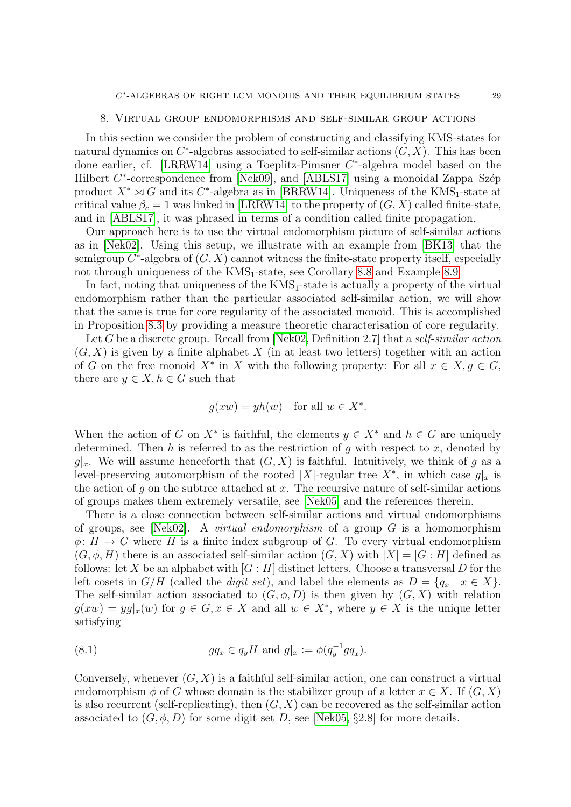#### 8. Virtual group endomorphisms and self-similar group actions

<span id="page-29-0"></span>In this section we consider the problem of constructing and classifying KMS-states for natural dynamics on  $C^*$ -algebras associated to self-similar actions  $(G, X)$ . This has been done earlier, cf. [\[LRRW14\]](#page-38-8) using a Toeplitz-Pimsner C<sup>\*</sup>-algebra model based on the Hilbert  $C^*$ -correspondence from [\[Nek09\]](#page-38-7), and [\[ABLS17\]](#page-36-1) using a monoidal Zappa–Szép product  $X^* \bowtie G$  and its C<sup>\*</sup>-algebra as in [\[BRRW14\]](#page-37-4). Uniqueness of the KMS<sub>1</sub>-state at critical value  $\beta_c = 1$  was linked in [\[LRRW14\]](#page-38-8) to the property of  $(G, X)$  called finite-state, and in [\[ABLS17\]](#page-36-1), it was phrased in terms of a condition called finite propagation.

Our approach here is to use the virtual endomorphism picture of self-similar actions as in [\[Nek02\]](#page-38-17). Using this setup, we illustrate with an example from [\[BK13\]](#page-37-15) that the semigroup  $C^*$ -algebra of  $(G, X)$  cannot witness the finite-state property itself, especially not through uniqueness of the  $KMS_1$ -state, see Corollary [8.8](#page-33-0) and Example [8.9.](#page-33-2)

In fact, noting that uniqueness of the  $KMS_1$ -state is actually a property of the virtual endomorphism rather than the particular associated self-similar action, we will show that the same is true for core regularity of the associated monoid. This is accomplished in Proposition [8.3](#page-31-0) by providing a measure theoretic characterisation of core regularity.

Let G be a discrete group. Recall from [\[Nek02,](#page-38-17) Definition 2.7] that a self-similar action  $(G, X)$  is given by a finite alphabet X (in at least two letters) together with an action of G on the free monoid  $X^*$  in X with the following property: For all  $x \in X, g \in G$ , there are  $y \in X, h \in G$  such that

$$
g(xw) = yh(w)
$$
 for all  $w \in X^*$ .

When the action of G on  $X^*$  is faithful, the elements  $y \in X^*$  and  $h \in G$  are uniquely determined. Then h is referred to as the restriction of q with respect to x, denoted by  $g|_x$ . We will assume henceforth that  $(G, X)$  is faithful. Intuitively, we think of g as a level-preserving automorphism of the rooted |X|-regular tree  $X^*$ , in which case  $g|_x$  is the action of q on the subtree attached at  $x$ . The recursive nature of self-similar actions of groups makes them extremely versatile, see [\[Nek05\]](#page-38-18) and the references therein.

There is a close connection between self-similar actions and virtual endomorphisms of groups, see [\[Nek02\]](#page-38-17). A *virtual endomorphism* of a group  $G$  is a homomorphism  $\phi: H \to G$  where H is a finite index subgroup of G. To every virtual endomorphism  $(G, \phi, H)$  there is an associated self-similar action  $(G, X)$  with  $|X| = [G : H]$  defined as follows: let X be an alphabet with  $[G:H]$  distinct letters. Choose a transversal D for the left cosets in  $G/H$  (called the *digit set*), and label the elements as  $D = \{q_x \mid x \in X\}.$ The self-similar action associated to  $(G, \phi, D)$  is then given by  $(G, X)$  with relation  $g(xw) = yg|_x(w)$  for  $g \in G, x \in X$  and all  $w \in X^*$ , where  $y \in X$  is the unique letter satisfying

<span id="page-29-1"></span>(8.1) 
$$
gq_x \in q_y H \text{ and } g|_x := \phi(q_y^{-1} g q_x).
$$

Conversely, whenever  $(G, X)$  is a faithful self-similar action, one can construct a virtual endomorphism  $\phi$  of G whose domain is the stabilizer group of a letter  $x \in X$ . If  $(G, X)$ is also recurrent (self-replicating), then  $(G, X)$  can be recovered as the self-similar action associated to  $(G, \phi, D)$  for some digit set D, see [\[Nek05,](#page-38-18) §2.8] for more details.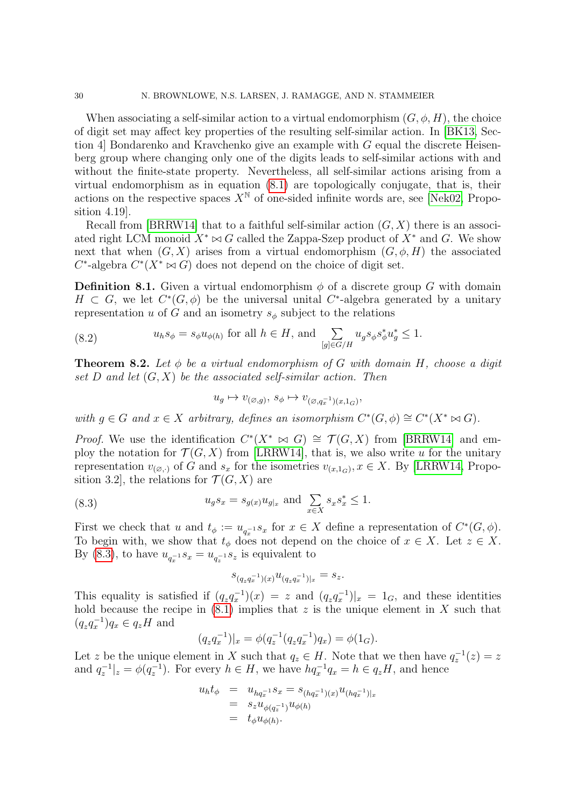When associating a self-similar action to a virtual endomorphism  $(G, \phi, H)$ , the choice of digit set may affect key properties of the resulting self-similar action. In [\[BK13,](#page-37-15) Section 4 Bondarenko and Kravchenko give an example with  $G$  equal the discrete Heisenberg group where changing only one of the digits leads to self-similar actions with and without the finite-state property. Nevertheless, all self-similar actions arising from a virtual endomorphism as in equation [\(8.1\)](#page-29-1) are topologically conjugate, that is, their actions on the respective spaces  $X^{\mathbb{N}}$  of one-sided infinite words are, see [\[Nek02,](#page-38-17) Proposition 4.19].

Recall from [\[BRRW14\]](#page-37-4) that to a faithful self-similar action  $(G, X)$  there is an associated right LCM monoid  $X^* \bowtie G$  called the Zappa-Szep product of  $X^*$  and G. We show next that when  $(G, X)$  arises from a virtual endomorphism  $(G, \phi, H)$  the associated  $C^*$ -algebra  $C^*(X^* \bowtie G)$  does not depend on the choice of digit set.

**Definition 8.1.** Given a virtual endomorphism  $\phi$  of a discrete group G with domain  $H \subset G$ , we let  $C^*(G, \phi)$  be the universal unital  $C^*$ -algebra generated by a unitary representation u of G and an isometry  $s_{\phi}$  subject to the relations

<span id="page-30-1"></span>(8.2) 
$$
u_h s_{\phi} = s_{\phi} u_{\phi(h)} \text{ for all } h \in H, \text{ and } \sum_{[g] \in G/H} u_g s_{\phi} s_{\phi}^* u_g^* \le 1.
$$

<span id="page-30-2"></span>**Theorem 8.2.** Let  $\phi$  be a virtual endomorphism of G with domain H, choose a digit set D and let  $(G, X)$  be the associated self-similar action. Then

$$
u_g \mapsto v_{(\varnothing,g)}, \ s_\phi \mapsto v_{(\varnothing,q_x^{-1})(x,1_G)},
$$

with  $g \in G$  and  $x \in X$  arbitrary, defines an isomorphism  $C^*(G, \phi) \cong C^*(X^* \bowtie G)$ .

*Proof.* We use the identification  $C^*(X^* \bowtie G) \cong \mathcal{T}(G, X)$  from [\[BRRW14\]](#page-37-4) and employ the notation for  $\mathcal{T}(G, X)$  from [\[LRRW14\]](#page-38-8), that is, we also write u for the unitary representation  $v_{(\varnothing,\cdot)}$  of G and  $s_x$  for the isometries  $v_{(x,1_G)}$ ,  $x \in X$ . By [\[LRRW14,](#page-38-8) Proposition 3.2, the relations for  $\mathcal{T}(G, X)$  are

(8.3) 
$$
u_g s_x = s_{g(x)} u_{g|x} \text{ and } \sum_{x \in X} s_x s_x^* \le 1.
$$

First we check that u and  $t_{\phi} := u_{q_x^{-1}} s_x$  for  $x \in X$  define a representation of  $C^*(G, \phi)$ . To begin with, we show that  $t_{\phi}$  does not depend on the choice of  $x \in X$ . Let  $z \in X$ . By [\(8.3\)](#page-30-0), to have  $u_{q_x^{-1}} s_x = u_{q_x^{-1}} s_z$  is equivalent to

<span id="page-30-0"></span>
$$
s_{(q_z q_x^{-1})(x)} u_{(q_z q_x^{-1})|_x} = s_z.
$$

This equality is satisfied if  $(q_z q_x^{-1})(x) = z$  and  $(q_z q_x^{-1})|_x = 1_G$ , and these identities hold because the recipe in  $(8.1)$  implies that z is the unique element in X such that  $(q_z q_x^{-1}) q_x \in q_z H$  and

$$
(q_z q_x^{-1})|_x = \phi(q_z^{-1}(q_z q_x^{-1}) q_x) = \phi(1_G).
$$

Let z be the unique element in X such that  $q_z \in H$ . Note that we then have  $q_z^{-1}(z) = z$ and  $q_z^{-1}|_z = \phi(q_z^{-1})$ . For every  $h \in H$ , we have  $hq_x^{-1}q_x = h \in q_zH$ , and hence

$$
u_h t_{\phi} = u_{hq_x^{-1}} s_x = s_{(hq_x^{-1})(x)} u_{(hq_x^{-1})|_x}
$$
  
=  $s_z u_{\phi(q_z^{-1})} u_{\phi(h)}$   
=  $t_{\phi} u_{\phi(h)}$ .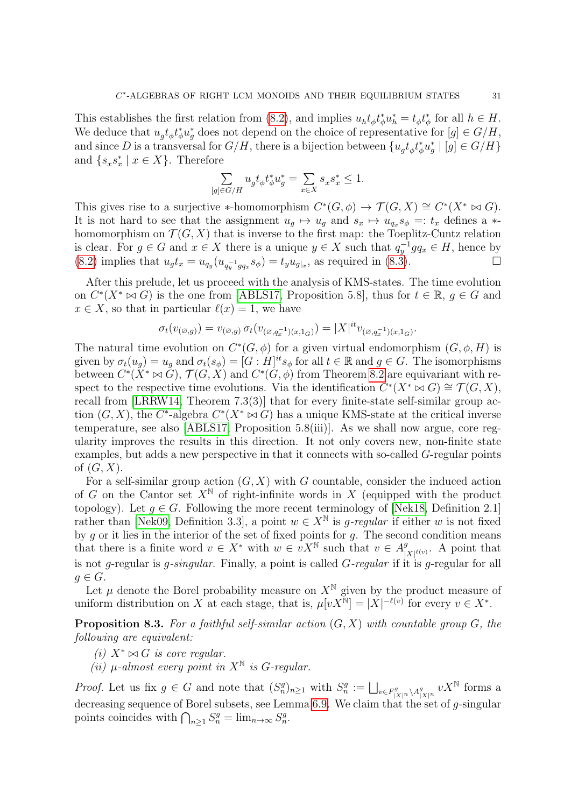This establishes the first relation from [\(8.2\)](#page-30-1), and implies  $u_h t_\phi t_\phi^* u_h^* = t_\phi t_\phi^*$  for all  $h \in H$ . We deduce that  $u_g t_\phi t_\phi^* u_g^*$  does not depend on the choice of representative for  $[g] \in G/H$ , and since D is a transversal for  $G/H$ , there is a bijection between  $\{u_g t_\phi t_\phi^* u_g^* \mid [g] \in G/H\}$ and  $\{s_x s_x^* \mid x \in X\}$ . Therefore

$$
\sum_{[g]\in G/H}u_gt_\phi t_\phi^*u_g^*=\sum_{x\in X}s_xs_x^*\le 1.
$$

This gives rise to a surjective \*-homomorphism  $C^*(G, \phi) \to \mathcal{T}(G, X) \cong C^*(X^* \bowtie G)$ . It is not hard to see that the assignment  $u_g \mapsto u_g$  and  $s_x \mapsto u_{q_x} s_{\phi} =: t_x$  defines a  $*$ homomorphism on  $\mathcal{T}(G, X)$  that is inverse to the first map: the Toeplitz-Cuntz relation is clear. For  $g \in G$  and  $x \in X$  there is a unique  $y \in X$  such that  $q_y^{-1} g q_x \in H$ , hence by  $(8.2)$  implies that  $u_g t_x = u_{q_y}(u_{q_y^{-1}g_{q_x}} s_\phi) = t_y u_{g|x}$ , as required in  $(8.\dot{3})$ .

After this prelude, let us proceed with the analysis of KMS-states. The time evolution on  $C^*(X^* \bowtie G)$  is the one from [\[ABLS17,](#page-36-1) Proposition 5.8], thus for  $t \in \mathbb{R}$ ,  $g \in G$  and  $x \in X$ , so that in particular  $\ell(x) = 1$ , we have

$$
\sigma_t(v_{(\varnothing,g)})=v_{(\varnothing,g)}\,\sigma_t(v_{(\varnothing,g_x^{-1})(x,1_G)})=|X|^{it}v_{(\varnothing,g_x^{-1})(x,1_G)}
$$

The natural time evolution on  $C^*(G, \phi)$  for a given virtual endomorphism  $(G, \phi, H)$  is given by  $\sigma_t(u_g) = u_g$  and  $\sigma_t(s_\phi) = [G:H]^{\text{it}} s_\phi$  for all  $t \in \mathbb{R}$  and  $g \in G$ . The isomorphisms between  $C^*(X^* \bowtie G)$ ,  $\mathcal{T}(G, X)$  and  $C^*(G, \phi)$  from Theorem [8.2](#page-30-2) are equivariant with respect to the respective time evolutions. Via the identification  $C^*(X^* \bowtie G) \cong \mathcal{T}(G,X)$ , recall from [\[LRRW14,](#page-38-8) Theorem 7.3(3)] that for every finite-state self-similar group action  $(G, X)$ , the C<sup>\*</sup>-algebra  $C^*(X^* \bowtie G)$  has a unique KMS-state at the critical inverse temperature, see also [\[ABLS17,](#page-36-1) Proposition 5.8(iii)]. As we shall now argue, core regularity improves the results in this direction. It not only covers new, non-finite state examples, but adds a new perspective in that it connects with so-called G-regular points of  $(G, X)$ .

For a self-similar group action  $(G, X)$  with G countable, consider the induced action of G on the Cantor set  $X^{\mathbb{N}}$  of right-infinite words in X (equipped with the product topology). Let  $q \in G$ . Following the more recent terminology of [\[Nek18,](#page-38-19) Definition 2.1] rather than [\[Nek09,](#page-38-7) Definition 3.3], a point  $w \in X^{\mathbb{N}}$  is g-regular if either w is not fixed by  $g$  or it lies in the interior of the set of fixed points for  $g$ . The second condition means that there is a finite word  $v \in X^*$  with  $w \in vX^{\mathbb{N}}$  such that  $v \in A_1^g$  $\int_{|X|^{\ell(v)}}^g$ . A point that is not g-regular is g-singular. Finally, a point is called  $G$ -regular if it is g-regular for all  $g \in G$ .

Let  $\mu$  denote the Borel probability measure on  $X^{\mathbb{N}}$  given by the product measure of uniform distribution on X at each stage, that is,  $\mu[vX^{N}] = |X|^{-\ell(v)}$  for every  $v \in X^*$ .

<span id="page-31-0"></span>**Proposition 8.3.** For a faithful self-similar action  $(G, X)$  with countable group  $G$ , the following are equivalent:

- (i)  $X^* \bowtie G$  is core regular.
- (ii)  $\mu$ -almost every point in  $X^{\mathbb{N}}$  is G-regular.

*Proof.* Let us fix  $g \in G$  and note that  $(S_n^g)_{n \geq 1}$  with  $S_n^g := \bigsqcup_{v \in F_{|X|^n}^g \setminus A_{|X|^n}^g} vX^{\mathbb{N}}$  forms a decreasing sequence of Borel subsets, see Lemma [6.9.](#page-24-1) We claim that the set of  $g$ -singular points coincides with  $\bigcap_{n\geq 1} S_n^g = \lim_{n\to\infty} S_n^g$ .

.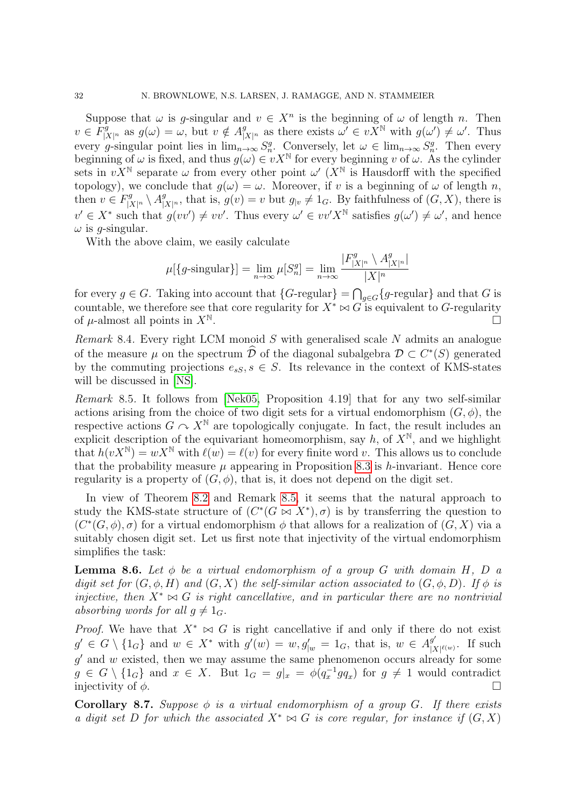Suppose that  $\omega$  is g-singular and  $v \in X^n$  is the beginning of  $\omega$  of length n. Then  $v \in F^g_{|X|^n}$  as  $g(\omega) = \omega$ , but  $v \notin A^g_{|X|^n}$  as there exists  $\omega' \in vX^{\mathbb{N}}$  with  $g(\omega') \neq \omega'$ . Thus every g-singular point lies in  $\lim_{n\to\infty} S_n^g$ . Conversely, let  $\omega \in \lim_{n\to\infty} S_n^g$ . Then every beginning of  $\omega$  is fixed, and thus  $g(\omega) \in vX^{\mathbb{N}}$  for every beginning v of  $\omega$ . As the cylinder sets in  $vX^{\mathbb{N}}$  separate  $\omega$  from every other point  $\omega'$  ( $X^{\mathbb{N}}$  is Hausdorff with the specified topology), we conclude that  $g(\omega) = \omega$ . Moreover, if v is a beginning of  $\omega$  of length n, then  $v \in F_{|X|^n}^g \setminus A_{|X|^n}^g$ , that is,  $g(v) = v$  but  $g_{|v} \neq 1_G$ . By faithfulness of  $(G, X)$ , there is  $v' \in X^*$  such that  $g(vv') \neq vv'$ . Thus every  $\omega' \in vv'X^{\mathbb{N}}$  satisfies  $g(\omega') \neq \omega'$ , and hence  $\omega$  is *q*-singular.

With the above claim, we easily calculate

$$
\mu[\lbrace g\text{-singular}\rbrace] = \lim_{n \to \infty} \mu[S_n^g] = \lim_{n \to \infty} \frac{|F_{|X|^n}^g \setminus A_{|X|^n}^g|}{|X|^n}
$$

for every  $g \in G$ . Taking into account that  $\{G\text{-regular}\} = \bigcap_{g \in G} \{g\text{-regular}\}\$  and that G is countable, we therefore see that core regularity for  $X^* \bowtie G$  is equivalent to G-regularity of *u*-almost all points in  $X^{\mathbb{N}}$ . .

Remark 8.4. Every right LCM monoid  $S$  with generalised scale  $N$  admits an analogue of the measure  $\mu$  on the spectrum  $\hat{\mathcal{D}}$  of the diagonal subalgebra  $\mathcal{D} \subset C^*(S)$  generated by the commuting projections  $e_{sS}, s \in S$ . Its relevance in the context of KMS-states will be discussed in [\[NS\]](#page-38-16).

<span id="page-32-0"></span>Remark 8.5. It follows from [\[Nek05,](#page-38-18) Proposition 4.19] that for any two self-similar actions arising from the choice of two digit sets for a virtual endomorphism  $(G, \phi)$ , the respective actions  $G \nightharpoonup X^{\mathbb{N}}$  are topologically conjugate. In fact, the result includes an explicit description of the equivariant homeomorphism, say h, of  $X^{\mathbb{N}}$ , and we highlight that  $h(vX^{\mathbb{N}}) = wX^{\mathbb{N}}$  with  $\ell(w) = \ell(v)$  for every finite word v. This allows us to conclude that the probability measure  $\mu$  appearing in Proposition [8.3](#page-31-0) is h-invariant. Hence core regularity is a property of  $(G, \phi)$ , that is, it does not depend on the digit set.

In view of Theorem [8.2](#page-30-2) and Remark [8.5,](#page-32-0) it seems that the natural approach to study the KMS-state structure of  $(C^*(G \bowtie X^*), \sigma)$  is by transferring the question to  $(C^*(G, \phi), \sigma)$  for a virtual endomorphism  $\phi$  that allows for a realization of  $(G, X)$  via a suitably chosen digit set. Let us first note that injectivity of the virtual endomorphism simplifies the task:

<span id="page-32-1"></span>**Lemma 8.6.** Let  $\phi$  be a virtual endomorphism of a group G with domain H, D a digit set for  $(G, \phi, H)$  and  $(G, X)$  the self-similar action associated to  $(G, \phi, D)$ . If  $\phi$  is injective, then  $X^* \bowtie G$  is right cancellative, and in particular there are no nontrivial absorbing words for all  $g \neq 1_G$ .

*Proof.* We have that  $X^* \bowtie G$  is right cancellative if and only if there do not exist  $g' \in G \setminus \{1_G\}$  and  $w \in X^*$  with  $g'(w) = w, g'_{|w} = 1_G$ , that is,  $w \in A^{g'}_{|X|}$  $\frac{g'}{|X|^{\ell(w)}}$ . If such  $g'$  and  $w$  existed, then we may assume the same phenomenon occurs already for some  $g \in G \setminus \{1_G\}$  and  $x \in X$ . But  $1_G = g\vert_x = \phi(q_x^{-1} g q_x)$  for  $g \neq 1$  would contradict injectivity of  $\phi$ .

<span id="page-32-2"></span>**Corollary 8.7.** Suppose  $\phi$  is a virtual endomorphism of a group G. If there exists a digit set D for which the associated  $X^* \bowtie G$  is core regular, for instance if  $(G, X)$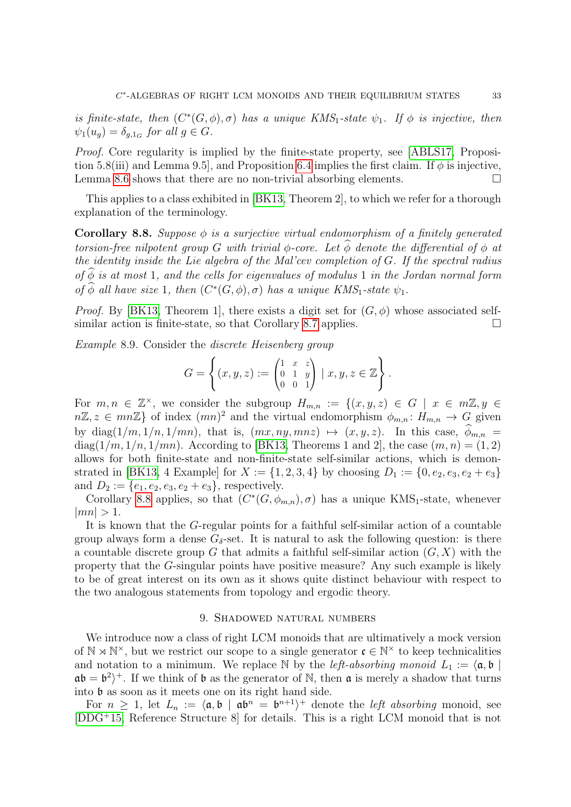is finite-state, then  $(C^*(G, \phi), \sigma)$  has a unique KMS<sub>1</sub>-state  $\psi_1$ . If  $\phi$  is injective, then  $\psi_1(u_g) = \delta_{g,1_G}$  for all  $g \in G$ .

Proof. Core regularity is implied by the finite-state property, see [\[ABLS17,](#page-36-1) Proposi-tion 5.8(iii) and Lemma 9.5, and Proposition [6.4](#page-22-0) implies the first claim. If  $\phi$  is injective, Lemma [8.6](#page-32-1) shows that there are no non-trivial absorbing elements.  $\Box$ 

This applies to a class exhibited in [\[BK13,](#page-37-15) Theorem 2], to which we refer for a thorough explanation of the terminology.

<span id="page-33-0"></span>Corollary 8.8. Suppose  $\phi$  is a surjective virtual endomorphism of a finitely generated torsion-free nilpotent group G with trivial  $\phi$ -core. Let  $\phi$  denote the differential of  $\phi$  at the identity inside the Lie algebra of the Mal'cev completion of G. If the spectral radius of  $\phi$  is at most 1, and the cells for eigenvalues of modulus 1 in the Jordan normal form of  $\widehat{\phi}$  all have size 1, then  $(C^*(G, \phi), \sigma)$  has a unique KMS<sub>1</sub>-state  $\psi_1$ .

*Proof.* By [\[BK13,](#page-37-15) Theorem 1], there exists a digit set for  $(G, \phi)$  whose associated self-similar action is finite-state, so that Corollary [8.7](#page-32-2) applies.  $\Box$ 

<span id="page-33-2"></span>Example 8.9. Consider the discrete Heisenberg group

$$
G = \left\{ (x, y, z) := \begin{pmatrix} 1 & x & z \\ 0 & 1 & y \\ 0 & 0 & 1 \end{pmatrix} \mid x, y, z \in \mathbb{Z} \right\}.
$$

For  $m, n \in \mathbb{Z}^{\times}$ , we consider the subgroup  $H_{m,n} := \{(x, y, z) \in G \mid x \in m\mathbb{Z}, y \in G\}$  $n\mathbb{Z}, z \in mn\mathbb{Z}$  of index  $(mn)^2$  and the virtual endomorphism  $\phi_{m,n}: H_{m,n} \to G$  given by diag( $1/m, 1/n, 1/mn$ ), that is,  $(mx, ny, mnz) \mapsto (x, y, z)$ . In this case,  $\hat{\phi}_{m,n}$  $diag(1/m, 1/n, 1/mn)$ . According to [\[BK13,](#page-37-15) Theorems 1 and 2], the case  $(m, n) = (1, 2)$ allows for both finite-state and non-finite-state self-similar actions, which is demon-strated in [\[BK13,](#page-37-15) 4 Example] for  $X := \{1, 2, 3, 4\}$  by choosing  $D_1 := \{0, e_2, e_3, e_2 + e_3\}$ and  $D_2 := \{e_1, e_2, e_3, e_2 + e_3\}$ , respectively.

Corollary [8.8](#page-33-0) applies, so that  $(C^*(G, \phi_{m,n}), \sigma)$  has a unique KMS<sub>1</sub>-state, whenever  $|mn| > 1.$ 

It is known that the G-regular points for a faithful self-similar action of a countable group always form a dense  $G_{\delta}$ -set. It is natural to ask the following question: is there a countable discrete group G that admits a faithful self-similar action  $(G, X)$  with the property that the G-singular points have positive measure? Any such example is likely to be of great interest on its own as it shows quite distinct behaviour with respect to the two analogous statements from topology and ergodic theory.

#### 9. Shadowed natural numbers

<span id="page-33-1"></span>We introduce now a class of right LCM monoids that are ultimatively a mock version of  $\mathbb{N} \rtimes \mathbb{N}^{\times}$ , but we restrict our scope to a single generator  $\mathfrak{c} \in \mathbb{N}^{\times}$  to keep technicalities and notation to a minimum. We replace N by the *left-absorbing monoid*  $L_1 := \langle \mathfrak{a}, \mathfrak{b} \rangle$  $ab = b^2$ . If we think of b as the generator of N, then a is merely a shadow that turns into b as soon as it meets one on its right hand side.

For  $n \geq 1$ , let  $L_n := \langle \mathfrak{a}, \mathfrak{b} \mid \mathfrak{a} \mathfrak{b}^n = \mathfrak{b}^{n+1} \rangle^+$  denote the *left absorbing* monoid, see [\[DDG](#page-37-20)<sup>+</sup>15, Reference Structure 8] for details. This is a right LCM monoid that is not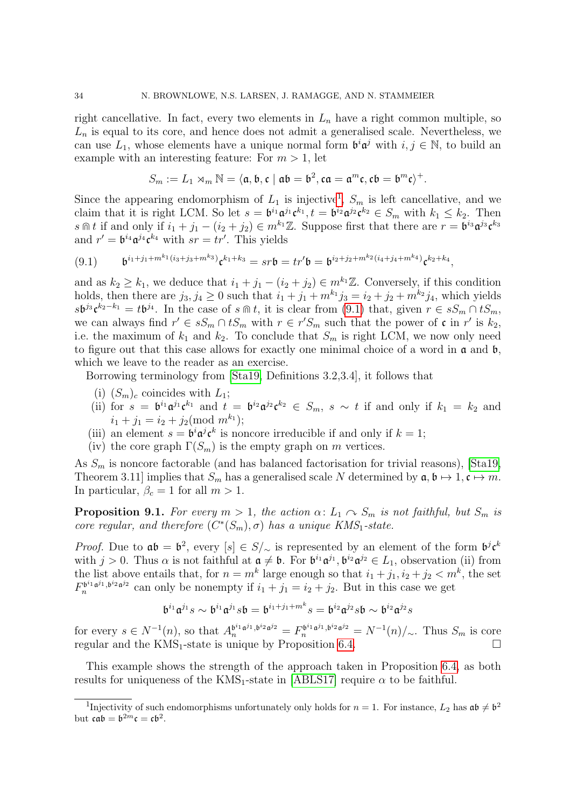right cancellative. In fact, every two elements in  $L_n$  have a right common multiple, so  $L_n$  is equal to its core, and hence does not admit a generalised scale. Nevertheless, we can use  $L_1$ , whose elements have a unique normal form  $\mathfrak{b}^i \mathfrak{a}^j$  with  $i, j \in \mathbb{N}$ , to build an example with an interesting feature: For  $m > 1$ , let

$$
S_m:=L_1\rtimes_m\mathbb{N}=\langle \mathfrak{a},\mathfrak{b},\mathfrak{c}\mid \mathfrak{a}\mathfrak{b}=\mathfrak{b}^2, \mathfrak{c}\mathfrak{a}=\mathfrak{a}^m\mathfrak{c}, \mathfrak{c}\mathfrak{b}=\mathfrak{b}^m\mathfrak{c}\rangle^+.
$$

Since the appearing endomorphism of  $L_1$  $L_1$  is injective<sup>1</sup>,  $S_m$  is left cancellative, and we claim that it is right LCM. So let  $s = \mathfrak{b}^{i_1} \mathfrak{a}^{j_1} \mathfrak{c}^{k_1}, t = \mathfrak{b}^{i_2} \mathfrak{a}^{j_2} \mathfrak{c}^{k_2} \in S_m$  with  $k_1 \leq k_2$ . Then s  $\mathbb{R}$  if and only if  $i_1 + j_1 - (i_2 + j_2) \in m^{k_1} \mathbb{Z}$ . Suppose first that there are  $r = \mathfrak{b}^{i_3} \mathfrak{a}^{j_3} \mathfrak{c}^{k_3}$ and  $r' = b^{i_4} \mathfrak{a}^{j_4} \mathfrak{c}^{k_4}$  with  $sr = tr'$ . This yields

<span id="page-34-2"></span>
$$
(9.1) \t\t b^{i_1+j_1+m^{k_1}(i_3+j_3+m^{k_3})} \mathfrak{c}^{k_1+k_3} = sr\mathfrak{b} = tr'\mathfrak{b} = \mathfrak{b}^{i_2+j_2+m^{k_2}(i_4+j_4+m^{k_4})} \mathfrak{c}^{k_2+k_4},
$$

and as  $k_2 \geq k_1$ , we deduce that  $i_1 + j_1 - (i_2 + j_2) \in m^{k_1} \mathbb{Z}$ . Conversely, if this condition holds, then there are  $j_3, j_4 \geq 0$  such that  $i_1 + j_1 + m^{k_1} j_3 = i_2 + j_2 + m^{k_2} j_4$ , which yields  $s\mathfrak{b}^{j_3}\mathfrak{c}^{k_2-k_1}=t\mathfrak{b}^{j_4}$ . In the case of  $s\mathfrak{m} t$ , it is clear from [\(9.1\)](#page-34-2) that, given  $r\in sS_m\cap tS_m$ , we can always find  $r' \in sS_m \cap tS_m$  with  $r \in r'S_m$  such that the power of  $\mathfrak c$  in  $r'$  is  $k_2$ , i.e. the maximum of  $k_1$  and  $k_2$ . To conclude that  $S_m$  is right LCM, we now only need to figure out that this case allows for exactly one minimal choice of a word in  $\alpha$  and  $\beta$ , which we leave to the reader as an exercise.

Borrowing terminology from [\[Sta19,](#page-38-15) Definitions 3.2,3.4], it follows that

- (i)  $(S_m)_c$  coincides with  $L_1$ ;
- (ii) for  $s = \mathfrak{b}^{i_1} \mathfrak{a}^{j_1} \mathfrak{c}^{k_1}$  and  $t = \mathfrak{b}^{i_2} \mathfrak{a}^{j_2} \mathfrak{c}^{k_2} \in S_m$ ,  $s \sim t$  if and only if  $k_1 = k_2$  and  $i_1 + j_1 = i_2 + j_2 \pmod{m^{k_1}};$
- (iii) an element  $s = \mathfrak{b}^i \mathfrak{a}^j \mathfrak{c}^k$  is noncore irreducible if and only if  $k = 1$ ;
- (iv) the core graph  $\Gamma(S_m)$  is the empty graph on m vertices.

As  $S_m$  is noncore factorable (and has balanced factorisation for trivial reasons), [\[Sta19,](#page-38-15) Theorem 3.11] implies that  $S_m$  has a generalised scale N determined by  $\mathfrak{a}, \mathfrak{b} \mapsto 1, \mathfrak{c} \mapsto m$ . In particular,  $\beta_c = 1$  for all  $m > 1$ .

<span id="page-34-0"></span>**Proposition 9.1.** For every  $m > 1$ , the action  $\alpha: L_1 \cap S_m$  is not faithful, but  $S_m$  is core regular, and therefore  $(C^*(S_m), \sigma)$  has a unique KMS<sub>1</sub>-state.

*Proof.* Due to  $\mathfrak{a}\mathfrak{b} = \mathfrak{b}^2$ , every  $[s] \in S/\sim$  is represented by an element of the form  $\mathfrak{b}^j \mathfrak{c}^k$ with  $j > 0$ . Thus  $\alpha$  is not faithful at  $\mathfrak{a} \neq \mathfrak{b}$ . For  $\mathfrak{b}^{i_1} \mathfrak{a}^{j_1}$ ,  $\mathfrak{b}^{i_2} \mathfrak{a}^{j_2} \in L_1$ , observation (ii) from the list above entails that, for  $n = m^k$  large enough so that  $i_1 + j_1, i_2 + j_2 < m^k$ , the set  $F_n^{\mathfrak{b}^{i_1} \mathfrak{a}^{j_1}, \mathfrak{b}^{i_2} \mathfrak{a}^{j_2}}$  $n^{b^{i_1}a^{j_1},b^{i_2}a^{j_2}}$  can only be nonempty if  $i_1 + j_1 = i_2 + j_2$ . But in this case we get

$$
\mathfrak{b}^{i_1}\mathfrak{a}^{j_1}s\sim \mathfrak{b}^{i_1}\mathfrak{a}^{j_1}s\mathfrak{b}=\mathfrak{b}^{i_1+j_1+m^k}s=\mathfrak{b}^{i_2}\mathfrak{a}^{j_2}s\mathfrak{b}\sim \mathfrak{b}^{i_2}\mathfrak{a}^{j_2}s
$$

for every  $s \in N^{-1}(n)$ , so that  $A_n^{b^{i_1}a^{j_1}, b^{i_2}a^{j_2}} = F_n^{b^{i_1}a^{j_1}, b^{i_2}a^{j_2}} = N^{-1}(n)/\sim$ . Thus  $S_m$  is core regular and the  $KMS_1$ -state is unique by Proposition [6.4.](#page-22-0)

This example shows the strength of the approach taken in Proposition [6.4,](#page-22-0) as both results for uniqueness of the  $KMS_1$ -state in [\[ABLS17\]](#page-36-1) require  $\alpha$  to be faithful.

<span id="page-34-1"></span><sup>&</sup>lt;sup>1</sup>Injectivity of such endomorphisms unfortunately only holds for  $n = 1$ . For instance,  $L_2$  has  $\mathfrak{ab} \neq \mathfrak{b}^2$ but  $\mathfrak{c} \mathfrak{a} \mathfrak{b} = \mathfrak{b}^{2m} \mathfrak{c} = \mathfrak{c} \mathfrak{b}^2$ .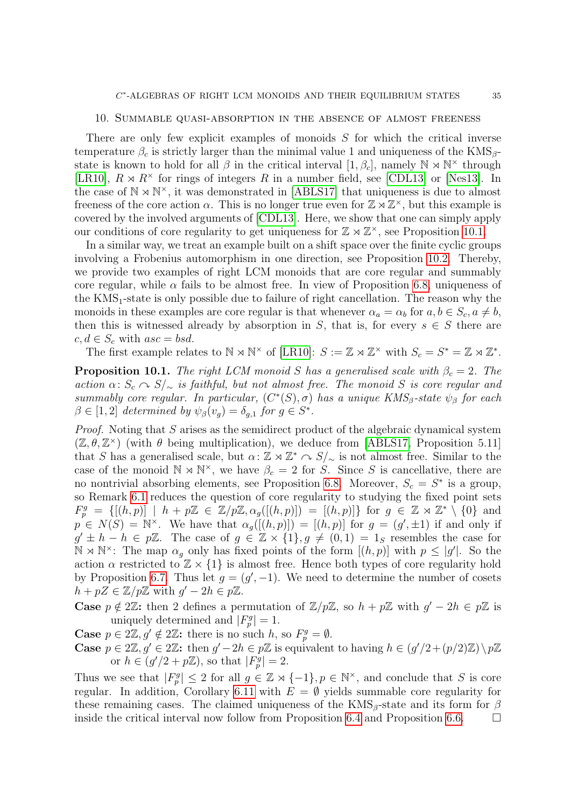#### <span id="page-35-0"></span>10. Summable quasi-absorption in the absence of almost freeness

There are only few explicit examples of monoids S for which the critical inverse temperature  $\beta_c$  is strictly larger than the minimal value 1 and uniqueness of the KMS<sub>β</sub>state is known to hold for all  $\beta$  in the critical interval  $[1, \beta_c]$ , namely  $\mathbb{N} \times \mathbb{N}^{\times}$  through [\[LR10\]](#page-38-2),  $R \rtimes R^{\times}$  for rings of integers R in a number field, see [\[CDL13\]](#page-37-12) or [\[Nes13\]](#page-38-20). In the case of  $\mathbb{N} \rtimes \mathbb{N}^{\times}$ , it was demonstrated in [\[ABLS17\]](#page-36-1) that uniqueness is due to almost freeness of the core action  $\alpha$ . This is no longer true even for  $\mathbb{Z} \rtimes \mathbb{Z}^{\times}$ , but this example is covered by the involved arguments of [\[CDL13\]](#page-37-12). Here, we show that one can simply apply our conditions of core regularity to get uniqueness for  $\mathbb{Z} \rtimes \mathbb{Z}^{\times}$ , see Proposition [10.1.](#page-35-1)

In a similar way, we treat an example built on a shift space over the finite cyclic groups involving a Frobenius automorphism in one direction, see Proposition [10.2.](#page-36-3) Thereby, we provide two examples of right LCM monoids that are core regular and summably core regular, while  $\alpha$  fails to be almost free. In view of Proposition [6.8,](#page-24-0) uniqueness of the  $KMS<sub>1</sub>$ -state is only possible due to failure of right cancellation. The reason why the monoids in these examples are core regular is that whenever  $\alpha_a = \alpha_b$  for  $a, b \in S_c, a \neq b$ , then this is witnessed already by absorption in S, that is, for every  $s \in S$  there are  $c, d \in S_c$  with  $asc = bsd$ .

The first example relates to  $\mathbb{N} \rtimes \mathbb{N}^{\times}$  of [\[LR10\]](#page-38-2):  $S := \mathbb{Z} \rtimes \mathbb{Z}^{\times}$  with  $S_c = S^* = \mathbb{Z} \rtimes \mathbb{Z}^*$ .

<span id="page-35-1"></span>**Proposition 10.1.** The right LCM monoid S has a generalised scale with  $\beta_c = 2$ . The action  $\alpha: S_c \cap S/\sim$  is faithful, but not almost free. The monoid S is core regular and summably core regular. In particular,  $(C^*(S), \sigma)$  has a unique  $KMS_\beta$ -state  $\psi_\beta$  for each  $\beta \in [1,2]$  determined by  $\psi_{\beta}(v_g) = \delta_{g,1}$  for  $g \in S^*$ .

Proof. Noting that S arises as the semidirect product of the algebraic dynamical system  $(\mathbb{Z}, \theta, \mathbb{Z}^{\times})$  (with  $\theta$  being multiplication), we deduce from [\[ABLS17,](#page-36-1) Proposition 5.11] that S has a generalised scale, but  $\alpha: \mathbb{Z} \rtimes \mathbb{Z}^* \sim S/\sim$  is not almost free. Similar to the case of the monoid  $\mathbb{N} \rtimes \mathbb{N}^{\times}$ , we have  $\beta_c = 2$  for S. Since S is cancellative, there are no nontrivial absorbing elements, see Proposition [6.8.](#page-24-0) Moreover,  $S_c = S^*$  is a group, so Remark [6.1](#page-21-3) reduces the question of core regularity to studying the fixed point sets  $F_p^g = \{[(h,p)] \mid h + p\mathbb{Z} \in \mathbb{Z}/p\mathbb{Z}, \alpha_g([h,p])\} = [(h,p)]\}$  for  $g \in \mathbb{Z} \rtimes \mathbb{Z}^* \setminus \{0\}$  and  $p \in N(S) = \mathbb{N}^{\times}$ . We have that  $\alpha_g([h,p]) = [(h,p)]$  for  $g = (g', \pm 1)$  if and only if  $g' \pm h - h \in p\mathbb{Z}$ . The case of  $g \in \mathbb{Z} \times \{1\}$ ,  $g \neq (0, 1) = 1$  resembles the case for  $\mathbb{N} \rtimes \mathbb{N}^{\times}$ : The map  $\alpha_{g}$  only has fixed points of the form  $[(h, p)]$  with  $p \leq |g'|$ . So the action  $\alpha$  restricted to  $\mathbb{Z} \times \{1\}$  is almost free. Hence both types of core regularity hold by Proposition [6.7.](#page-24-2) Thus let  $g = (g', -1)$ . We need to determine the number of cosets  $h + pZ \in \mathbb{Z}/p\mathbb{Z}$  with  $g' - 2h \in p\mathbb{Z}$ .

**Case**  $p \notin 2\mathbb{Z}$ : then 2 defines a permutation of  $\mathbb{Z}/p\mathbb{Z}$ , so  $h + p\mathbb{Z}$  with  $g' - 2h \in p\mathbb{Z}$  is uniquely determined and  $|F_p^g|=1$ .

**Case**  $p \in 2\mathbb{Z}, g' \notin 2\mathbb{Z}$ : there is no such h, so  $F_p^g = \emptyset$ .

**Case**  $p \in 2\mathbb{Z}, g' \in 2\mathbb{Z}$ : then  $g' - 2h \in p\mathbb{Z}$  is equivalent to having  $h \in (g'/2 + (p/2)\mathbb{Z})\backslash p\mathbb{Z}$ or  $h \in (g'/2 + p\mathbb{Z})$ , so that  $|F_p^g| = 2$ .

Thus we see that  $|F_p^g| \leq 2$  for all  $g \in \mathbb{Z} \rtimes \{-1\}$ ,  $p \in \mathbb{N}^\times$ , and conclude that S is core regular. In addition, Corollary [6.11](#page-25-1) with  $E = \emptyset$  yields summable core regularity for these remaining cases. The claimed uniqueness of the  $KMS_\beta$ -state and its form for  $\beta$ inside the critical interval now follow from Proposition [6.4](#page-22-0) and Proposition [6.6.](#page-23-0)  $\Box$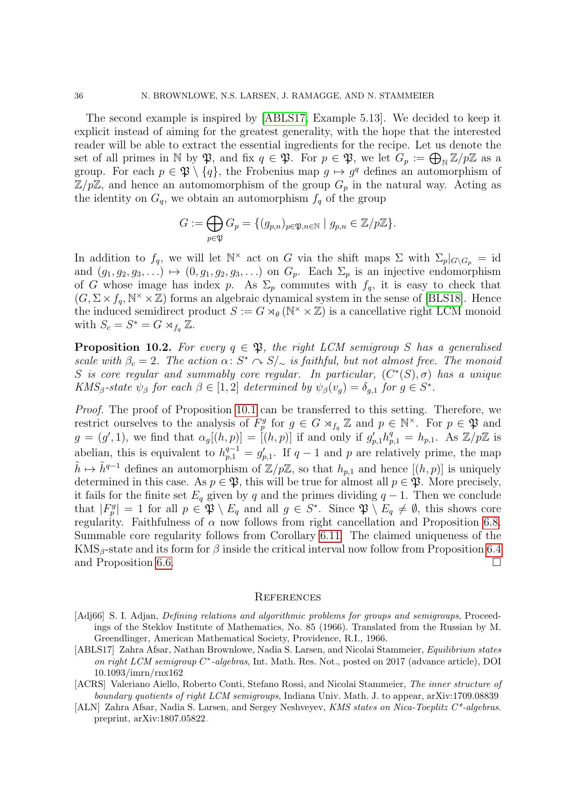The second example is inspired by [\[ABLS17,](#page-36-1) Example 5.13]. We decided to keep it explicit instead of aiming for the greatest generality, with the hope that the interested reader will be able to extract the essential ingredients for the recipe. Let us denote the set of all primes in N by  $\mathfrak{P}$ , and fix  $q \in \mathfrak{P}$ . For  $p \in \mathfrak{P}$ , we let  $G_p := \bigoplus_{\mathbb{N}} \mathbb{Z}/p\mathbb{Z}$  as a group. For each  $p \in \mathfrak{P} \setminus \{q\}$ , the Frobenius map  $q \mapsto q^q$  defines an automorphism of  $\mathbb{Z}/p\mathbb{Z}$ , and hence an automomorphism of the group  $G_p$  in the natural way. Acting as the identity on  $G_q$ , we obtain an automorphism  $f_q$  of the group

$$
G := \bigoplus_{p \in \mathfrak{P}} G_p = \{ (g_{p,n})_{p \in \mathfrak{P}, n \in \mathbb{N}} \mid g_{p,n} \in \mathbb{Z}/p\mathbb{Z} \}.
$$

In addition to  $f_q$ , we will let  $\mathbb{N}^\times$  act on G via the shift maps  $\Sigma$  with  $\Sigma_p|_{G\setminus G_p} = \text{id}$ and  $(g_1, g_2, g_3, \ldots) \mapsto (0, g_1, g_2, g_3, \ldots)$  on  $G_p$ . Each  $\Sigma_p$  is an injective endomorphism of G whose image has index p. As  $\Sigma_p$  commutes with  $f_q$ , it is easy to check that  $(G, \Sigma \times f_q, \mathbb{N}^{\times} \times \mathbb{Z})$  forms an algebraic dynamical system in the sense of [\[BLS18\]](#page-37-7). Hence the induced semidirect product  $S := G \rtimes_{\theta} (\mathbb{N}^{\times} \times \mathbb{Z})$  is a cancellative right LCM monoid with  $S_c = S^* = G \rtimes_{f_q} \overline{\mathbb{Z}}$ .

<span id="page-36-3"></span>**Proposition 10.2.** For every  $q \in \mathfrak{P}$ , the right LCM semigroup S has a generalised scale with  $\beta_c = 2$ . The action  $\alpha: S^* \cap S/\sim s$  is faithful, but not almost free. The monoid S is core regular and summably core regular. In particular,  $(C^*(S), \sigma)$  has a unique KMS<sub>β</sub>-state  $\psi_{\beta}$  for each  $\beta \in [1,2]$  determined by  $\psi_{\beta}(v_g) = \delta_{g,1}$  for  $g \in S^*$ .

Proof. The proof of Proposition [10.1](#page-35-1) can be transferred to this setting. Therefore, we restrict ourselves to the analysis of  $F_p^g$  for  $g \in G \rtimes_{f_q} \mathbb{Z}$  and  $p \in \mathbb{N}^\times$ . For  $p \in \mathfrak{P}$  and  $g = (g', 1)$ , we find that  $\alpha_g[(h, p)] = [(h, p)]$  if and only if  $g'_{p,1}h_{p,1}^q = h_{p,1}$ . As  $\mathbb{Z}/p\mathbb{Z}$  is abelian, this is equivalent to  $h_{p,1}^{q-1} = g'_{p,1}$ . If  $q-1$  and p are relatively prime, the map  $\tilde{h} \mapsto \tilde{h}^{q-1}$  defines an automorphism of  $\mathbb{Z}/p\mathbb{Z}$ , so that  $h_{n,1}$  and hence  $[(h, p)]$  is uniquely determined in this case. As  $p \in \mathfrak{P}$ , this will be true for almost all  $p \in \mathfrak{P}$ . More precisely, it fails for the finite set  $E_q$  given by q and the primes dividing  $q-1$ . Then we conclude that  $|F_p^g| = 1$  for all  $p \in \mathfrak{P} \setminus E_q$  and all  $g \in S^*$ . Since  $\mathfrak{P} \setminus E_q \neq \emptyset$ , this shows core regularity. Faithfulness of  $\alpha$  now follows from right cancellation and Proposition [6.8.](#page-24-0) Summable core regularity follows from Corollary [6.11.](#page-25-1) The claimed uniqueness of the KMS<sub>β</sub>-state and its form for  $\beta$  inside the critical interval now follow from Proposition [6.4](#page-22-0) and Proposition [6.6.](#page-23-0)

#### **REFERENCES**

- <span id="page-36-4"></span>[Adj66] S. I. Adjan, *Defining relations and algorithmic problems for groups and semigroups*, Proceedings of the Steklov Institute of Mathematics, No. 85 (1966). Translated from the Russian by M. Greendlinger, American Mathematical Society, Providence, R.I., 1966.
- <span id="page-36-1"></span>[ABLS17] Zahra Afsar, Nathan Brownlowe, Nadia S. Larsen, and Nicolai Stammeier, Equilibrium states on right LCM semigroup C<sup>\*</sup>-algebras, Int. Math. Res. Not., posted on 2017 (advance article), DOI [10.1093/imrn/rnx162.](https://doi.org/10.1093/imrn/rnx162)
- <span id="page-36-0"></span>[ACRS] Valeriano Aiello, Roberto Conti, Stefano Rossi, and Nicolai Stammeier, The inner structure of boundary quotients of right LCM semigroups, Indiana Univ. Math. J. to appear, [arXiv:1709.08839.](https://arXiv.org/abs/1709.08839)
- <span id="page-36-2"></span>[ALN] Zahra Afsar, Nadia S. Larsen, and Sergey Neshveyev, KMS states on Nica-Toeplitz C\*-algebras. preprint, [arXiv:1807.05822.](https://arxiv.org/pdf/1807.05822)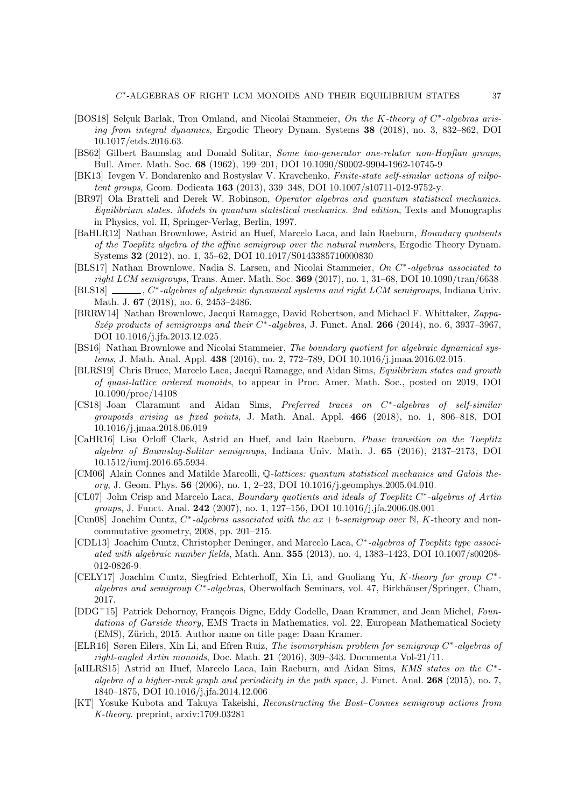- <span id="page-37-8"></span>[BOS18] Selçuk Barlak, Tron Omland, and Nicolai Stammeier, On the K-theory of C<sup>\*</sup>-algebras arising from integral dynamics, Ergodic Theory Dynam. Systems 38 (2018), no. 3, 832–862, DOI [10.1017/etds.2016.63.](https://doi.org/10.1017/etds.2016.63)
- <span id="page-37-19"></span>[BS62] Gilbert Baumslag and Donald Solitar, Some two-generator one-relator non-Hopfian groups, Bull. Amer. Math. Soc. 68 (1962), 199–201, DOI [10.1090/S0002-9904-1962-10745-9.](https://doi.org/10.1090/S0002-9904-1962-10745-9)
- <span id="page-37-15"></span>[BK13] Ievgen V. Bondarenko and Rostyslav V. Kravchenko, Finite-state self-similar actions of nilpotent groups, Geom. Dedicata 163 (2013), 339–348, DOI [10.1007/s10711-012-9752-y.](https://doi.org/10.1007/s10711-012-9752-y)
- <span id="page-37-17"></span>[BR97] Ola Bratteli and Derek W. Robinson, Operator algebras and quantum statistical mechanics. Equilibrium states. Models in quantum statistical mechanics. 2nd edition, Texts and Monographs in Physics, vol. II, Springer-Verlag, Berlin, 1997.
- <span id="page-37-9"></span>[BaHLR12] Nathan Brownlowe, Astrid an Huef, Marcelo Laca, and Iain Raeburn, Boundary quotients of the Toeplitz algebra of the affine semigroup over the natural numbers, Ergodic Theory Dynam. Systems 32 (2012), no. 1, 35–62, DOI [10.1017/S0143385710000830.](http://dx.doi.org/10.1017/S0143385710000830)
- <span id="page-37-5"></span>[BLS17] Nathan Brownlowe, Nadia S. Larsen, and Nicolai Stammeier, On C<sup>\*</sup>-algebras associated to right LCM semigroups, Trans. Amer. Math. Soc. **369** (2017), no. 1, 31–68, DOI [10.1090/tran/6638.](http://dx.doi.org/10.1090/tran/6638)
- <span id="page-37-7"></span> $[BLS18]$ \*-algebras of algebraic dynamical systems and right LCM semigroups, Indiana Univ. Math. J. 67 (2018), no. 6, 2453–2486.
- <span id="page-37-4"></span>[BRRW14] Nathan Brownlowe, Jacqui Ramagge, David Robertson, and Michael F. Whittaker, Zappa-Szép products of semigroups and their  $C^*$ -algebras, J. Funct. Anal. 266 (2014), no. 6, 3937-3967, DOI [10.1016/j.jfa.2013.12.025.](http://dx.doi.org/10.1016/j.jfa.2013.12.025)
- <span id="page-37-6"></span>[BS16] Nathan Brownlowe and Nicolai Stammeier, The boundary quotient for algebraic dynamical systems, J. Math. Anal. Appl. 438 (2016), no. 2, 772–789, DOI [10.1016/j.jmaa.2016.02.015.](http://dx.doi.org/10.1016/j.jmaa.2016.02.015)
- <span id="page-37-11"></span>[BLRS19] Chris Bruce, Marcelo Laca, Jacqui Ramagge, and Aidan Sims, Equilibrium states and growth of quasi-lattice ordered monoids, to appear in Proc. Amer. Math. Soc., posted on 2019, DOI [10.1090/proc/14108.](https://doi.org/10.1090/proc/14108)
- <span id="page-37-14"></span>[CS18] Joan Claramunt and Aidan Sims, Preferred traces on C<sup>\*</sup>-algebras of self-similar groupoids arising as fixed points, J. Math. Anal. Appl. 466 (2018), no. 1, 806–818, DOI [10.1016/j.jmaa.2018.06.019.](https://doi.org/10.1016/j.jmaa.2018.06.019)
- <span id="page-37-10"></span>[CaHR16] Lisa Orloff Clark, Astrid an Huef, and Iain Raeburn, Phase transition on the Toeplitz algebra of Baumslag-Solitar semigroups, Indiana Univ. Math. J. 65 (2016), 2137–2173, DOI [10.1512/iumj.2016.65.5934.](http://dx.doi.org/10.1512/iumj.2016.65.5934)
- <span id="page-37-18"></span>[CM06] Alain Connes and Matilde Marcolli, Q-lattices: quantum statistical mechanics and Galois theory, J. Geom. Phys. 56 (2006), no. 1, 2–23, DOI [10.1016/j.geomphys.2005.04.010.](http://dx.doi.org/10.1016/j.geomphys.2005.04.010)
- <span id="page-37-13"></span>[CL07] John Crisp and Marcelo Laca, Boundary quotients and ideals of Toeplitz C<sup>\*</sup>-algebras of Artin *groups*, J. Funct. Anal. **242** (2007), no. 1, 127–156, DOI [10.1016/j.jfa.2006.08.001.](http://dx.doi.org/10.1016/j.jfa.2006.08.001)
- <span id="page-37-1"></span>[Cun08] Joachim Cuntz,  $C^*$ -algebras associated with the  $ax + b$ -semigroup over N, K-theory and noncommutative geometry, 2008, pp. 201–215.
- <span id="page-37-12"></span>[CDL13] Joachim Cuntz, Christopher Deninger, and Marcelo Laca, C<sup>\*</sup>-algebras of Toeplitz type associated with algebraic number fields, Math. Ann. 355 (2013), no. 4, 1383–1423, DOI [10.1007/s00208-](http://dx.doi.org/10.1007/s00208-012-0826-9) [012-0826-9.](http://dx.doi.org/10.1007/s00208-012-0826-9)
- <span id="page-37-0"></span>[CELY17] Joachim Cuntz, Siegfried Echterhoff, Xin Li, and Guoliang Yu, K-theory for group C<sup>\*</sup>algebras and semigroup C\*-algebras, Oberwolfach Seminars, vol. 47, Birkhäuser/Springer, Cham, 2017.
- <span id="page-37-20"></span>[DDG+15] Patrick Dehornoy, François Digne, Eddy Godelle, Daan Krammer, and Jean Michel, Foundations of Garside theory, EMS Tracts in Mathematics, vol. 22, European Mathematical Society (EMS), Zürich, 2015. Author name on title page: Daan Kramer.
- <span id="page-37-3"></span>[ELR16] Søren Eilers, Xin Li, and Efren Ruiz, The isomorphism problem for semigroup C<sup>\*</sup>-algebras of right-angled Artin monoids, Doc. Math. 21 (2016), 309–343. [Documenta Vol-21/11.](https://www.math.uni-bielefeld.de/documenta/vol-21/11.pdf)
- <span id="page-37-16"></span>[aHLRS15] Astrid an Huef, Marcelo Laca, Iain Raeburn, and Aidan Sims, KMS states on the C<sup>\*</sup>algebra of a higher-rank graph and periodicity in the path space, J. Funct. Anal.  $268$  (2015), no. 7, 1840–1875, DOI [10.1016/j.jfa.2014.12.006.](http://dx.doi.org/10.1016/j.jfa.2014.12.006)
- <span id="page-37-2"></span>[KT] Yosuke Kubota and Takuya Takeishi, Reconstructing the Bost–Connes semigroup actions from K-theory. preprint, [arxiv:1709.03281.](https://arxiv.org/abs/1709.03281)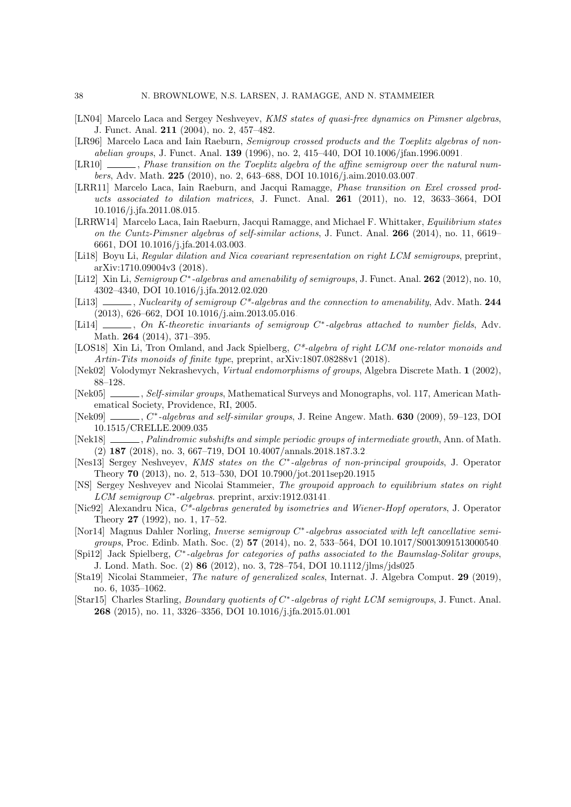- <span id="page-38-14"></span>[LN04] Marcelo Laca and Sergey Neshveyev, KMS states of quasi-free dynamics on Pimsner algebras, J. Funct. Anal. 211 (2004), no. 2, 457–482.
- <span id="page-38-1"></span>[LR96] Marcelo Laca and Iain Raeburn, Semigroup crossed products and the Toeplitz algebras of nonabelian groups, J. Funct. Anal. 139 (1996), no. 2, 415–440, DOI [10.1006/jfan.1996.0091.](http://dx.doi.org/10.1006/jfan.1996.0091)
- <span id="page-38-2"></span>[LR10]  $\ldots$ , Phase transition on the Toeplitz algebra of the affine semigroup over the natural numbers, Adv. Math. 225 (2010), no. 2, 643–688, DOI [10.1016/j.aim.2010.03.007.](http://dx.doi.org/10.1016/j.aim.2010.03.007)
- <span id="page-38-12"></span>[LRR11] Marcelo Laca, Iain Raeburn, and Jacqui Ramagge, Phase transition on Exel crossed products associated to dilation matrices, J. Funct. Anal. 261 (2011), no. 12, 3633–3664, DOI [10.1016/j.jfa.2011.08.015.](http://dx.doi.org/10.1016/j.jfa.2011.08.015)
- <span id="page-38-8"></span>[LRRW14] Marcelo Laca, Iain Raeburn, Jacqui Ramagge, and Michael F. Whittaker, Equilibrium states on the Cuntz-Pimsner algebras of self-similar actions, J. Funct. Anal. 266 (2014), no. 11, 6619– 6661, DOI [10.1016/j.jfa.2014.03.003.](http://dx.doi.org/10.1016/j.jfa.2014.03.003)
- <span id="page-38-10"></span>[Li18] Boyu Li, Regular dilation and Nica covariant representation on right LCM semigroups, preprint, arXiv:1710.09004v3 (2018).
- <span id="page-38-3"></span>[Li12] Xin Li, Semigroup C<sup>\*</sup>-algebras and amenability of semigroups, J. Funct. Anal. 262 (2012), no. 10, 4302–4340, DOI [10.1016/j.jfa.2012.02.020.](http://dx.doi.org/10.1016/j.jfa.2012.02.020)
- <span id="page-38-4"></span>[Li13]  $\_\_\_\_\_\$ , Nuclearity of semigroup  $C^*$ -algebras and the connection to amenability, Adv. Math. 244 (2013), 626–662, DOI [10.1016/j.aim.2013.05.016.](http://dx.doi.org/10.1016/j.aim.2013.05.016)
- <span id="page-38-6"></span>[Li14] \_\_\_\_, On K-theoretic invariants of semigroup C<sup>\*</sup>-algebras attached to number fields, Adv. Math. 264 (2014), 371–395.
- <span id="page-38-11"></span>[LOS18] Xin Li, Tron Omland, and Jack Spielberg,  $C^*$ -algebra of right LCM one-relator monoids and Artin-Tits monoids of finite type, preprint, arXiv:1807.08288v1 (2018).
- <span id="page-38-17"></span>[Nek02] Volodymyr Nekrashevych, Virtual endomorphisms of groups, Algebra Discrete Math. 1 (2002), 88–128.
- <span id="page-38-18"></span>[Nek05] , Self-similar groups, Mathematical Surveys and Monographs, vol. 117, American Mathematical Society, Providence, RI, 2005.
- <span id="page-38-7"></span>[Nek09] , C\*-algebras and self-similar groups, J. Reine Angew. Math. 630 (2009), 59-123, DOI [10.1515/CRELLE.2009.035.](https://doi.org/10.1515/CRELLE.2009.035)
- <span id="page-38-19"></span>[Nek18] , Palindromic subshifts and simple periodic groups of intermediate growth, Ann. of Math. (2) 187 (2018), no. 3, 667–719, DOI [10.4007/annals.2018.187.3.2.](https://doi.org/10.4007/annals.2018.187.3.2)
- <span id="page-38-20"></span>[Nes13] Sergey Neshveyev, KMS states on the C<sup>\*</sup>-algebras of non-principal groupoids, J. Operator Theory 70 (2013), no. 2, 513–530, DOI [10.7900/jot.2011sep20.1915.](http://dx.doi.org/10.7900/jot.2011sep20.1915)
- <span id="page-38-16"></span>[NS] Sergey Neshveyev and Nicolai Stammeier, The groupoid approach to equilibrium states on right LCM semigroup C<sup>\*</sup>-algebras. preprint, [arxiv:1912.03141.](https://arxiv.org/abs/1912.03141)
- <span id="page-38-0"></span>[Nic92] Alexandru Nica, C\*-algebras generated by isometries and Wiener-Hopf operators, J. Operator Theory 27 (1992), no. 1, 17–52.
- <span id="page-38-5"></span>[Nor14] Magnus Dahler Norling, Inverse semigroup C<sup>\*</sup>-algebras associated with left cancellative semigroups, Proc. Edinb. Math. Soc. (2) 57 (2014), no. 2, 533–564, DOI [10.1017/S0013091513000540.](http://dx.doi.org/10.1017/S0013091513000540)
- <span id="page-38-13"></span>[Spi12] Jack Spielberg, C<sup>\*</sup>-algebras for categories of paths associated to the Baumslag-Solitar groups, J. Lond. Math. Soc. (2) 86 (2012), no. 3, 728–754, DOI [10.1112/jlms/jds025.](http://dx.doi.org/10.1112/jlms/jds025)
- <span id="page-38-15"></span>[Sta19] Nicolai Stammeier, The nature of generalized scales, Internat. J. Algebra Comput. 29 (2019), no. 6, 1035–1062.
- <span id="page-38-9"></span>[Star15] Charles Starling, *Boundary quotients of C<sup>\*</sup>-algebras of right LCM semigroups*, J. Funct. Anal. 268 (2015), no. 11, 3326–3356, DOI [10.1016/j.jfa.2015.01.001.](http://dx.doi.org/10.1016/j.jfa.2015.01.001)